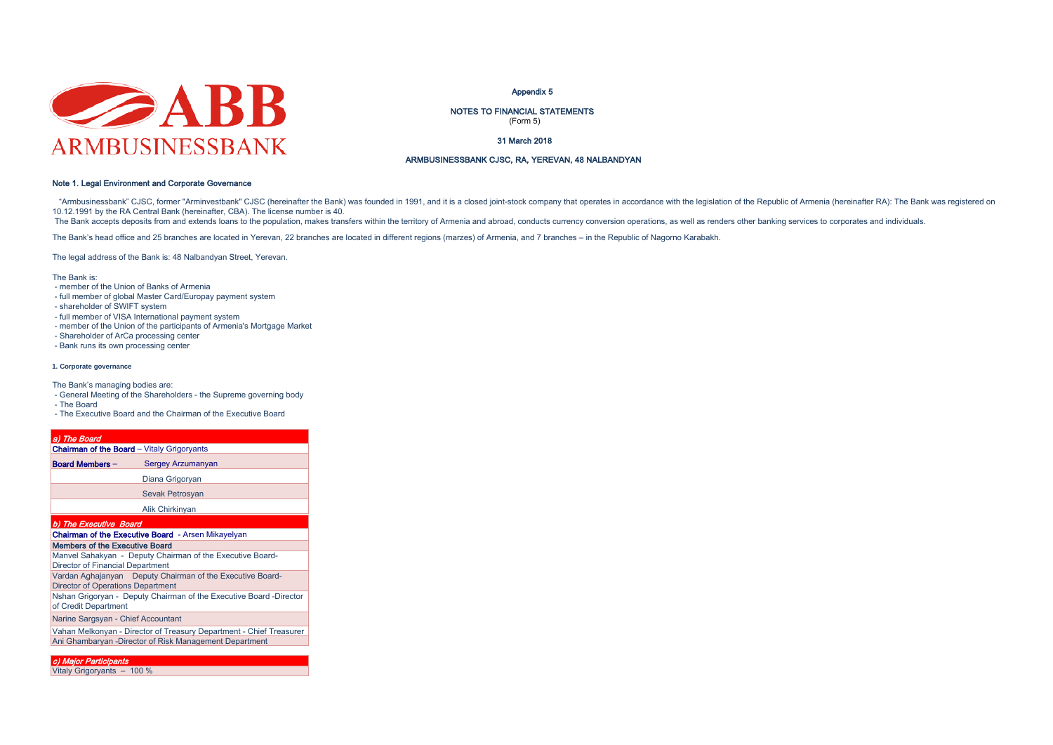

#### Appendix 5

NOTES TO FINANCIAL STATEMENTS (Form 5)

31 March 2018

### ARMBUSINESSBANK CJSC, RA, YEREVAN, 48 NALBANDYAN

### Note 1. Legal Environment and Corporate Governance

"Armbusinessbank" CJSC, former "Arminyestbank" CJSC (hereinafter the Bank) was founded in 1991, and it is a closed ioint-stock company that operates in accordance with the legislation of the Republic of Armenia (hereinafte 10.12.1991 by the RA Central Bank (hereinafter, CBA). The license number is 40.

The Bank accepts deposits from and extends loans to the population, makes transfers within the territory of Armenia and abroad, conducts currency conversion operations, as well as renders other banking services to corporat

The Bank's head office and 25 branches are located in Yerevan, 22 branches are located in different regions (marzes) of Armenia, and 7 branches – in the Republic of Nagorno Karabakh.

The legal address of the Bank is: 48 Nalbandyan Street, Yerevan.

The Bank is:

- member of the Union of Banks of Armenia
- full member of global Master Card/Europay payment system
- shareholder of SWIFT system
- full member of VISA International payment system
- member of the Union of the participants of Armenia's Mortgage Market
- Shareholder of ArCa processing center
- Bank runs its own processing center

#### **1. Corporate governance**

The Bank's managing bodies are:

- General Meeting of the Shareholders - the Supreme governing body

- The Board

- The Executive Board and the Chairman of the Executive Board

| a) The Board                             |                                                                     |
|------------------------------------------|---------------------------------------------------------------------|
|                                          | <b>Chairman of the Board</b> - Vitaly Grigoryants                   |
| <b>Board Members -</b>                   | Sergey Arzumanyan                                                   |
|                                          | Diana Grigoryan                                                     |
|                                          | Sevak Petrosyan                                                     |
|                                          | Alik Chirkinyan                                                     |
| b) The Executive Board                   |                                                                     |
|                                          | <b>Chairman of the Executive Board</b> - Arsen Mikayelyan           |
| <b>Members of the Executive Board</b>    |                                                                     |
| <b>Director of Financial Department</b>  | Manvel Sahakyan - Deputy Chairman of the Executive Board-           |
| <b>Director of Operations Department</b> | Vardan Aghajanyan Deputy Chairman of the Executive Board-           |
| of Credit Department                     | Nshan Grigoryan - Deputy Chairman of the Executive Board -Director  |
| Narine Sargsyan - Chief Accountant       |                                                                     |
|                                          | Vahan Melkonyan - Director of Treasury Department - Chief Treasurer |
|                                          | Ani Ghambaryan -Director of Risk Management Department              |

c) Major Participants Vitaly Grigoryants – 100 %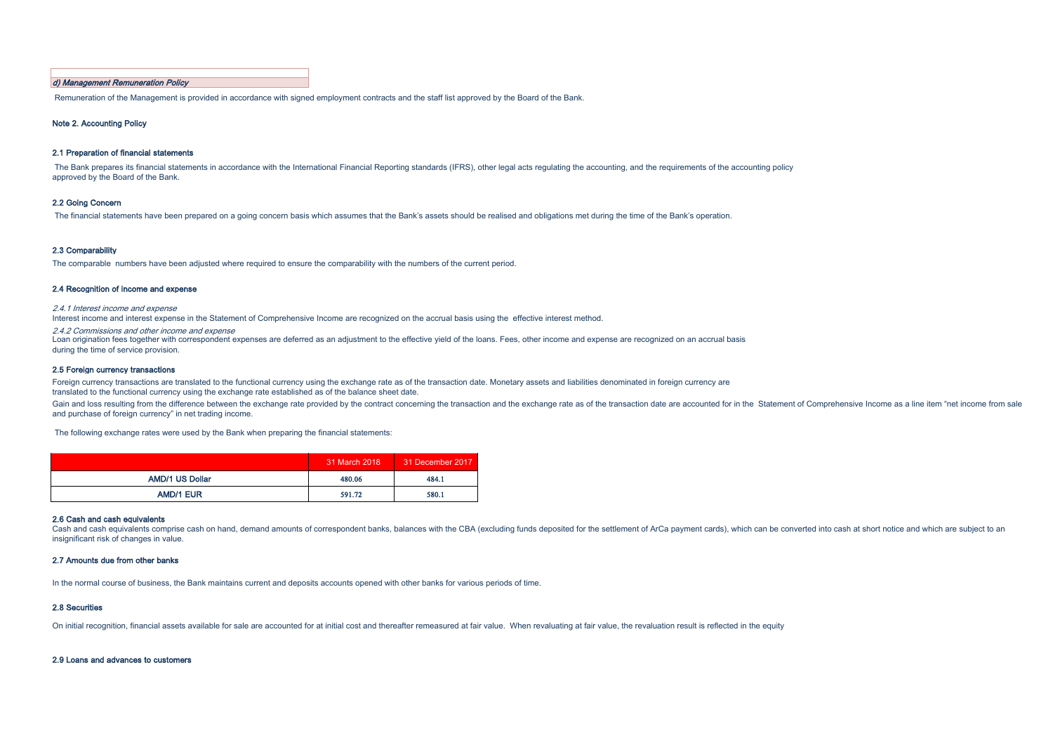### d) Management Remuneration Policy

Remuneration of the Management is provided in accordance with signed employment contracts and the staff list approved by the Board of the Bank.

#### Note 2. Accounting Policy

#### 2.1 Preparation of financial statements

The Bank prepares its financial statements in accordance with the International Financial Reporting standards (IFRS), other legal acts regulating the accounting, and the requirements of the accounting policy approved by the Board of the Bank.

### 2.2 Going Concern

The financial statements have been prepared on a going concern basis which assumes that the Bank's assets should be realised and obligations met during the time of the Bank's operation.

#### 2.3 Comparability

The comparable numbers have been adjusted where required to ensure the comparability with the numbers of the current period.

#### 2.4 Recognition of income and expense

2.4.1 Interest income and expense

Interest income and interest expense in the Statement of Comprehensive Income are recognized on the accrual basis using the effective interest method.

2.4.2 Commissions and other income and expense

Loan origination fees together with correspondent expenses are deferred as an adjustment to the effective yield of the loans. Fees, other income and expense are recognized on an accrual basis during the time of service provision.

#### 2.5 Foreign currency transactions

Foreign currency transactions are translated to the functional currency using the exchange rate as of the transaction date. Monetary assets and liabilities denominated in foreign currency are translated to the functional currency using the exchange rate established as of the balance sheet date.

Gain and loss resulting from the difference between the exchange rate provided by the contract concerning the transaction and the exchange rate as of the transaction date are accounted for in the Statement of Comprehensive and purchase of foreign currency" in net trading income.

The following exchange rates were used by the Bank when preparing the financial statements:

|                        | 31 March 2018 | 31 December 2017 |
|------------------------|---------------|------------------|
| <b>AMD/1 US Dollar</b> | 480.06        | 484.1            |
| <b>AMD/1 EUR</b>       | 591.72        | 580.1            |

#### 2.6 Cash and cash equivalents

Cash and cash equivalents comprise cash on hand, demand amounts of correspondent banks, balances with the CBA (excluding funds deposited for the settlement of ArCa payment cards), which can be converted into cash at short insignificant risk of changes in value.

### 2.7 Amounts due from other banks

In the normal course of business, the Bank maintains current and deposits accounts opened with other banks for various periods of time.

#### 2.8 Securities

On initial recognition, financial assets available for sale are accounted for at initial cost and thereafter remeasured at fair value. When revaluating at fair value, the revaluation result is reflected in the equity

#### 2.9 Loans and advances to customers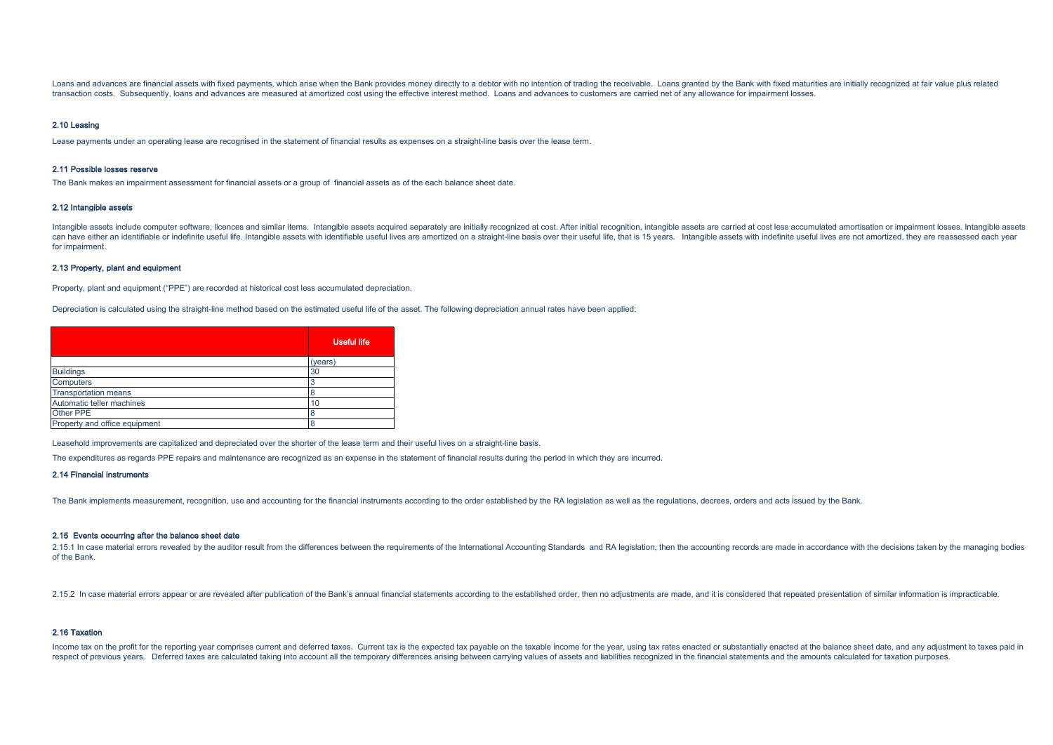Loans and advances are financial assets with fixed payments, which arise when the Bank provides money directly to a debtor with no intention of trading the receivable. Loans granted by the Bank with fixed maturities are in transaction costs. Subsequently, loans and advances are measured at amortized cost using the effective interest method. Loans and advances to customers are carried net of any allowance for impairment losses.

#### 2.10 Leasing

Lease payments under an operating lease are recognised in the statement of financial results as expenses on a straight-line basis over the lease term.

#### 2.11 Possible losses reserve

The Bank makes an impairment assessment for financial assets or a group of financial assets as of the each balance sheet date.

### 2.12 Intangible assets

Intangible assets include computer software, licences and similar items. Intangible assets acquired separately are initially recognized at cost. After initial recognition, intangible assets are carried at cost less accumul can have either an identifiable or indefinite useful life. Intangible assets with identifiable useful lives are amortized on a straight-line basis over their useful life, that is 15 years. Intangible assets with indefinite for impairment.

#### 2.13 Property, plant and equipment

Property, plant and equipment ("PPE") are recorded at historical cost less accumulated depreciation.

Depreciation is calculated using the straight-line method based on the estimated useful life of the asset. The following depreciation annual rates have been applied:

|                               | <b>Useful life</b> |
|-------------------------------|--------------------|
|                               | (years)            |
| <b>Buildings</b>              | 30                 |
| Computers                     | 3                  |
| <b>Transportation means</b>   | 8                  |
| Automatic teller machines     | 10                 |
| Other PPE                     | 8                  |
| Property and office equipment | 8                  |

Leasehold improvements are capitalized and depreciated over the shorter of the lease term and their useful lives on a straight-line basis.

The expenditures as regards PPE repairs and maintenance are recognized as an expense in the statement of financial results during the period in which they are incurred.

#### 2.14 Financial instruments

The Bank implements measurement, recognition, use and accounting for the financial instruments according to the order established by the RA legislation as well as the regulations, decrees, orders and acts issued by the Ban

#### 2.15 Events occurring after the balance sheet date

2.15.1 In case material errors revealed by the auditor result from the differences between the requirements of the International Accounting Standards and RA legislation, then the accounting records are made in accordance w of the Bank.

2.15.2 In case material errors appear or are revealed after publication of the Bank's annual financial statements according to the established order, then no adjustments are made, and it is considered that repeated present

### 2.16 Taxation

Income tax on the profit for the reporting year comprises current and deferred taxes. Current tax is the expected tax payable on the taxable income for the year, using tax rates enacted or substantially enacted at the bala respect of previous years. Deferred taxes are calculated taking into account all the temporary differences arising between carrying values of assets and liabilities recognized in the financial statements and the amounts ca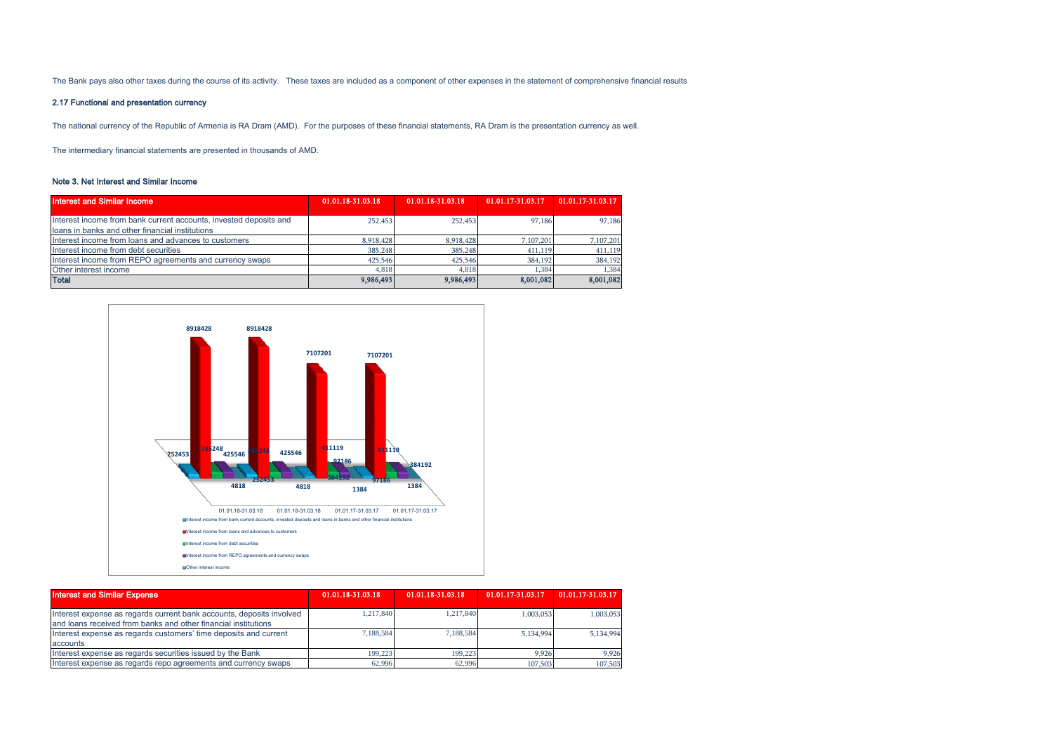The Bank pays also other taxes during the course of its activity. These taxes are included as a component of other expenses in the statement of comprehensive financial results

### 2.17 Functional and presentation currency

The national currency of the Republic of Armenia is RA Dram (AMD). For the purposes of these financial statements, RA Dram is the presentation currency as well.

The intermediary financial statements are presented in thousands of AMD.

### Note 3. Net Interest and Similar Income

| <b>Interest and Similar Income</b>                                                                                   | 01.01.18-31.03.18 | 01.01.18-31.03.18 | 01.01.17-31.03.17 | 01.01.17-31.03.17 |
|----------------------------------------------------------------------------------------------------------------------|-------------------|-------------------|-------------------|-------------------|
| Interest income from bank current accounts, invested deposits and<br>loans in banks and other financial institutions | 252,453           | 252,453           | 97,186            | 97,186            |
| Interest income from loans and advances to customers                                                                 | 8,918,428         | 8.918.428         | 7,107,201         | 7,107,201         |
| Interest income from debt securities                                                                                 | 385,248           | 385,248           | 411,119           | 411,119           |
| Interest income from REPO agreements and currency swaps                                                              | 425,546           | 425,546           | 384,192           | 384,192           |
| Other interest income                                                                                                | 4.818             | 4.818             | 1.384             | 1,384             |
| <b>Total</b>                                                                                                         | 9,986,493         | 9,986,493         | 8,001,082         | 8,001,082         |



| <b>Interest and Similar Expense</b>                                  | 01.01.18-31.03.18 | 01.01.18-31.03.18 | 01.01.17-31.03.17 | 01.01.17-31.03.17 |
|----------------------------------------------------------------------|-------------------|-------------------|-------------------|-------------------|
| Interest expense as regards current bank accounts, deposits involved | 1.217.840         | 1.217.840         | 1.003.053         | 1.003.053         |
| and loans received from banks and other financial institutions       |                   |                   |                   |                   |
| Interest expense as regards customers' time deposits and current     | 7.188.584         | 7.188.584         | 5.134.994         | 5.134.994         |
| accounts                                                             |                   |                   |                   |                   |
| Interest expense as regards securities issued by the Bank            | 199,223           | 199.223           | 9.926             | 9.926             |
| Interest expense as regards repo agreements and currency swaps       | 62,996            | 62.996            | 107,503           | 107,503           |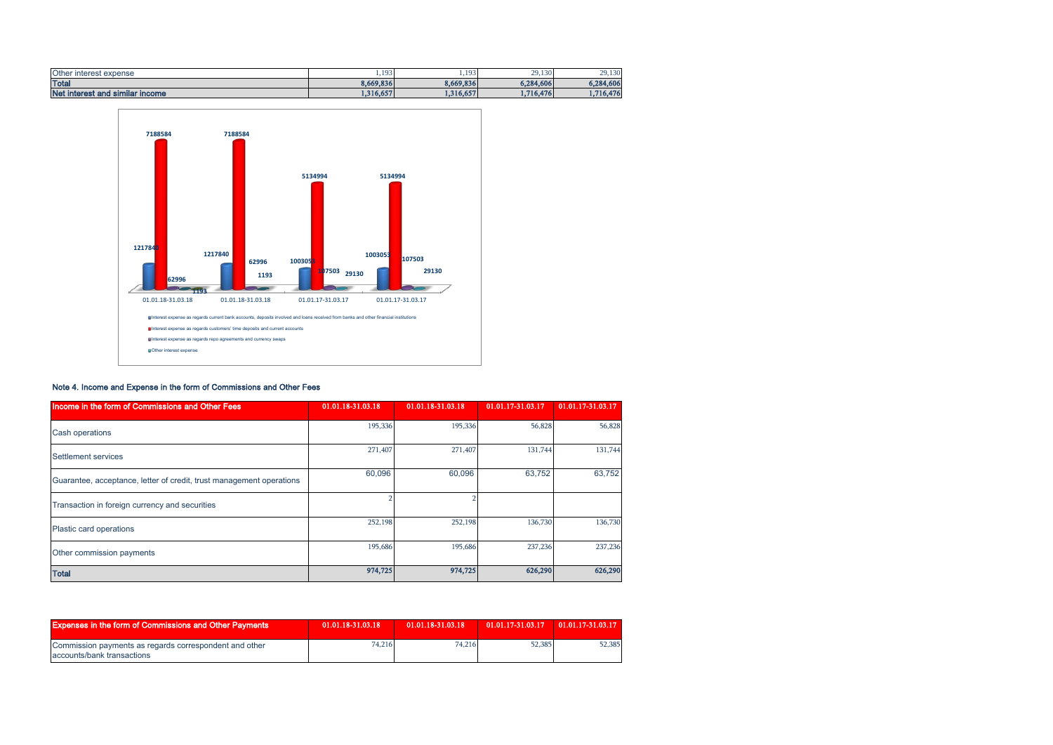| <b>Other</b><br>∵interest expense | 103<br>.  | 103<br>,  | 29,130    | 29,130    |
|-----------------------------------|-----------|-----------|-----------|-----------|
| <b>Total</b>                      | 8,669,836 | 8,669,836 | 6,284,606 | 6.284.606 |
| Net interest and similar income   | 1,316,657 | 1,316,657 | 1,716,476 | 1,716,476 |



### Note 4. Income and Expense in the form of Commissions and Other Fees

| Income in the form of Commissions and Other Fees                     | 01.01.18-31.03.18 | 01.01.18-31.03.18 | 01.01.17-31.03.17 | 01.01.17-31.03.17 |
|----------------------------------------------------------------------|-------------------|-------------------|-------------------|-------------------|
| <b>Cash operations</b>                                               | 195,336           | 195,336           | 56,828            | 56,828            |
| Settlement services                                                  | 271,407           | 271,407           | 131,744           | 131,744           |
| Guarantee, acceptance, letter of credit, trust management operations | 60,096            | 60,096            | 63,752            | 63,752            |
| Transaction in foreign currency and securities                       |                   |                   |                   |                   |
| Plastic card operations                                              | 252,198           | 252,198           | 136,730           | 136,730           |
| Other commission payments                                            | 195,686           | 195,686           | 237,236           | 237,236           |
| <b>Total</b>                                                         | 974,725           | 974,725           | 626,290           | 626,290           |

| <b>Expenses in the form of Commissions and Other Payments</b>                        | 01.01.18-31.03.18 | 01.01.18-31.03.18 | 01.01.17-31.03.17 01.01.17-31.03.17 |        |
|--------------------------------------------------------------------------------------|-------------------|-------------------|-------------------------------------|--------|
| Commission payments as regards correspondent and other<br>accounts/bank transactions | 74.216            | 74.216            | 52,385                              | 52,385 |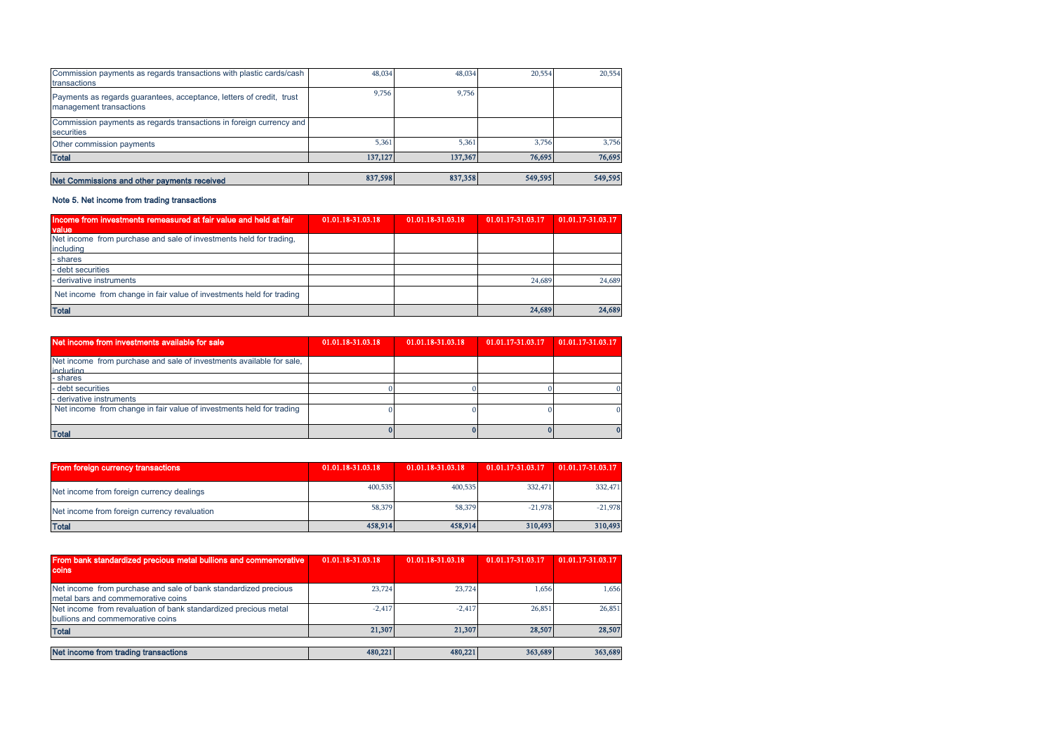|                                                                     |       | 20,554                       | 20,554                       |
|---------------------------------------------------------------------|-------|------------------------------|------------------------------|
|                                                                     | 9.756 |                              |                              |
| Commission payments as regards transactions in foreign currency and |       |                              |                              |
| 5,361                                                               | 5,361 | 3,756                        | 3,756                        |
|                                                                     |       | 76,695                       | 76,695                       |
|                                                                     |       | 549,595                      | 549,595                      |
|                                                                     | 9.756 | 48.034<br>137,127<br>837,598 | 48.034<br>137,367<br>837,358 |

### Note 5. Net income from trading transactions

| Income from investments remeasured at fair value and held at fair<br>value | 01.01.18-31.03.18 | 01.01.18-31.03.18 | 01.01.17-31.03.17 | 01.01.17-31.03.17 |
|----------------------------------------------------------------------------|-------------------|-------------------|-------------------|-------------------|
| Net income from purchase and sale of investments held for trading.         |                   |                   |                   |                   |
| including                                                                  |                   |                   |                   |                   |
| - shares                                                                   |                   |                   |                   |                   |
| - debt securities                                                          |                   |                   |                   |                   |
| derivative instruments                                                     |                   |                   | 24.689            | 24,689            |
| Net income from change in fair value of investments held for trading       |                   |                   |                   |                   |
| <b>Total</b>                                                               |                   |                   | 24,689            | 24,689            |

| Net income from investments available for sale                                    | 01.01.18-31.03.18 | 01.01.18-31.03.18 | 01.01.17-31.03.17 | 01.01.17-31.03.17 |
|-----------------------------------------------------------------------------------|-------------------|-------------------|-------------------|-------------------|
| Net income from purchase and sale of investments available for sale,<br>including |                   |                   |                   |                   |
| - shares                                                                          |                   |                   |                   |                   |
| - debt securities                                                                 |                   |                   |                   |                   |
| - derivative instruments                                                          |                   |                   |                   |                   |
| Net income from change in fair value of investments held for trading              |                   |                   |                   |                   |
| <b>Total</b>                                                                      |                   |                   |                   | $\bf{0}$          |

| <b>From foreign currency transactions</b>    | 01.01.18-31.03.18 | 01.01.18-31.03.18 | 01.01.17-31.03.17 | 01.01.17-31.03.17 |
|----------------------------------------------|-------------------|-------------------|-------------------|-------------------|
| Net income from foreign currency dealings    | 400,535           | 400,535           | 332.471           | 332,471           |
| Net income from foreign currency revaluation | 58,379            | 58,379            | $-21.978$         | $-21.978$         |
| <b>Total</b>                                 | 458,914           | 458,914           | 310,493           | 310,493           |

| From bank standardized precious metal bullions and commemorative<br>coins                             | 01.01.18-31.03.18 | 01.01.18-31.03.18 | 01.01.17-31.03.17 | 01.01.17-31.03.17 |
|-------------------------------------------------------------------------------------------------------|-------------------|-------------------|-------------------|-------------------|
| Net income from purchase and sale of bank standardized precious<br>metal bars and commemorative coins | 23,724            | 23,724            | 1.656             | 1,656             |
| Net income from revaluation of bank standardized precious metal<br>bullions and commemorative coins   | $-2.417$          | $-2.417$          | 26,851            | 26,851            |
| <b>Total</b>                                                                                          | 21,307            | 21.307            | 28,507            | 28,507            |
|                                                                                                       |                   |                   |                   |                   |
| Net income from trading transactions                                                                  | 480,221           | 480,221           | 363,689           | 363,689           |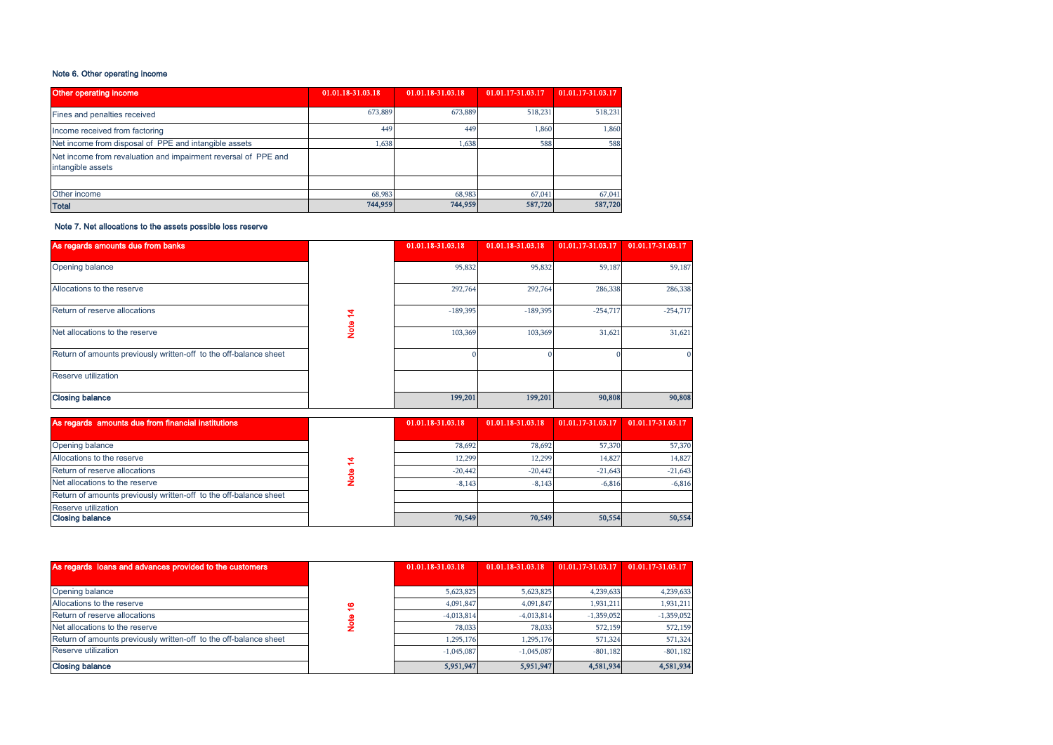### Note 6. Other operating income

| <b>Other operating income</b>                                                       | 01.01.18-31.03.18 | 01.01.18-31.03.18 | 01.01.17-31.03.17 | 01.01.17-31.03.17 |
|-------------------------------------------------------------------------------------|-------------------|-------------------|-------------------|-------------------|
| Fines and penalties received                                                        | 673.889           | 673,889           | 518,231           | 518,231           |
| Income received from factoring                                                      | 449               | 449               | 1,860             | 1,860             |
| Net income from disposal of PPE and intangible assets                               | 1.638             | 1,638             | 588               | 588               |
| Net income from revaluation and impairment reversal of PPE and<br>intangible assets |                   |                   |                   |                   |
|                                                                                     |                   |                   |                   |                   |
| Other income                                                                        | 68,983            | 68,983            | 67,041            | 67,041            |
| <b>Total</b>                                                                        | 744,959           | 744,959           | 587,720           | 587,720           |

### Note 7. Net allocations to the assets possible loss reserve

| As regards amounts due from banks                                 |   | 01.01.18-31.03.18 | 01.01.18-31.03.18 | 01.01.17-31.03.17 | 01.01.17-31.03.17 |
|-------------------------------------------------------------------|---|-------------------|-------------------|-------------------|-------------------|
| Opening balance                                                   |   | 95,832            | 95,832            | 59,187            | 59,187            |
| Allocations to the reserve                                        |   | 292,764           | 292,764           | 286,338           | 286,338           |
| Return of reserve allocations                                     |   | $-189,395$        | $-189,395$        | $-254,717$        | $-254,717$        |
| Net allocations to the reserve                                    | ğ | 103,369           | 103,369           | 31,621            | 31,621            |
| Return of amounts previously written-off to the off-balance sheet |   |                   |                   |                   |                   |
| Reserve utilization                                               |   |                   |                   |                   |                   |
| <b>Closing balance</b>                                            |   | 199,201           | 199,201           | 90,808            | 90,808            |

| As regards amounts due from financial institutions                | 01.01.18-31.03.18 | 01.01.18-31.03.18 | 01.01.17-31.03.17 | 01.01.17-31.03.17 |
|-------------------------------------------------------------------|-------------------|-------------------|-------------------|-------------------|
|                                                                   |                   |                   |                   |                   |
| Opening balance                                                   | 78.692            | 78.692            | 57,370            | 57,370            |
| Allocations to the reserve                                        | 12.299            | 12.299            | 14.827            | 14,827            |
| Return of reserve allocations                                     | $-20.442$         | $-20,442$         | $-21.643$         | $-21.643$         |
| Net allocations to the reserve                                    | $-8.143$          | $-8.143$          | $-6.816$          | $-6.816$          |
| Return of amounts previously written-off to the off-balance sheet |                   |                   |                   |                   |
| <b>Reserve utilization</b>                                        |                   |                   |                   |                   |
| <b>Closing balance</b>                                            | 70,549            | 70,549            | 50,554            | 50,554            |

| As regards loans and advances provided to the customers           |   | 01.01.18-31.03.18 | 01.01.18-31.03.18 |              | 01.01.17-31.03.17 01.01.17-31.03.17 |
|-------------------------------------------------------------------|---|-------------------|-------------------|--------------|-------------------------------------|
|                                                                   |   |                   |                   |              |                                     |
| Opening balance                                                   |   | 5,623,825         | 5,623,825         | 4,239,633    | 4,239,633                           |
| Allocations to the reserve                                        | G | 4.091.847         | 4,091,847         | 1.931.211    | 1,931,211                           |
| Return of reserve allocations                                     |   | $-4.013.814$      | $-4.013.814$      | $-1,359,052$ | $-1,359,052$                        |
| Net allocations to the reserve                                    |   | 78.033            | 78.033            | 572,159      | 572,159                             |
| Return of amounts previously written-off to the off-balance sheet |   | 1.295.176         | 1.295.176         | 571,324      | 571,324                             |
| Reserve utilization                                               |   | $-1.045.087$      | $-1.045.087$      | $-801.182$   | $-801,182$                          |
| <b>Closing balance</b>                                            |   | 5,951,947         | 5,951,947         | 4,581,934    | 4,581,934                           |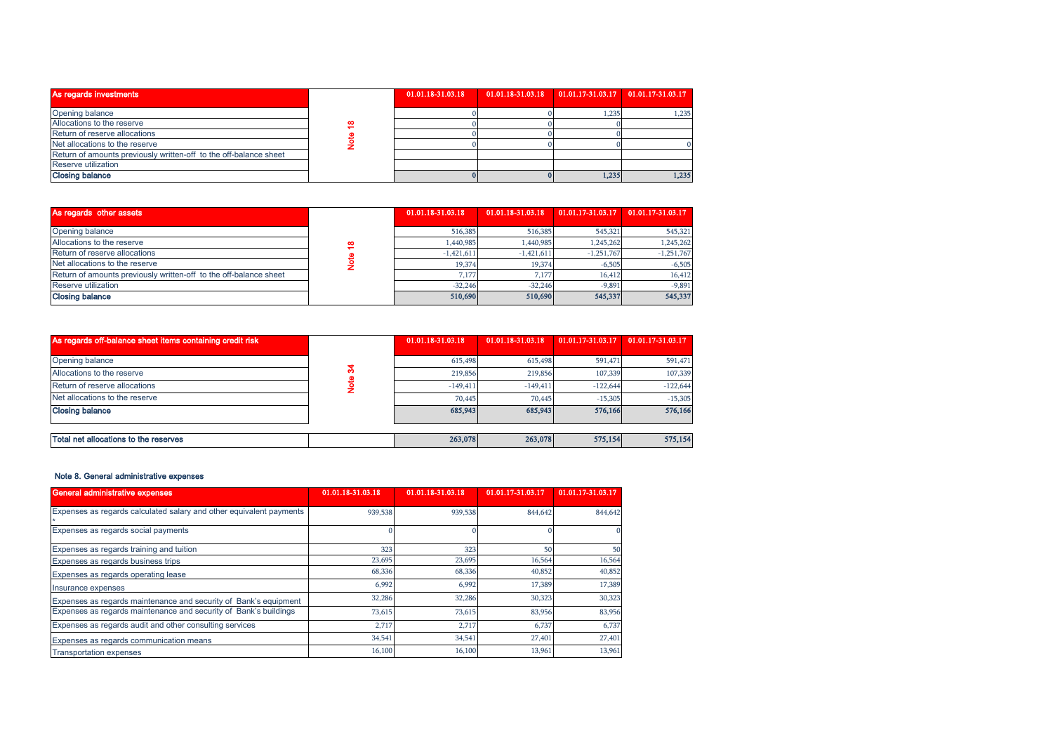| As regards investments                                            |    | 01.01.18-31.03.18 | 01.01.18-31.03.18 |       | $01.01.17 - 31.03.17$ $01.01.17 - 31.03.17$ |
|-------------------------------------------------------------------|----|-------------------|-------------------|-------|---------------------------------------------|
| Opening balance                                                   |    |                   |                   | .235  | 1,235                                       |
| Allocations to the reserve                                        | 60 |                   |                   |       |                                             |
| Return of reserve allocations                                     |    |                   |                   |       |                                             |
| Net allocations to the reserve                                    |    |                   |                   |       |                                             |
| Return of amounts previously written-off to the off-balance sheet |    |                   |                   |       |                                             |
| Reserve utilization                                               |    |                   |                   |       |                                             |
| <b>Closing balance</b>                                            |    |                   |                   | 1,235 | 1,235                                       |

| Allocations to the reserve                                        | œ |                   |                   |                   |                    |
|-------------------------------------------------------------------|---|-------------------|-------------------|-------------------|--------------------|
| Return of reserve allocations                                     |   |                   |                   |                   |                    |
| Net allocations to the reserve                                    |   |                   |                   |                   | $\Omega$           |
| Return of amounts previously written-off to the off-balance sheet |   |                   |                   |                   |                    |
| Reserve utilization                                               |   |                   |                   |                   |                    |
| <b>Closing balance</b>                                            |   |                   |                   | 1,235             | 1,235              |
|                                                                   |   |                   |                   |                   |                    |
| As regards other assets                                           |   | 01.01.18-31.03.18 | 01.01.18-31.03.18 | 01.01.17-31.03.17 | 01.01.17-31.03.17  |
| Opening balance                                                   |   | 516,385           | 516,385           | 545,321           | 545,321            |
| Allocations to the reserve                                        |   | 1,440,985         | 1,440,985         | 1,245,262         | 1,245,262          |
| Return of reserve allocations                                     | ₽ | $-1,421,611$      | $-1,421,611$      | $-1,251,767$      | $-1,251,767$       |
| Net allocations to the reserve                                    |   | 19,374            | 19,374            | $-6,505$          | $-6,505$           |
| Return of amounts previously written-off to the off-balance sheet | ē | 7.177             | 7.177             | 16,412            |                    |
| Reserve utilization                                               |   | $-32,246$         | $-32,246$         | $-9,891$          | 16,412<br>$-9,891$ |

| As regards off-balance sheet items containing credit risk | 01.01.18-31.03.18 | 01.01.18-31.03.18 | 01.01.17-31.03.17 | 01.01.17-31.03.17 |
|-----------------------------------------------------------|-------------------|-------------------|-------------------|-------------------|
|                                                           |                   |                   |                   |                   |
| Opening balance                                           | 615,498           | 615,498           | 591,471           | 591,471           |
| Allocations to the reserve                                | 219,856           | 219,856           | 107,339           | 107,339           |
| Return of reserve allocations                             | $-149.411$        | $-149.411$        | $-122.644$        | $-122,644$        |
| Net allocations to the reserve                            | 70,445            | 70,445            | $-15,305$         | $-15,305$         |
| <b>Closing balance</b>                                    | 685,943           | 685,943           | 576,166           | 576,166           |
|                                                           |                   |                   |                   |                   |
| Total net allocations to the reserves                     | 263,078           | 263,078           | 575,154           | 575,154           |

### Note 8. General administrative expenses

| General administrative expenses                                     | 01.01.18-31.03.18 | 01.01.18-31.03.18 | 01.01.17-31.03.17 | 01.01.17-31.03.17 |
|---------------------------------------------------------------------|-------------------|-------------------|-------------------|-------------------|
| Expenses as regards calculated salary and other equivalent payments | 939,538           | 939,538           | 844,642           | 844,642           |
| Expenses as regards social payments                                 |                   |                   |                   |                   |
| Expenses as regards training and tuition                            | 323               | 323               | 50                | 50                |
| Expenses as regards business trips                                  | 23,695            | 23,695            | 16,564            | 16,564            |
| Expenses as regards operating lease                                 | 68,336            | 68,336            | 40,852            | 40,852            |
| Insurance expenses                                                  | 6,992             | 6,992             | 17,389            | 17,389            |
| Expenses as regards maintenance and security of Bank's equipment    | 32,286            | 32,286            | 30,323            | 30,323            |
| Expenses as regards maintenance and security of Bank's buildings    | 73.615            | 73,615            | 83,956            | 83,956            |
| Expenses as regards audit and other consulting services             | 2,717             | 2,717             | 6,737             | 6,737             |
| Expenses as regards communication means                             | 34,541            | 34,541            | 27,401            | 27,401            |
| <b>Transportation expenses</b>                                      | 16,100            | 16,100            | 13,961            | 13,961            |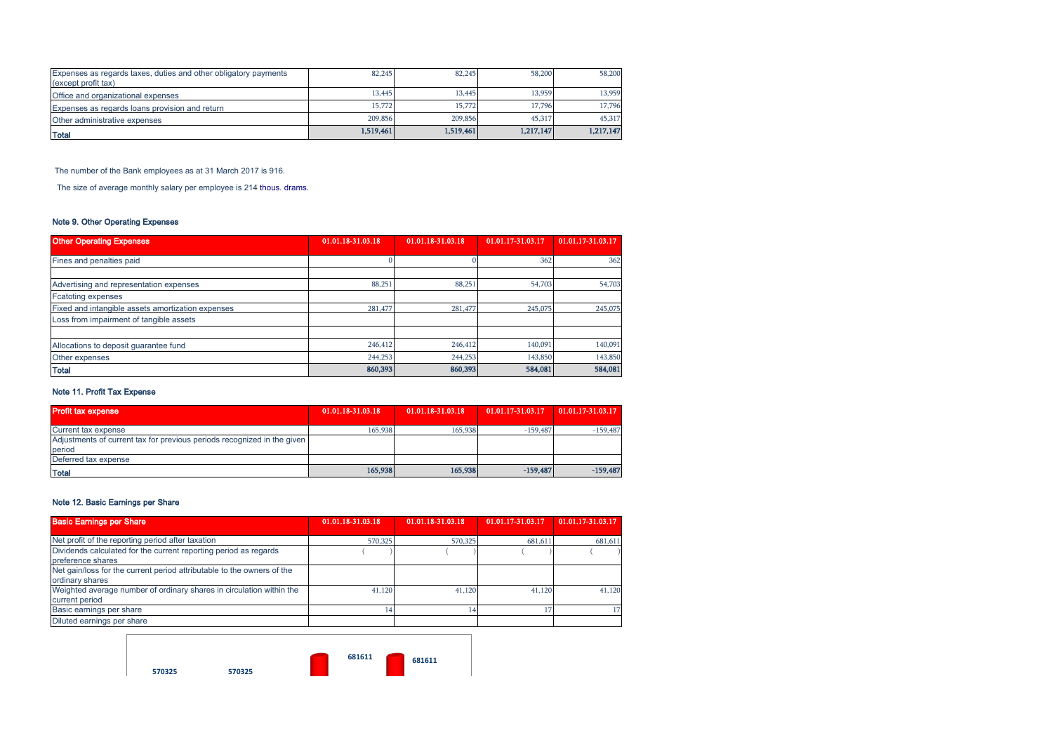| Expenses as regards taxes, duties and other obligatory payments<br>(except profit tax) | 82,245    | 82,245    | 58,200    | 58,200    |
|----------------------------------------------------------------------------------------|-----------|-----------|-----------|-----------|
| Office and organizational expenses                                                     | 13,445    | 13,445    | 13.959    | 13,959    |
| Expenses as regards loans provision and return                                         | 15,772    | 15,772    | 17.796    | 17.796    |
| Other administrative expenses                                                          | 209,856   | 209,856   | 45,317    | 45,317    |
| <b>Total</b>                                                                           | 1,519,461 | 1.519.461 | 1.217,147 | 1.217.147 |

The number of the Bank employees as at 31 March 2017 is 916.

The size of average monthly salary per employee is 214 thous. drams.

### Note 9. Other Operating Expenses

| <b>Other Operating Expenses</b>                   | 01.01.18-31.03.18 | 01.01.18-31.03.18 | 01.01.17-31.03.17 | 01.01.17-31.03.17 |
|---------------------------------------------------|-------------------|-------------------|-------------------|-------------------|
|                                                   |                   |                   |                   |                   |
| Fines and penalties paid                          |                   |                   | 362               | 362               |
|                                                   |                   |                   |                   |                   |
| Advertising and representation expenses           | 88.251            | 88,251            | 54,703            | 54,703            |
| <b>Fcatoting expenses</b>                         |                   |                   |                   |                   |
| Fixed and intangible assets amortization expenses | 281,477           | 281,477           | 245,075           | 245,075           |
| Loss from impairment of tangible assets           |                   |                   |                   |                   |
|                                                   |                   |                   |                   |                   |
| Allocations to deposit guarantee fund             | 246,412           | 246,412           | 140,091           | 140,091           |
| Other expenses                                    | 244,253           | 244,253           | 143,850           | 143,850           |
| <b>Total</b>                                      | 860,393           | 860,393           | 584,081           | 584,081           |

### Note 11. Profit Tax Expense

| <b>Profit tax expense</b>                                               | 01.01.18-31.03.18 | 01.01.18-31.03.18 | 01.01.17-31.03.17 | 01.01.17-31.03.17 |
|-------------------------------------------------------------------------|-------------------|-------------------|-------------------|-------------------|
| Current tax expense                                                     | 165,938           | 165,938           | $-159.487$        | $-159,487$        |
| Adjustments of current tax for previous periods recognized in the given |                   |                   |                   |                   |
| period                                                                  |                   |                   |                   |                   |
| Deferred tax expense                                                    |                   |                   |                   |                   |
| <b>Total</b>                                                            | 165,938           | 165,938           | $-159.487$        | $-159,487$        |

### Note 12. Basic Earnings per Share

| <b>Basic Earnings per Share</b>                                        | 01.01.18-31.03.18 | 01.01.18-31.03.18 | 01.01.17-31.03.17 | 01.01.17-31.03.17 |
|------------------------------------------------------------------------|-------------------|-------------------|-------------------|-------------------|
| Net profit of the reporting period after taxation                      | 570,325           | 570,325           | 681,611           | 681,611           |
| Dividends calculated for the current reporting period as regards       |                   |                   |                   |                   |
| preference shares                                                      |                   |                   |                   |                   |
| Net gain/loss for the current period attributable to the owners of the |                   |                   |                   |                   |
| ordinary shares                                                        |                   |                   |                   |                   |
| Weighted average number of ordinary shares in circulation within the   | 41,120            | 41,120            | 41,120            | 41,120            |
| current period                                                         |                   |                   |                   |                   |
| Basic earnings per share                                               | ، 4               |                   |                   |                   |
| Diluted earnings per share                                             |                   |                   |                   |                   |

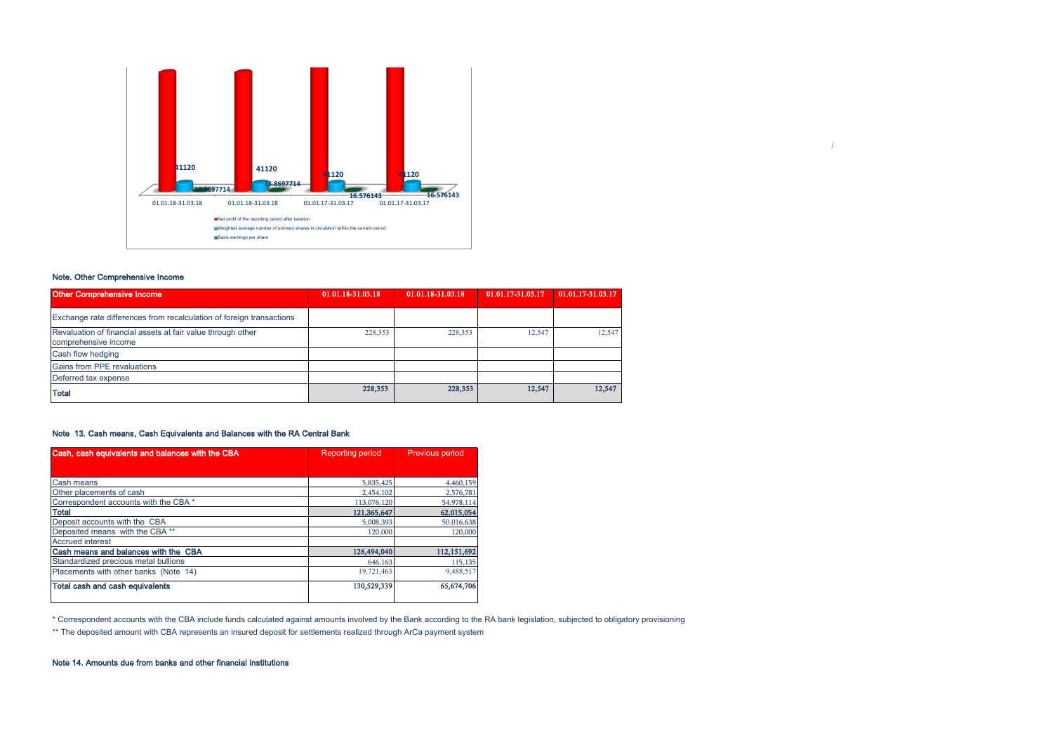

### Note. Other Comprehensive Income

| <b>Other Comprehensive Income</b>                                                   | 01.01.18-31.03.18 | 01.01.18-31.03.18 | 01.01.17-31.03.17 | 01.01.17-31.03.17 |
|-------------------------------------------------------------------------------------|-------------------|-------------------|-------------------|-------------------|
| Exchange rate differences from recalculation of foreign transactions                |                   |                   |                   |                   |
| Revaluation of financial assets at fair value through other<br>comprehensive income | 228,353           | 228,353           | 12.547            | 12,547            |
| Cash flow hedging                                                                   |                   |                   |                   |                   |
| <b>Gains from PPE revaluations</b>                                                  |                   |                   |                   |                   |
| Deferred tax expense                                                                |                   |                   |                   |                   |
| <b>Total</b>                                                                        | 228,353           | 228,353           | 12,547            | 12,547            |

/

### Note 13. Cash means, Cash Equivalents and Balances with the RA Central Bank

| Cash, cash equivalents and balances with the CBA | <b>Reporting period</b> | <b>Previous period</b> |
|--------------------------------------------------|-------------------------|------------------------|
|                                                  |                         |                        |
| Cash means                                       | 5,835,425               | 4,460,159              |
| Other placements of cash                         | 2,454,102               | 2,576,781              |
| Correspondent accounts with the CBA *            | 113,076,120             | 54,978,114             |
| <b>Total</b>                                     | 121.365,647             | 62,015,054             |
| Deposit accounts with the CBA                    | 5,008,393               | 50,016,638             |
| Deposited means with the CBA **                  | 120,000                 | 120,000                |
| <b>Accrued interest</b>                          |                         |                        |
| Cash means and balances with the CBA             | 126,494,040             | 112,151,692            |
| Standardized precious metal bullions             | 646,163                 | 115,135                |
| Placements with other banks (Note 14)            | 19,721,463              | 9,488,517              |
| Total cash and cash equivalents                  | 130,529,339             | 65,674,706             |

\* Correspondent accounts with the CBA include funds calculated against amounts involved by the Bank according to the RA bank legislation, subjected to obligatory provisioning

\*\* The deposited amount with CBA represents an insured deposit for settlements realized through ArCa payment system

### Note 14. Amounts due from banks and other financial institutions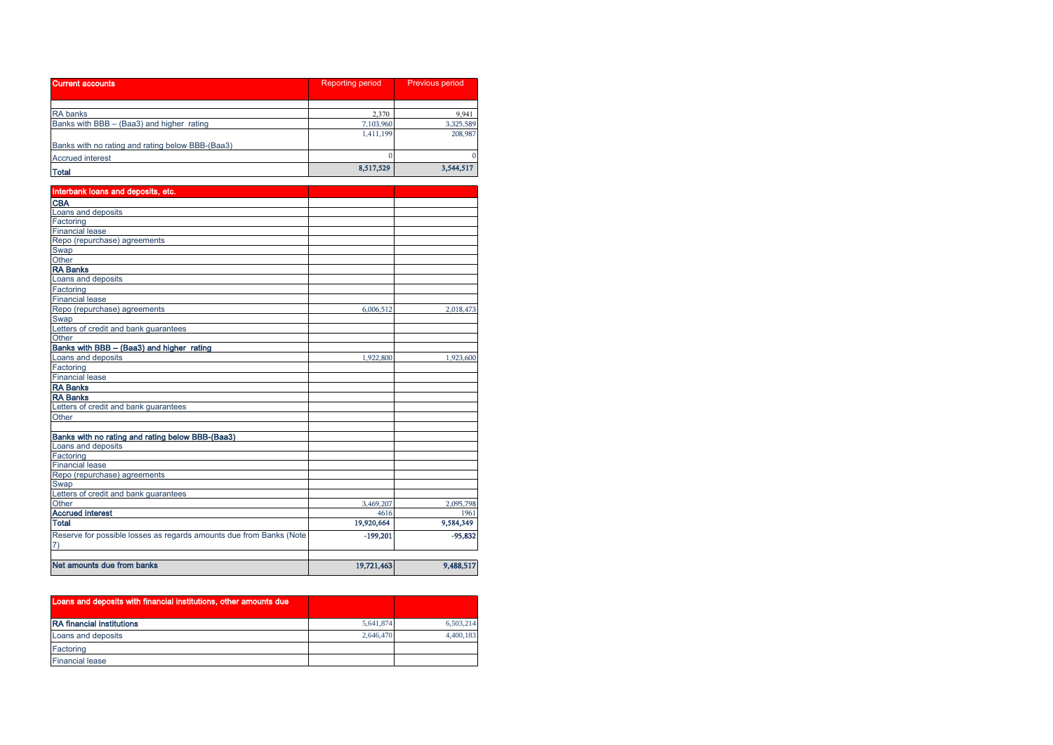| Current accounts                                 | <b>Reporting period</b> | Previous period |  |
|--------------------------------------------------|-------------------------|-----------------|--|
|                                                  |                         |                 |  |
| <b>RA</b> banks                                  | 2,370                   | 9,941           |  |
| Banks with BBB - (Baa3) and higher rating        | 7,103,960               | 3,325,589       |  |
|                                                  | 1,411,199               | 208,987         |  |
| Banks with no rating and rating below BBB-(Baa3) |                         |                 |  |
| <b>Accrued interest</b>                          |                         | $\Omega$        |  |
| <b>Total</b>                                     | 8,517,529               | 3,544,517       |  |

| Interbank loans and deposits, etc.                                  |            |           |
|---------------------------------------------------------------------|------------|-----------|
| <b>CBA</b>                                                          |            |           |
| Loans and deposits                                                  |            |           |
| Factoring                                                           |            |           |
| <b>Financial lease</b>                                              |            |           |
| Repo (repurchase) agreements                                        |            |           |
| Swap                                                                |            |           |
| Other                                                               |            |           |
| <b>RA Banks</b>                                                     |            |           |
| Loans and deposits                                                  |            |           |
| Factoring                                                           |            |           |
| <b>Financial lease</b>                                              |            |           |
| Repo (repurchase) agreements                                        | 6,006,512  | 2,018,473 |
| Swap                                                                |            |           |
| Letters of credit and bank guarantees                               |            |           |
| Other                                                               |            |           |
| Banks with BBB - (Baa3) and higher rating                           |            |           |
| Loans and deposits                                                  | 1,922,800  | 1,923,600 |
| Factoring                                                           |            |           |
| <b>Financial lease</b>                                              |            |           |
| <b>RA Banks</b>                                                     |            |           |
| <b>RA Banks</b>                                                     |            |           |
| Letters of credit and bank guarantees                               |            |           |
| Other                                                               |            |           |
|                                                                     |            |           |
| Banks with no rating and rating below BBB-(Baa3)                    |            |           |
| Loans and deposits                                                  |            |           |
| Factoring                                                           |            |           |
| <b>Financial lease</b>                                              |            |           |
| Repo (repurchase) agreements                                        |            |           |
| Swap                                                                |            |           |
| Letters of credit and bank quarantees                               |            |           |
| Other                                                               | 3,469,207  | 2,095,798 |
| <b>Accrued interest</b>                                             | 4616       | 1961      |
| <b>Total</b>                                                        | 19,920,664 | 9,584,349 |
| Reserve for possible losses as regards amounts due from Banks (Note | $-199,201$ | $-95,832$ |
| 7)                                                                  |            |           |
| Net amounts due from banks                                          | 19,721,463 | 9,488,517 |

| Loans and deposits with financial institutions, other amounts due |           |           |
|-------------------------------------------------------------------|-----------|-----------|
| <b>RA</b> financial institutions                                  | 5,641,874 | 6,503,214 |
| Loans and deposits                                                | 2.646,470 | 4.400.183 |
| Factoring                                                         |           |           |
| <b>Financial lease</b>                                            |           |           |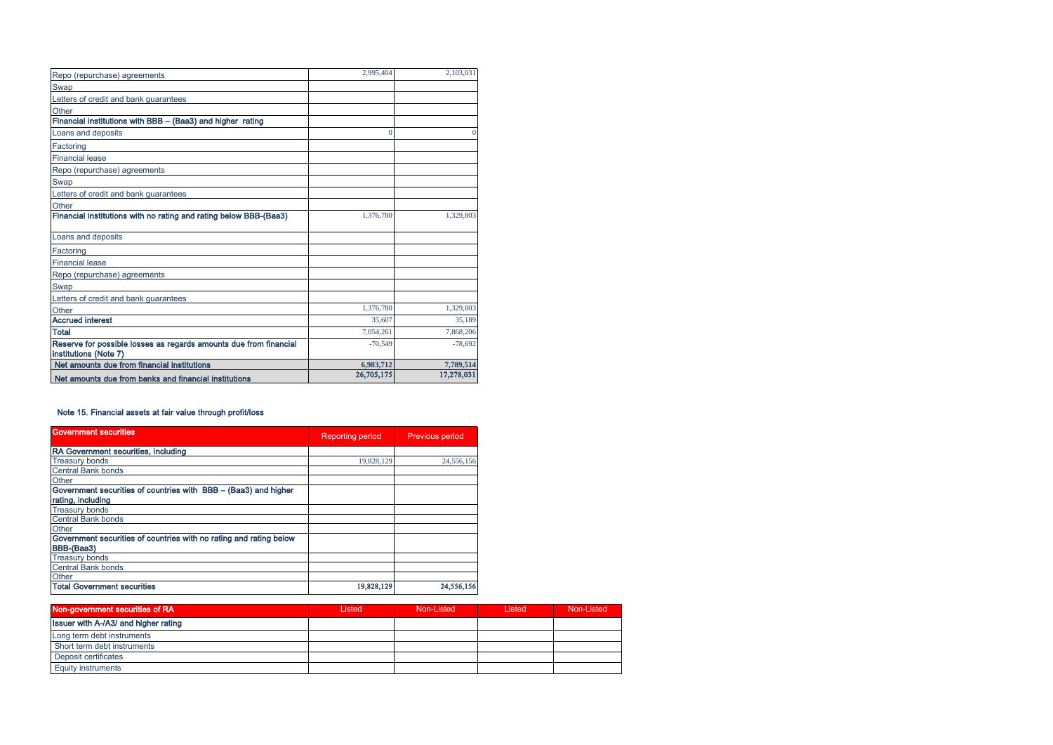| Repo (repurchase) agreements                                                               | 2,995,404  | 2.103.031  |
|--------------------------------------------------------------------------------------------|------------|------------|
| Swap                                                                                       |            |            |
| Letters of credit and bank guarantees                                                      |            |            |
| Other                                                                                      |            |            |
| Financial institutions with BBB - (Baa3) and higher rating                                 |            |            |
| Loans and deposits                                                                         |            |            |
| Factoring                                                                                  |            |            |
| <b>Financial lease</b>                                                                     |            |            |
| Repo (repurchase) agreements                                                               |            |            |
| Swap                                                                                       |            |            |
| Letters of credit and bank guarantees                                                      |            |            |
| Other                                                                                      |            |            |
| Financial institutions with no rating and rating below BBB-(Baa3)                          | 1,376,780  | 1.329.803  |
| Loans and deposits                                                                         |            |            |
| Factoring                                                                                  |            |            |
| <b>Financial lease</b>                                                                     |            |            |
| Repo (repurchase) agreements                                                               |            |            |
| Swap                                                                                       |            |            |
| Letters of credit and bank guarantees                                                      |            |            |
| Other                                                                                      | 1,376,780  | 1,329,803  |
| <b>Accrued interest</b>                                                                    | 35,607     | 35.189     |
| <b>Total</b>                                                                               | 7.054.261  | 7,868,206  |
| Reserve for possible losses as regards amounts due from financial<br>institutions (Note 7) | $-70.549$  | $-78,692$  |
| Net amounts due from financial institutions                                                | 6,983,712  | 7,789,514  |
| Net amounts due from banks and financial institutions                                      | 26,705,175 | 17,278,031 |

### Note 15. Financial assets at fair value through profit/loss

| <b>Government securities</b>                                       | <b>Reporting period</b> | Previous period |  |
|--------------------------------------------------------------------|-------------------------|-----------------|--|
| RA Government securities, including                                |                         |                 |  |
| <b>Treasury bonds</b>                                              | 19,828,129              | 24,556,156      |  |
| <b>Central Bank bonds</b>                                          |                         |                 |  |
| Other                                                              |                         |                 |  |
| Government securities of countries with BBB - (Baa3) and higher    |                         |                 |  |
| rating, including                                                  |                         |                 |  |
| <b>Treasury bonds</b>                                              |                         |                 |  |
| Central Bank bonds                                                 |                         |                 |  |
| Other                                                              |                         |                 |  |
| Government securities of countries with no rating and rating below |                         |                 |  |
| BBB-(Baa3)                                                         |                         |                 |  |
| <b>Treasury bonds</b>                                              |                         |                 |  |
| <b>Central Bank bonds</b>                                          |                         |                 |  |
| Other                                                              |                         |                 |  |
| <b>Total Government securities</b>                                 | 19,828,129              | 24,556,156      |  |

| Non-government securities of RA             | Listed | Non-Listed | Listed | Non-Listed |
|---------------------------------------------|--------|------------|--------|------------|
| <b>Issuer with A-/A3/ and higher rating</b> |        |            |        |            |
| Long term debt instruments                  |        |            |        |            |
| Short term debt instruments                 |        |            |        |            |
| Deposit certificates                        |        |            |        |            |
| <b>Equity instruments</b>                   |        |            |        |            |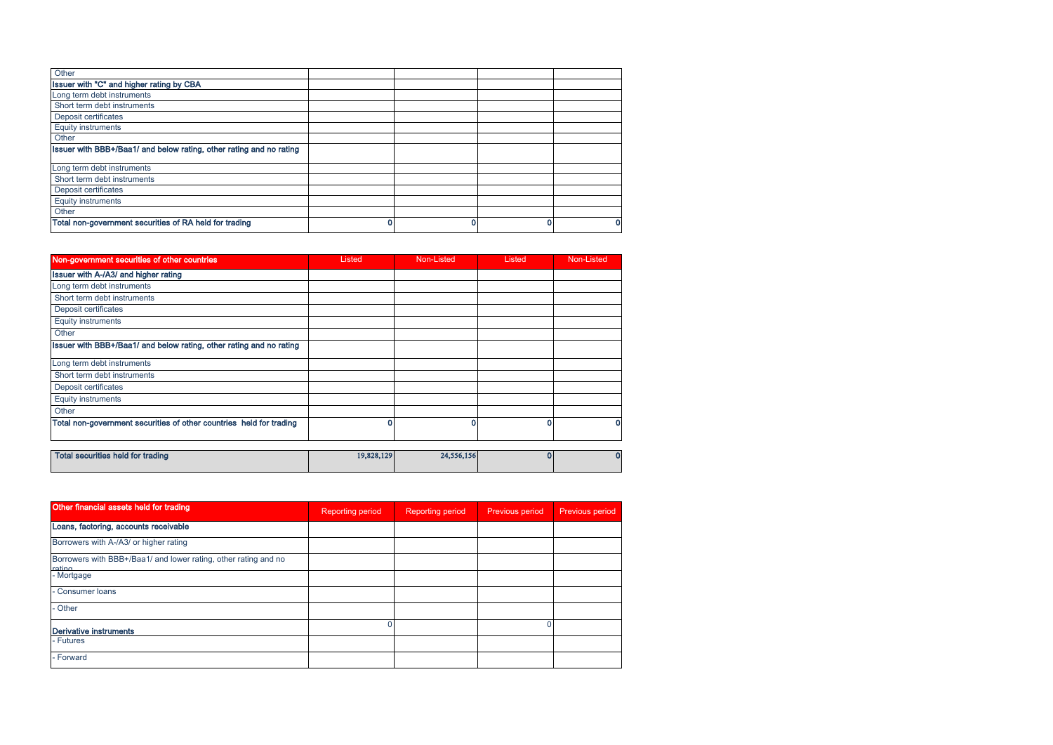| Other                                                               |  |   |
|---------------------------------------------------------------------|--|---|
| Issuer with "C" and higher rating by CBA                            |  |   |
| Long term debt instruments                                          |  |   |
| Short term debt instruments                                         |  |   |
| Deposit certificates                                                |  |   |
| <b>Equity instruments</b>                                           |  |   |
| Other                                                               |  |   |
| Issuer with BBB+/Baa1/ and below rating, other rating and no rating |  |   |
| Long term debt instruments                                          |  |   |
| Short term debt instruments                                         |  |   |
| Deposit certificates                                                |  |   |
| <b>Equity instruments</b>                                           |  |   |
| Other                                                               |  |   |
| Total non-government securities of RA held for trading              |  | 0 |

| Non-government securities of other countries                        | Listed | Non-Listed | Listed | Non-Listed |
|---------------------------------------------------------------------|--------|------------|--------|------------|
| Issuer with A-/A3/ and higher rating                                |        |            |        |            |
| Long term debt instruments                                          |        |            |        |            |
| Short term debt instruments                                         |        |            |        |            |
| Deposit certificates                                                |        |            |        |            |
| <b>Equity instruments</b>                                           |        |            |        |            |
| Other                                                               |        |            |        |            |
| Issuer with BBB+/Baa1/ and below rating, other rating and no rating |        |            |        |            |
| Long term debt instruments                                          |        |            |        |            |
| Short term debt instruments                                         |        |            |        |            |
| Deposit certificates                                                |        |            |        |            |
| <b>Equity instruments</b>                                           |        |            |        |            |
| Other                                                               |        |            |        |            |
| Total non-government securities of other countries held for trading | o      |            |        |            |
|                                                                     |        |            |        |            |

| Total securities held for trading | 19,828,129 | 24,556,156 | 01 |  |
|-----------------------------------|------------|------------|----|--|
|-----------------------------------|------------|------------|----|--|

| Other financial assets held for trading                                   | <b>Reporting period</b> | <b>Reporting period</b> | <b>Previous period</b> | Previous period |
|---------------------------------------------------------------------------|-------------------------|-------------------------|------------------------|-----------------|
| Loans, factoring, accounts receivable                                     |                         |                         |                        |                 |
| Borrowers with A-/A3/ or higher rating                                    |                         |                         |                        |                 |
| Borrowers with BBB+/Baa1/ and lower rating, other rating and no<br>rating |                         |                         |                        |                 |
| - Mortgage                                                                |                         |                         |                        |                 |
| Consumer loans                                                            |                         |                         |                        |                 |
| <b>Other</b>                                                              |                         |                         |                        |                 |
| Derivative instruments                                                    |                         |                         |                        |                 |
| - Futures                                                                 |                         |                         |                        |                 |
| - Forward                                                                 |                         |                         |                        |                 |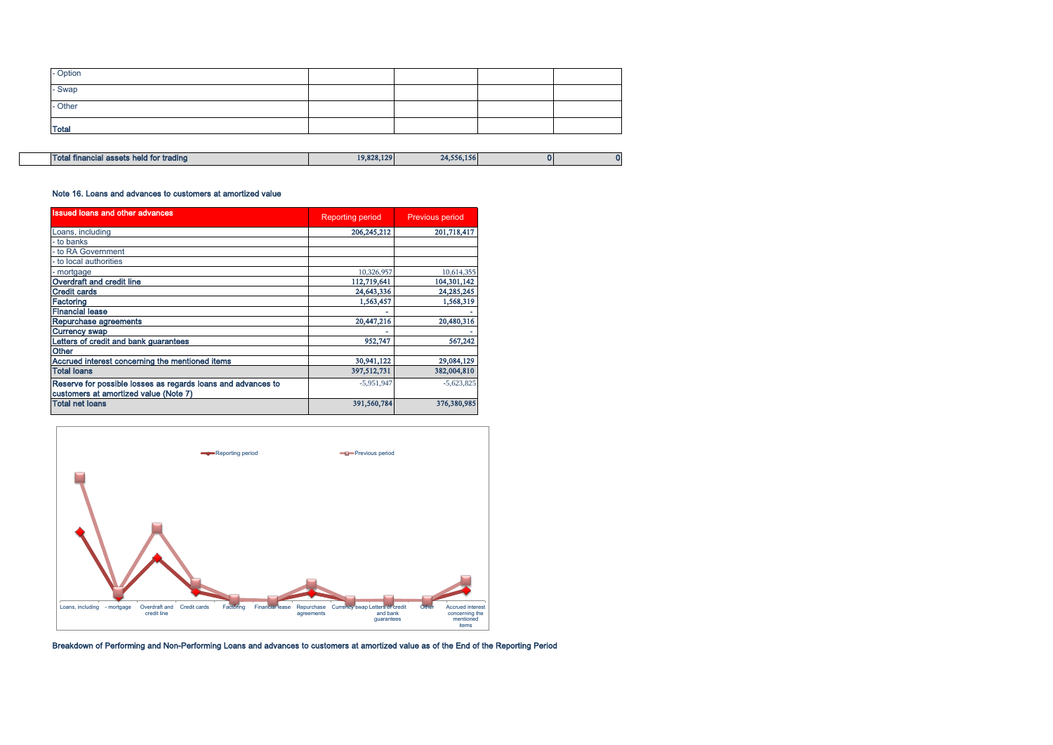| <b>Total</b> |  |  |
|--------------|--|--|
|              |  |  |
| - Other      |  |  |
| - Swap       |  |  |
| - Option     |  |  |

| Total financial assets held for trading | 19,828,129 | 24,556,156 |  |
|-----------------------------------------|------------|------------|--|

### Note 16. Loans and advances to customers at amortized value

| <b>Issued loans and other advances</b>                                                                | <b>Reporting period</b> | <b>Previous period</b> |
|-------------------------------------------------------------------------------------------------------|-------------------------|------------------------|
| Loans, including                                                                                      | 206,245,212             | 201,718,417            |
| - to banks                                                                                            |                         |                        |
| - to RA Government                                                                                    |                         |                        |
| - to local authorities                                                                                |                         |                        |
| - mortgage                                                                                            | 10,326,957              | 10,614,355             |
| Overdraft and credit line                                                                             | 112,719,641             | 104,301,142            |
| <b>Credit cards</b>                                                                                   | 24,643,336              | 24,285,245             |
| Factoring                                                                                             | 1,563,457               | 1,568,319              |
| <b>Financial lease</b>                                                                                |                         |                        |
| Repurchase agreements                                                                                 | 20,447,216              | 20,480,316             |
| <b>Currency swap</b>                                                                                  |                         |                        |
| Letters of credit and bank guarantees                                                                 | 952,747                 | 567,242                |
| <b>Other</b>                                                                                          |                         |                        |
| Accrued interest concerning the mentioned items                                                       | 30,941,122              | 29,084,129             |
| <b>Total loans</b>                                                                                    | 397,512,731             | 382,004,810            |
| Reserve for possible losses as regards loans and advances to<br>customers at amortized value (Note 7) | $-5,951,947$            | $-5,623,825$           |
| <b>Total net loans</b>                                                                                | 391,560,784             | 376,380,985            |



Breakdown of Performing and Non-Performing Loans and advances to customers at amortized value as of the End of the Reporting Period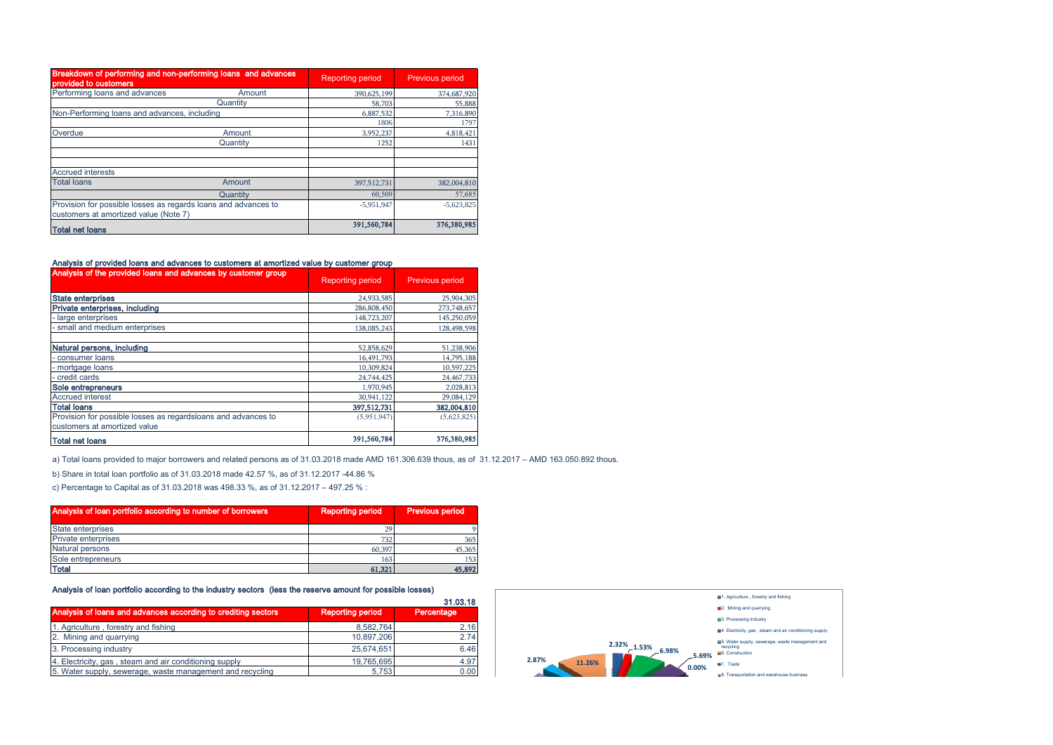| Breakdown of performing and non-performing loans and advances<br>provided to customers                  |          | <b>Reporting period</b> | Previous period |
|---------------------------------------------------------------------------------------------------------|----------|-------------------------|-----------------|
| Performing loans and advances                                                                           | Amount   | 390,625,199             | 374,687,920     |
|                                                                                                         | Quantity | 58,703                  | 55,888          |
| Non-Performing loans and advances, including                                                            |          | 6,887,532               | 7,316,890       |
|                                                                                                         |          | 1806                    | 1797            |
| Overdue                                                                                                 | Amount   | 3,952,237               | 4,818,421       |
|                                                                                                         | Quantity | 1252                    | 1431            |
| <b>Accrued interests</b>                                                                                |          |                         |                 |
| <b>Total loans</b>                                                                                      | Amount   | 397,512,731             | 382,004,810     |
|                                                                                                         | Quantity | 60,509                  | 57,685          |
| Provision for possible losses as regards loans and advances to<br>customers at amortized value (Note 7) |          | $-5.951.947$            | $-5,623,825$    |
| <b>Total net loans</b>                                                                                  |          | 391,560,784             | 376,380,985     |

### Analysis of provided loans and advances to customers at amortized value by customer group

| Analysis of the provided loans and advances by customer group | <b>Reporting period</b> | Previous period |  |
|---------------------------------------------------------------|-------------------------|-----------------|--|
| <b>State enterprises</b>                                      | 24,933,585              | 25,904,305      |  |
| Private enterprises, including                                | 286,808,450             | 273,748,657     |  |
| large enterprises                                             | 148,723,207             | 145,250,059     |  |
| small and medium enterprises                                  | 138.085.243             | 128,498,598     |  |
| Natural persons, including                                    | 52,858,629              | 51,238,906      |  |
| - consumer loans                                              | 16,491,793              | 14,795,188      |  |
| - mortgage loans                                              | 10,309,824              | 10,597,225      |  |
| - credit cards                                                | 24,744,425              | 24,467,733      |  |
| Sole entrepreneurs                                            | 1,970,945               | 2,028,813       |  |
| <b>Accrued interest</b>                                       | 30,941,122              | 29,084,129      |  |
| <b>Total loans</b>                                            | 397.512.731             | 382,004,810     |  |
| Provision for possible losses as regardsloans and advances to | (5.951.947)             | (5,623,825)     |  |
| customers at amortized value                                  |                         |                 |  |
| <b>Total net loans</b>                                        | 391,560,784             | 376,380,985     |  |

a) Total loans provided to major borrowers and related persons as of 31.03.2018 made AMD 161.306.639 thous, as of 31.12.2017 – AMD 163.050.892 thous.

b) Share in total loan portfolio as of 31.03.2018 made 42.57 %, as of 31.12.2017 -44.86 %

c) Percentage to Capital as of 31.03.2018 was 498.33 %, as of 31.12.2017 – 497.25 % :

| Analysis of loan portfolio according to number of borrowers | <b>Reporting period</b> | <b>Previous period</b> |
|-------------------------------------------------------------|-------------------------|------------------------|
| State enterprises                                           | 79                      |                        |
| <b>Private enterprises</b>                                  | 732                     | 365                    |
| <b>Natural persons</b>                                      | 60,397                  | 45,365                 |
| Sole entrepreneurs                                          | 163                     | 153                    |
| <b>Total</b>                                                | 61,321                  | 45,892                 |

### Analysis of loan portfolio according to the industry sectors (less the reserve amount for possible losses)

|                                                               |                         | 31.03.18   |
|---------------------------------------------------------------|-------------------------|------------|
| Analysis of loans and advances according to crediting sectors | <b>Reporting period</b> | Percentage |
| 1. Agriculture, forestry and fishing                          | 8,582,764               | 2.16       |
| 2. Mining and quarrying                                       | 10,897,206              | 2.74       |
| 3. Processing industry                                        | 25.674.651              | 6.46       |
| 4. Electricity, gas, steam and air conditioning supply        | 19.765.695              | 4.97       |
| 5. Water supply, sewerage, waste management and recycling     | 5.753                   | 0.00       |

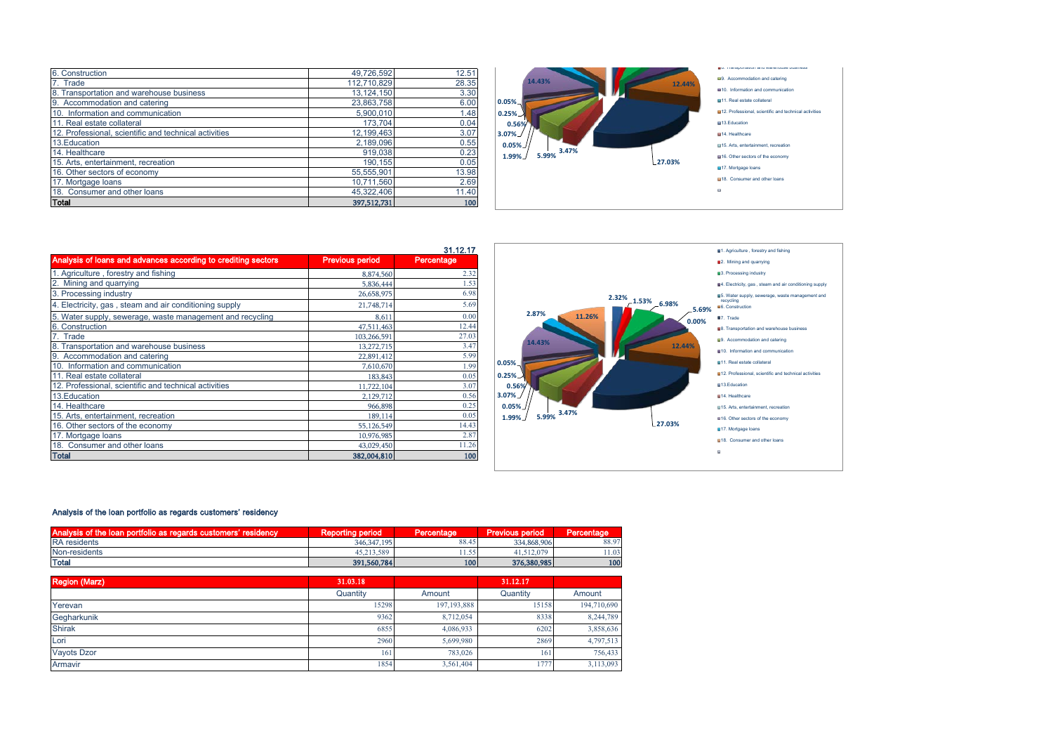| 6. Construction                                       | 49,726,592   | 12.51 |
|-------------------------------------------------------|--------------|-------|
| 7. Trade                                              | 112,710,829  | 28.35 |
| 8. Transportation and warehouse business              | 13, 124, 150 | 3.30  |
| 9. Accommodation and catering                         | 23,863,758   | 6.00  |
| 10. Information and communication                     | 5,900,010    | 1.48  |
| 11. Real estate collateral                            | 173,704      | 0.04  |
| 12. Professional, scientific and technical activities | 12,199,463   | 3.07  |
| 13. Education                                         | 2.189.096    | 0.55  |
| 14. Healthcare                                        | 919,038      | 0.23  |
| 15. Arts, entertainment, recreation                   | 190.155      | 0.05  |
| 16. Other sectors of economy                          | 55,555,901   | 13.98 |
| 17. Mortgage loans                                    | 10,711,560   | 2.69  |
| 18. Consumer and other loans                          | 45.322.406   | 11.40 |
| <b>Total</b>                                          | 397,512,731  | 100   |



|                                                               |                        | 31.12.17   |
|---------------------------------------------------------------|------------------------|------------|
| Analysis of loans and advances according to crediting sectors | <b>Previous period</b> | Percentage |
| 1. Agriculture, forestry and fishing                          | 8,874,560              | 2.32       |
| 2. Mining and quarrying                                       | 5,836,444              | 1.53       |
| 3. Processing industry                                        | 26,658,975             | 6.98       |
| 4. Electricity, gas, steam and air conditioning supply        | 21,748,714             | 5.69       |
| 5. Water supply, sewerage, waste management and recycling     | 8.611                  | 0.00       |
| 6. Construction                                               | 47,511,463             | 12.44      |
| 7. Trade                                                      | 103,266,591            | 27.03      |
| 8. Transportation and warehouse business                      | 13,272,715             | 3.47       |
| 9. Accommodation and catering                                 | 22,891,412             | 5.99       |
| 10. Information and communication                             | 7,610,670              | 1.99       |
| 11. Real estate collateral                                    | 183,843                | 0.05       |
| 12. Professional, scientific and technical activities         | 11,722,104             | 3.07       |
| 13. Education                                                 | 2.129.712              | 0.56       |
| 14. Healthcare                                                | 966,898                | 0.25       |
| 15. Arts, entertainment, recreation                           | 189,114                | 0.05       |
| 16. Other sectors of the economy                              | 55,126,549             | 14.43      |
| 17. Mortgage loans                                            | 10,976,985             | 2.87       |
| 18. Consumer and other loans                                  | 43,029,450             | 11.26      |
| <b>Total</b>                                                  | 382,004,810            | 100        |



### Analysis of the loan portfolio as regards customers' residency

| as of the loan portfolio as regards customers' re<br>residency<br>l Analysis. | Repor<br>period<br>ure. | Percentage | <b>Previous period</b> | Percentage |
|-------------------------------------------------------------------------------|-------------------------|------------|------------------------|------------|
| <b>RA</b> residents                                                           | 346, 347, 195           | 88.45      | 334,868,906            | 88.97      |
| Non-residents                                                                 | 45.213.589              | 55<br>.    | 41.512.079             | .1.03      |
| <b>Total</b>                                                                  | 391,560,784             | 100        | 376,380,985            | 100        |

| <b>Region (Marz)</b> | 31.03.18 |               | 31.12.17 |             |
|----------------------|----------|---------------|----------|-------------|
|                      | Quantity | Amount        | Quantity | Amount      |
| Yerevan              | 15298    | 197, 193, 888 | 15158    | 194,710,690 |
| Gegharkunik          | 9362     | 8,712,054     | 8338     | 8,244,789   |
| <b>Shirak</b>        | 6855     | 4,086,933     | 6202     | 3,858,636   |
| Lori                 | 2960     | 5,699,980     | 2869     | 4,797,513   |
| <b>Vayots Dzor</b>   | 161      | 783,026       | 161      | 756,433     |
| Armavir              | 1854     | 3,561,404     | 1777     | 3,113,093   |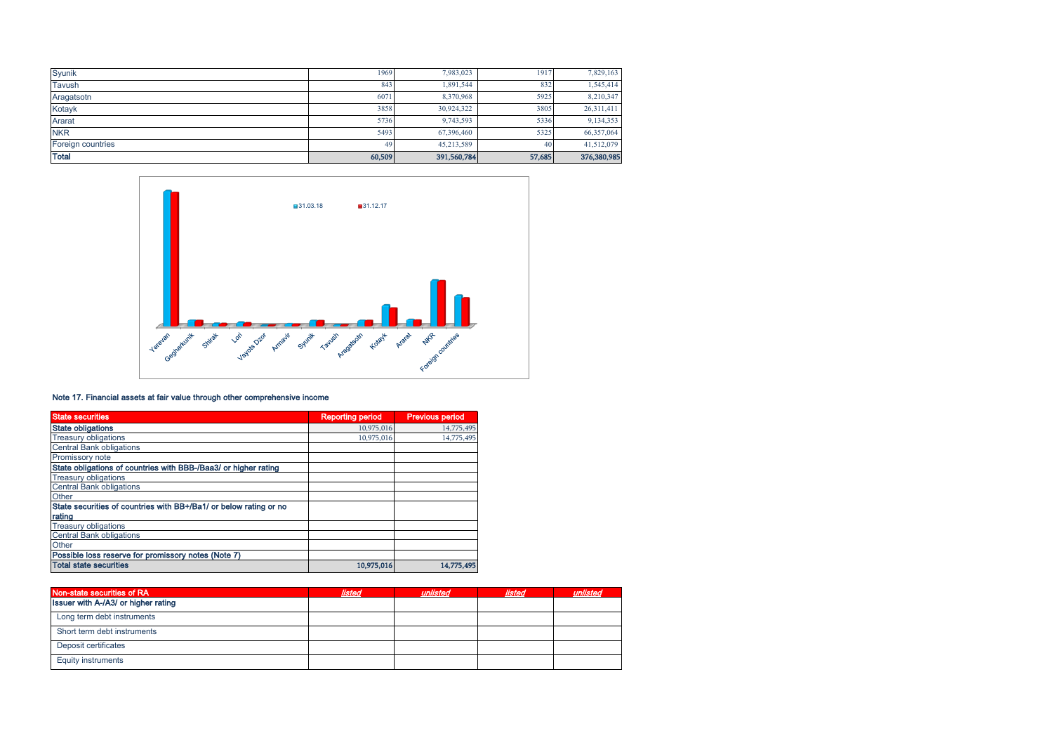| Syunik            | 1969   | 7,983,023   | 1917   | 7,829,163   |
|-------------------|--------|-------------|--------|-------------|
| Tavush            | 843    | 1,891,544   | 832    | 1,545,414   |
| Aragatsotn        | 6071   | 8,370,968   | 5925   | 8,210,347   |
| Kotayk            | 3858   | 30,924,322  | 3805   | 26,311,411  |
| Ararat            | 5736   | 9,743,593   | 5336   | 9,134,353   |
| <b>NKR</b>        | 5493   | 67,396,460  | 5325   | 66,357,064  |
| Foreign countries | 49     | 45,213,589  | 40     | 41,512,079  |
| <b>Total</b>      | 60,509 | 391,560,784 | 57,685 | 376,380,985 |



### Note 17. Financial assets at fair value through other comprehensive income

| <b>State securities</b>                                           | <b>Reporting period</b> | <b>Previous period</b> |
|-------------------------------------------------------------------|-------------------------|------------------------|
| <b>State obligations</b>                                          | 10,975,016              | 14,775,495             |
| <b>Treasury obligations</b>                                       | 10,975,016              | 14,775,495             |
| <b>Central Bank obligations</b>                                   |                         |                        |
| Promissory note                                                   |                         |                        |
| State obligations of countries with BBB-/Baa3/ or higher rating   |                         |                        |
| <b>Treasury obligations</b>                                       |                         |                        |
| <b>Central Bank obligations</b>                                   |                         |                        |
| Other                                                             |                         |                        |
| State securities of countries with BB+/Ba1/ or below rating or no |                         |                        |
| rating                                                            |                         |                        |
| <b>Treasury obligations</b>                                       |                         |                        |
| <b>Central Bank obligations</b>                                   |                         |                        |
| Other                                                             |                         |                        |
| Possible loss reserve for promissory notes (Note 7)               |                         |                        |
| <b>Total state securities</b>                                     | 10,975,016              | 14,775,495             |

| Non-state securities of RA          | listed | unlisted | <b>Ilsted</b> | unlisted |
|-------------------------------------|--------|----------|---------------|----------|
| Issuer with A-/A3/ or higher rating |        |          |               |          |
| Long term debt instruments          |        |          |               |          |
| Short term debt instruments         |        |          |               |          |
| Deposit certificates                |        |          |               |          |
| <b>Equity instruments</b>           |        |          |               |          |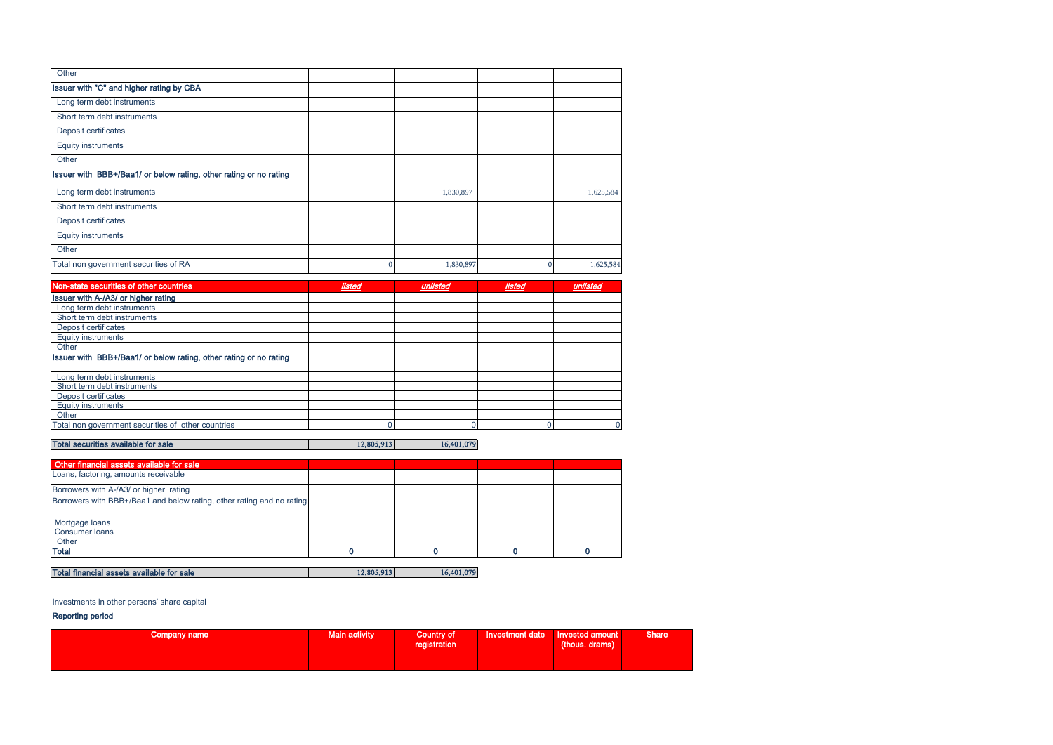| Other                                                             |           |           |
|-------------------------------------------------------------------|-----------|-----------|
| Issuer with "C" and higher rating by CBA                          |           |           |
| Long term debt instruments                                        |           |           |
| Short term debt instruments                                       |           |           |
| Deposit certificates                                              |           |           |
| <b>Equity instruments</b>                                         |           |           |
| Other                                                             |           |           |
| Issuer with BBB+/Baa1/ or below rating, other rating or no rating |           |           |
| Long term debt instruments                                        | 1,830,897 | 1,625,584 |
| Short term debt instruments                                       |           |           |
| Deposit certificates                                              |           |           |
| <b>Equity instruments</b>                                         |           |           |
| Other                                                             |           |           |
| Total non government securities of RA                             | 1,830,897 | 1,625,584 |

| Non-state securities of other countries                           | <b>listed</b> | unlisted | <b>listed</b> | unlisted |
|-------------------------------------------------------------------|---------------|----------|---------------|----------|
| <b>Issuer with A-/A3/ or higher rating</b>                        |               |          |               |          |
| Long term debt instruments                                        |               |          |               |          |
| Short term debt instruments                                       |               |          |               |          |
| Deposit certificates                                              |               |          |               |          |
| <b>Equity instruments</b>                                         |               |          |               |          |
| Other                                                             |               |          |               |          |
| Issuer with BBB+/Baa1/ or below rating, other rating or no rating |               |          |               |          |
| Long term debt instruments                                        |               |          |               |          |
| Short term debt instruments                                       |               |          |               |          |
| Deposit certificates                                              |               |          |               |          |
| <b>Equity instruments</b>                                         |               |          |               |          |
| Other                                                             |               |          |               |          |
| Total non government securities of other countries                |               |          |               |          |

## Total securities available for sale 16,401,079

| Other financial assets available for sale                             |  |  |
|-----------------------------------------------------------------------|--|--|
| Loans, factoring, amounts receivable                                  |  |  |
| Borrowers with A-/A3/ or higher rating                                |  |  |
| Borrowers with BBB+/Baa1 and below rating, other rating and no rating |  |  |
| Mortgage loans                                                        |  |  |
| <b>Consumer loans</b>                                                 |  |  |
| Other                                                                 |  |  |
| <b>Total</b>                                                          |  |  |

### Total financial assets available for sale 12,805,913 16,401,079

### Investments in other persons' share capital

### Reporting period

| Company name | Main activity | Country of<br>registration | Investment date Invested amount | (thous. drams) | Share <sup>1</sup> |
|--------------|---------------|----------------------------|---------------------------------|----------------|--------------------|
|              |               |                            |                                 |                |                    |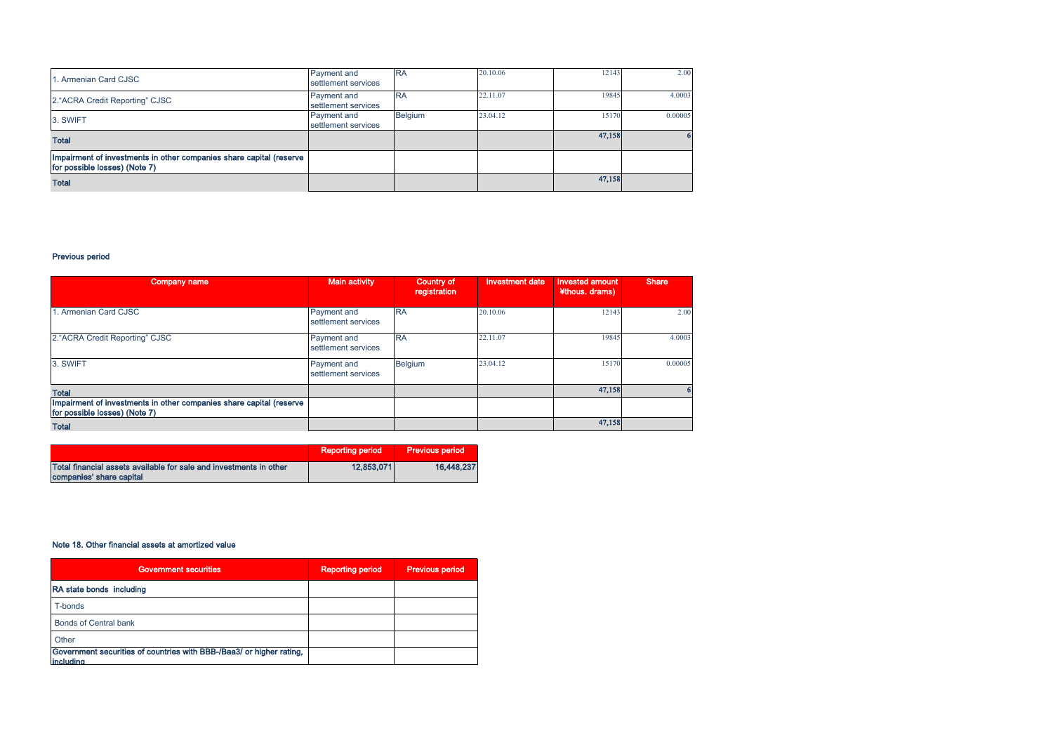| 1. Armenian Card CJSC                                                                                | <b>Payment</b> and<br>settlement services | <b>RA</b>      | 20.10.06 | 12143  | 2.00    |
|------------------------------------------------------------------------------------------------------|-------------------------------------------|----------------|----------|--------|---------|
| 2. "ACRA Credit Reporting" CJSC                                                                      | Payment and<br>settlement services        | <b>RA</b>      | 22.11.07 | 19845  | 4.0003  |
| 3. SWIFT                                                                                             | Payment and<br>settlement services        | <b>Belgium</b> | 23.04.12 | 15170  | 0.00005 |
| Total                                                                                                |                                           |                |          | 47,158 |         |
| Impairment of investments in other companies share capital (reserve<br>for possible losses) (Note 7) |                                           |                |          |        |         |
| <b>Total</b>                                                                                         |                                           |                |          | 47,158 |         |

### Previous period

| Company name                                                                                         | Main activity                      | Country of<br>registration | <b>Investment date</b> | <b>Invested amount</b><br>¥thous. drams) | <b>Share</b> |
|------------------------------------------------------------------------------------------------------|------------------------------------|----------------------------|------------------------|------------------------------------------|--------------|
| 1. Armenian Card CJSC                                                                                | Payment and<br>settlement services | <b>RA</b>                  | 20.10.06               | 12143                                    | 2.00         |
| 2. "ACRA Credit Reporting" CJSC                                                                      | Payment and<br>settlement services | <b>RA</b>                  | 22.11.07               | 19845                                    | 4.0003       |
| 3. SWIFT                                                                                             | Payment and<br>settlement services | Belgium                    | 23.04.12               | 15170                                    | 0.00005      |
| <b>Total</b>                                                                                         |                                    |                            |                        | 47,158                                   |              |
| Impairment of investments in other companies share capital (reserve<br>for possible losses) (Note 7) |                                    |                            |                        |                                          |              |
| <b>Total</b>                                                                                         |                                    |                            |                        | 47,158                                   |              |

|                                                                                                | Reporting period | <b>Previous period</b> |
|------------------------------------------------------------------------------------------------|------------------|------------------------|
| Total financial assets available for sale and investments in other<br>companies' share capital | 12.853.071       | 16.448.237             |

### Note 18. Other financial assets at amortized value

| <b>Government securities</b>                                                             | <b>Reporting period</b> | <b>Previous period</b> |
|------------------------------------------------------------------------------------------|-------------------------|------------------------|
| RA state bonds including                                                                 |                         |                        |
| T-bonds                                                                                  |                         |                        |
| Bonds of Central bank                                                                    |                         |                        |
| Other                                                                                    |                         |                        |
| Government securities of countries with BBB-/Baa3/ or higher rating,<br><i>including</i> |                         |                        |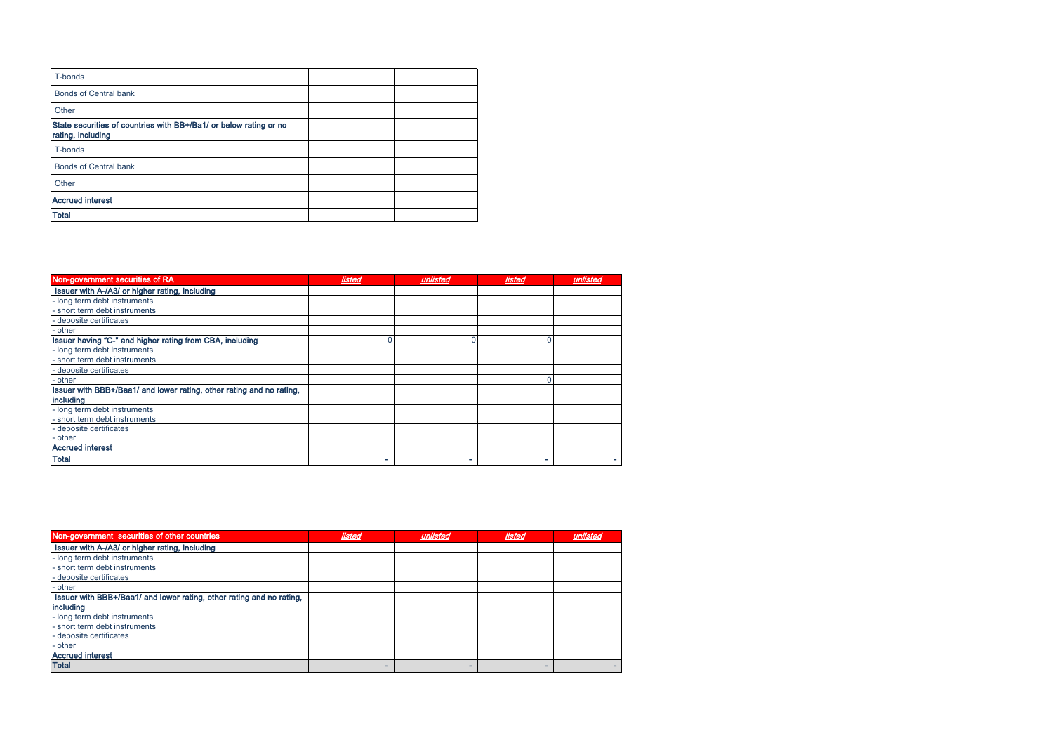| T-bonds                                                                                |  |
|----------------------------------------------------------------------------------------|--|
| <b>Bonds of Central bank</b>                                                           |  |
| Other                                                                                  |  |
| State securities of countries with BB+/Ba1/ or below rating or no<br>rating, including |  |
| T-bonds                                                                                |  |
| <b>Bonds of Central bank</b>                                                           |  |
| Other                                                                                  |  |
| <b>Accrued interest</b>                                                                |  |
| <b>Total</b>                                                                           |  |

| Non-government securities of RA                                      | <b>listed</b> | unlisted | <b>listed</b> | unlisted |
|----------------------------------------------------------------------|---------------|----------|---------------|----------|
| Issuer with A-/A3/ or higher rating, including                       |               |          |               |          |
| long term debt instruments                                           |               |          |               |          |
| - short term debt instruments                                        |               |          |               |          |
| - deposite certificates                                              |               |          |               |          |
| - other                                                              |               |          |               |          |
| Issuer having "C-" and higher rating from CBA, including             |               |          |               |          |
| long term debt instruments                                           |               |          |               |          |
| - short term debt instruments                                        |               |          |               |          |
| - deposite certificates                                              |               |          |               |          |
| - other                                                              |               |          |               |          |
| Issuer with BBB+/Baa1/ and lower rating, other rating and no rating, |               |          |               |          |
| including                                                            |               |          |               |          |
| long term debt instruments                                           |               |          |               |          |
| - short term debt instruments                                        |               |          |               |          |
| - deposite certificates                                              |               |          |               |          |
| - other                                                              |               |          |               |          |
| <b>Accrued interest</b>                                              |               |          |               |          |
| <b>Total</b>                                                         |               |          |               |          |

| Non-government securities of other countries                         | <b>listed</b> | unlisted | listed | unlisted |
|----------------------------------------------------------------------|---------------|----------|--------|----------|
| Issuer with A-/A3/ or higher rating, including                       |               |          |        |          |
| - long term debt instruments                                         |               |          |        |          |
| - short term debt instruments                                        |               |          |        |          |
| - deposite certificates                                              |               |          |        |          |
| - other                                                              |               |          |        |          |
| Issuer with BBB+/Baa1/ and lower rating, other rating and no rating, |               |          |        |          |
| including                                                            |               |          |        |          |
| - long term debt instruments                                         |               |          |        |          |
| - short term debt instruments                                        |               |          |        |          |
| - deposite certificates                                              |               |          |        |          |
| - other                                                              |               |          |        |          |
| <b>Accrued interest</b>                                              |               |          |        |          |
| <b>Total</b>                                                         |               |          |        |          |
|                                                                      |               |          |        |          |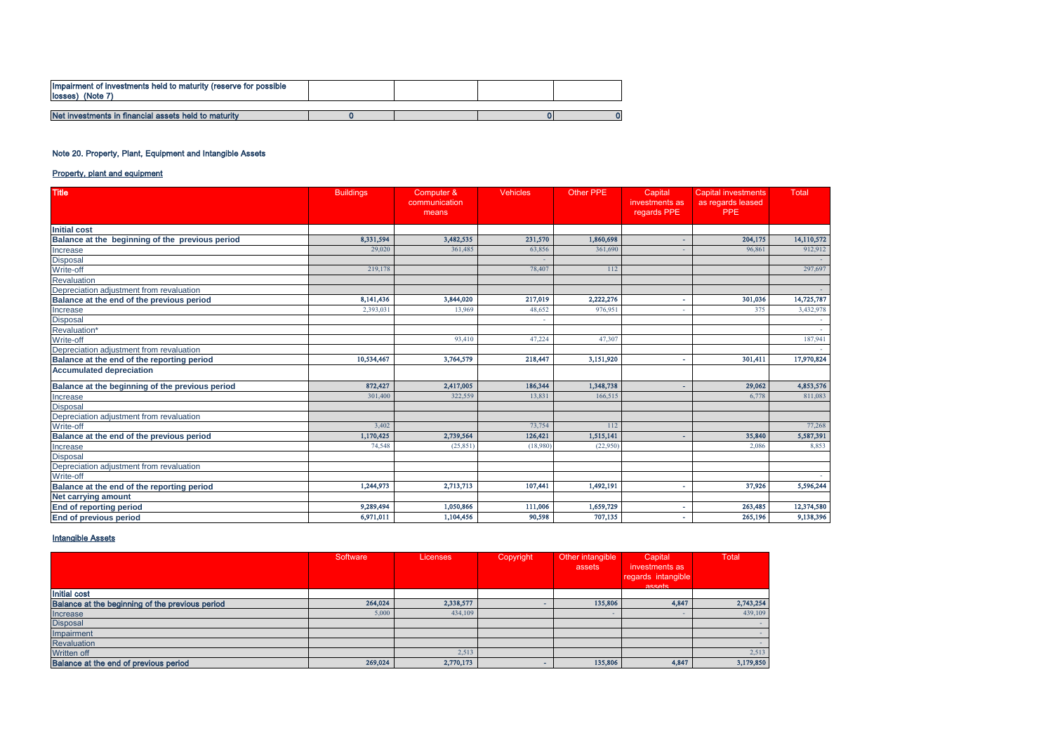| Impairment of investments held to maturity (reserve for possible<br>losses) (Note 7) |  |  |
|--------------------------------------------------------------------------------------|--|--|
|                                                                                      |  |  |
| Net investments in financial assets held to maturity                                 |  |  |

### Note 20. Property, Plant, Equipment and Intangible Assets

### Property, plant and equipment

| <b>Title</b>                                                     | <b>Buildings</b> | Computer &             | <b>Vehicles</b> | <b>Other PPE</b> | Capital                       | <b>Capital investments</b>      | <b>Total</b> |
|------------------------------------------------------------------|------------------|------------------------|-----------------|------------------|-------------------------------|---------------------------------|--------------|
|                                                                  |                  | communication<br>means |                 |                  | investments as<br>regards PPE | as regards leased<br><b>PPE</b> |              |
| <b>Initial cost</b>                                              |                  |                        |                 |                  |                               |                                 |              |
| Balance at the beginning of the previous period                  | 8,331,594        | 3,482,535              | 231,570         | 1,860,698        |                               | 204,175                         | 14,110,572   |
| Increase                                                         | 29,020           | 361,485                | 63,856          | 361,690          |                               | 96,861                          | 912,912      |
| <b>Disposal</b>                                                  |                  |                        |                 |                  |                               |                                 |              |
| Write-off                                                        | 219,178          |                        | 78,407          | 112              |                               |                                 | 297,697      |
| Revaluation                                                      |                  |                        |                 |                  |                               |                                 |              |
| Depreciation adjustment from revaluation                         |                  |                        |                 |                  |                               |                                 |              |
| Balance at the end of the previous period                        | 8,141,436        | 3,844,020              | 217,019         | 2,222,276        |                               | 301,036                         | 14,725,787   |
| Increase                                                         | 2,393,031        | 13,969                 | 48,652          | 976,951          |                               | 375                             | 3,432,978    |
| <b>Disposal</b>                                                  |                  |                        |                 |                  |                               |                                 |              |
| Revaluation*                                                     |                  |                        |                 |                  |                               |                                 |              |
| Write-off                                                        |                  | 93,410                 | 47,224          | 47,307           |                               |                                 | 187,941      |
| Depreciation adjustment from revaluation                         |                  |                        |                 |                  |                               |                                 |              |
| Balance at the end of the reporting period                       | 10,534,467       | 3,764,579              | 218,447         | 3,151,920        |                               | 301,411                         | 17,970,824   |
| <b>Accumulated depreciation</b>                                  |                  |                        |                 |                  |                               |                                 |              |
| Balance at the beginning of the previous period                  | 872,427          | 2,417,005              | 186,344         | 1,348,738        |                               | 29,062                          | 4,853,576    |
| Increase                                                         | 301,400          | 322,559                | 13,831          | 166,515          |                               | 6,778                           | 811,083      |
| <b>Disposal</b>                                                  |                  |                        |                 |                  |                               |                                 |              |
| Depreciation adjustment from revaluation                         |                  |                        |                 |                  |                               |                                 |              |
| Write-off                                                        | 3,402            |                        | 73,754          | 112              |                               |                                 | 77,268       |
| Balance at the end of the previous period                        | 1,170,425        | 2,739,564              | 126,421         | 1,515,141        |                               | 35,840                          | 5,587,391    |
| Increase                                                         | 74.548           | (25, 851)              | (18,980)        | (22,950)         |                               | 2.086                           | 8,853        |
| Disposal<br>Disposal<br>Depreciation adjustment from revaluation |                  |                        |                 |                  |                               |                                 |              |
|                                                                  |                  |                        |                 |                  |                               |                                 |              |
| Write-off                                                        |                  |                        |                 |                  |                               |                                 | $\sim$       |
| Balance at the end of the reporting period                       | 1,244,973        | 2,713,713              | 107,441         | 1,492,191        | ٠                             | 37,926                          | 5,596,244    |
| <b>Net carrying amount</b>                                       |                  |                        |                 |                  |                               |                                 |              |
| <b>End of reporting period</b>                                   | 9,289,494        | 1,050,866              | 111,006         | 1,659,729        |                               | 263,485                         | 12,374,580   |
| <b>End of previous period</b>                                    | 6,971,011        | 1,104,456              | 90,598          | 707,135          |                               | 265,196                         | 9,138,396    |

### **Intangible Assets**

|                                                 | Software | <b>Licenses</b> | Copyright | Other intangible | Capital                             | <b>Total</b> |
|-------------------------------------------------|----------|-----------------|-----------|------------------|-------------------------------------|--------------|
|                                                 |          |                 |           | assets           | investments as                      |              |
|                                                 |          |                 |           |                  | regards intangible<br><b>assets</b> |              |
| <b>Initial cost</b>                             |          |                 |           |                  |                                     |              |
| Balance at the beginning of the previous period | 264,024  | 2,338,577       |           | 135,806          | 4,847                               | 2,743,254    |
| Increase                                        | 5,000    | 434,109         |           |                  |                                     | 439,109      |
| <b>Disposal</b>                                 |          |                 |           |                  |                                     |              |
| Impairment                                      |          |                 |           |                  |                                     |              |
| Revaluation                                     |          |                 |           |                  |                                     |              |
| Written off                                     |          | 2,513           |           |                  |                                     | 2,513        |
| Balance at the end of previous period           | 269,024  | 2,770,173       |           | 135,806          | 4,847                               | 3,179,850    |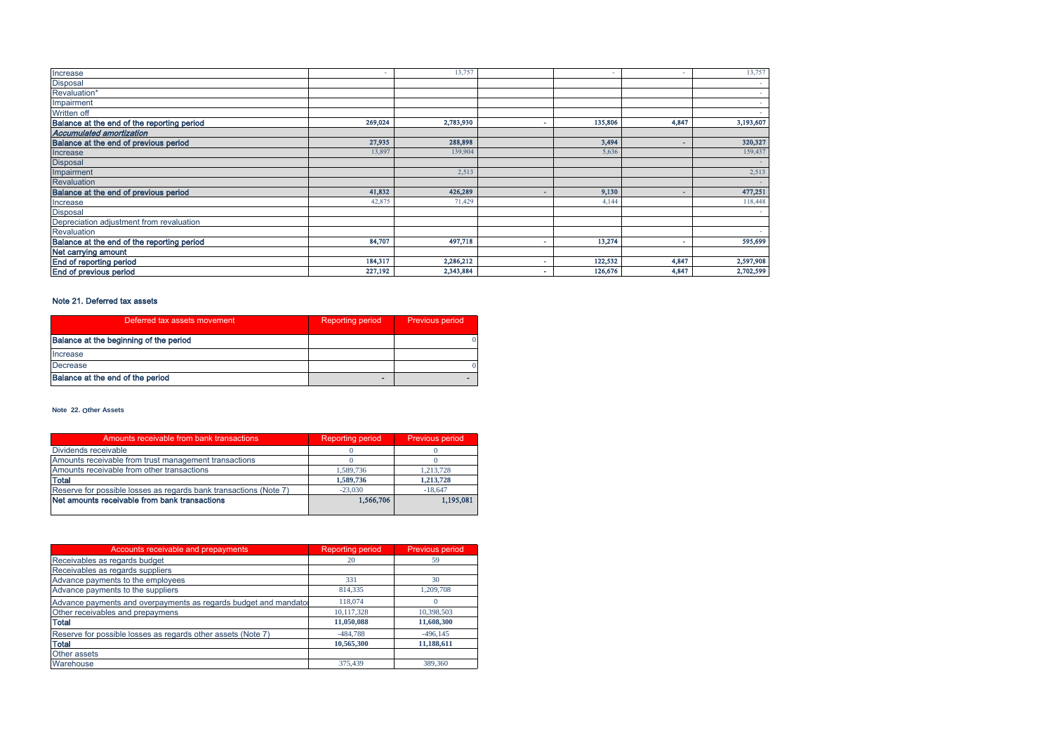| Increase                                   |         | 13,757    | ۰       |                          | 13,757    |
|--------------------------------------------|---------|-----------|---------|--------------------------|-----------|
| <b>Disposal</b>                            |         |           |         |                          |           |
| Revaluation*                               |         |           |         |                          |           |
| Impairment                                 |         |           |         |                          |           |
| <b>Written off</b>                         |         |           |         |                          |           |
| Balance at the end of the reporting period | 269,024 | 2,783,930 | 135,806 | 4,847                    | 3,193,607 |
| <b>Accumulated amortization</b>            |         |           |         |                          |           |
| Balance at the end of previous period      | 27,935  | 288,898   | 3,494   |                          | 320,327   |
| Increase                                   | 13,897  | 139,904   | 5,636   |                          | 159,437   |
| <b>Disposal</b>                            |         |           |         |                          |           |
| Impairment                                 |         | 2,513     |         |                          | 2,513     |
| Revaluation                                |         |           |         |                          |           |
| Balance at the end of previous period      | 41,832  | 426,289   | 9,130   | $\overline{\phantom{a}}$ | 477,251   |
| Increase                                   | 42,875  | 71,429    | 4,144   |                          | 118,448   |
| <b>Disposal</b>                            |         |           |         |                          |           |
| Depreciation adjustment from revaluation   |         |           |         |                          |           |
| Revaluation                                |         |           |         |                          |           |
| Balance at the end of the reporting period | 84,707  | 497,718   | 13,274  |                          | 595,699   |
| Net carrying amount                        |         |           |         |                          |           |
| <b>End of reporting period</b>             | 184,317 | 2,286,212 | 122,532 | 4,847                    | 2,597,908 |
| End of previous period                     | 227,192 | 2,343,884 | 126,676 | 4,847                    | 2,702,599 |

### Note 21. Deferred tax assets

| Deferred tax assets movement           | <b>Reporting period</b> | Previous period |
|----------------------------------------|-------------------------|-----------------|
| Balance at the beginning of the period |                         |                 |
| Increase                               |                         |                 |
| Decrease                               |                         |                 |
| Balance at the end of the period       | ۰                       |                 |

#### **Note 22.** Օ**ther Assets**

| Amounts receivable from bank transactions                         | <b>Reporting period</b> | Previous period |
|-------------------------------------------------------------------|-------------------------|-----------------|
| Dividends receivable                                              |                         |                 |
| Amounts receivable from trust management transactions             |                         |                 |
| Amounts receivable from other transactions                        | 1.589.736               | 1.213.728       |
| <b>Total</b>                                                      | 1,589,736               | 1.213.728       |
| Reserve for possible losses as regards bank transactions (Note 7) | $-23.030$               | $-18.647$       |
| Net amounts receivable from bank transactions                     | 1,566,706               | 1.195.081       |
|                                                                   |                         |                 |

| Accounts receivable and prepayments                              | <b>Reporting period</b> | <b>Previous period</b> |
|------------------------------------------------------------------|-------------------------|------------------------|
| Receivables as regards budget                                    | 20                      | 59                     |
| Receivables as regards suppliers                                 |                         |                        |
| Advance payments to the employees                                | 331                     | 30                     |
| Advance payments to the suppliers                                | 814,335                 | 1,209,708              |
| Advance payments and overpayments as regards budget and mandator | 118,074                 |                        |
| Other receivables and prepaymens                                 | 10,117,328              | 10,398,503             |
| <b>Total</b>                                                     | 11,050,088              | 11,608,300             |
| Reserve for possible losses as regards other assets (Note 7)     | $-484.788$              | $-496.145$             |
| <b>Total</b>                                                     | 10,565,300              | 11,188,611             |
| Other assets                                                     |                         |                        |
| Warehouse                                                        | 375.439                 | 389,360                |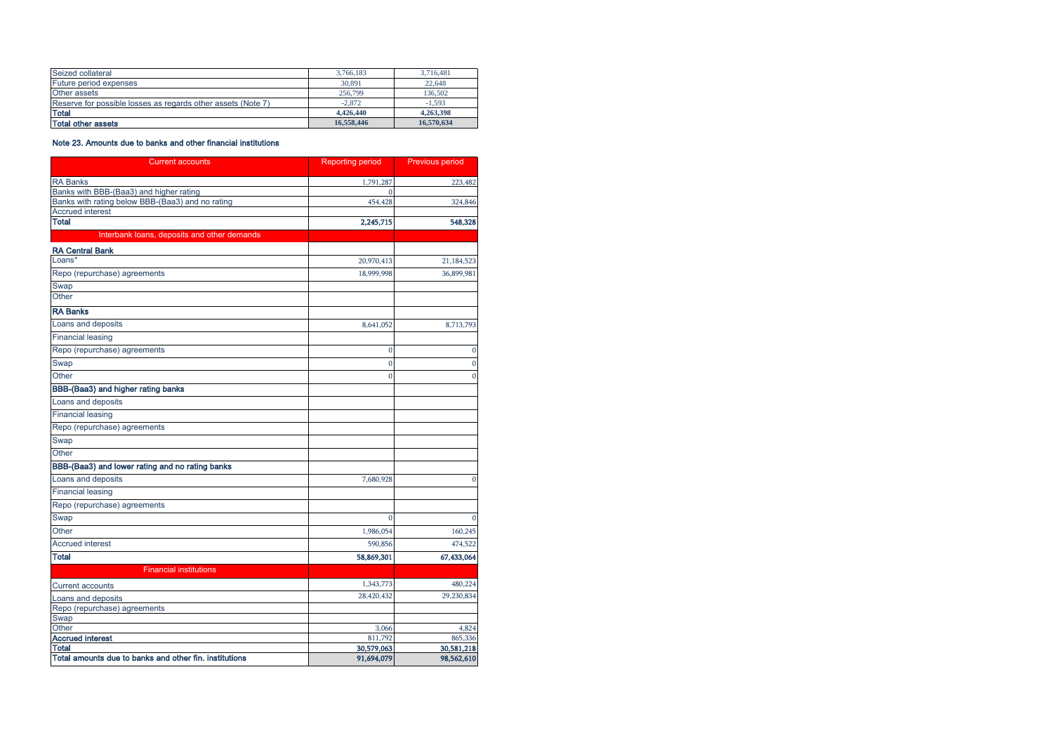| Seized collateral                                            | 3.766.183  | 3.716.481  |
|--------------------------------------------------------------|------------|------------|
| Future period expenses                                       | 30,891     | 22.648     |
| Other assets                                                 | 256,799    | 136.502    |
| Reserve for possible losses as regards other assets (Note 7) | $-2.872$   | $-1.593$   |
| <b>Total</b>                                                 | 4,426,440  | 4,263,398  |
| <b>Total other assets</b>                                    | 16.558.446 | 16,570,634 |

### Note 23. Amounts due to banks and other financial institutions

| <b>Current accounts</b>                                                | <b>Reporting period</b>  | Previous period          |
|------------------------------------------------------------------------|--------------------------|--------------------------|
| <b>RA Banks</b>                                                        | 1,791,287                | 223,482                  |
| Banks with BBB-(Baa3) and higher rating                                |                          |                          |
| Banks with rating below BBB-(Baa3) and no rating                       | 454,428                  | 324,846                  |
| <b>Accrued interest</b>                                                |                          |                          |
| <b>Total</b>                                                           | 2,245,715                | 548,328                  |
| Interbank loans, deposits and other demands                            |                          |                          |
| <b>RA Central Bank</b>                                                 |                          |                          |
| Loans*                                                                 | 20,970,413               | 21,184,523               |
| Repo (repurchase) agreements                                           | 18,999,998               | 36,899,981               |
| Swap                                                                   |                          |                          |
| Other                                                                  |                          |                          |
| <b>RA Banks</b>                                                        |                          |                          |
| Loans and deposits                                                     | 8,641,052                | 8,713,793                |
| <b>Financial leasing</b>                                               |                          |                          |
| Repo (repurchase) agreements                                           | $\mathbf{0}$             | $\bf{0}$                 |
| Swap                                                                   | $\overline{0}$           | $\bf{0}$                 |
| Other                                                                  | $\overline{0}$           | $\mathbf{0}$             |
| BBB-(Baa3) and higher rating banks                                     |                          |                          |
| Loans and deposits                                                     |                          |                          |
| <b>Financial leasing</b>                                               |                          |                          |
| Repo (repurchase) agreements                                           |                          |                          |
| Swap                                                                   |                          |                          |
| Other                                                                  |                          |                          |
| BBB-(Baa3) and lower rating and no rating banks                        |                          |                          |
| Loans and deposits                                                     | 7,680,928                | $\mathbf{0}$             |
| <b>Financial leasing</b>                                               |                          |                          |
| Repo (repurchase) agreements                                           |                          |                          |
| Swap                                                                   | $\Omega$                 | $\Omega$                 |
| Other                                                                  | 1,986,054                | 160,245                  |
| <b>Accrued interest</b>                                                | 590,856                  | 474,522                  |
| <b>Total</b>                                                           | 58,869,301               | 67,433,064               |
| <b>Financial institutions</b>                                          |                          |                          |
| <b>Current accounts</b>                                                | 1,343,773                | 480,224                  |
| Loans and deposits                                                     | 28,420,432               | 29,230,834               |
| Repo (repurchase) agreements                                           |                          |                          |
| Swap                                                                   |                          |                          |
| Other                                                                  | 3,066                    | 4,824                    |
| <b>Accrued interest</b>                                                | 811.792                  | 865,336                  |
| <b>Total</b><br>Total amounts due to banks and other fin. institutions | 30,579,063<br>91,694,079 | 30,581,218<br>98,562,610 |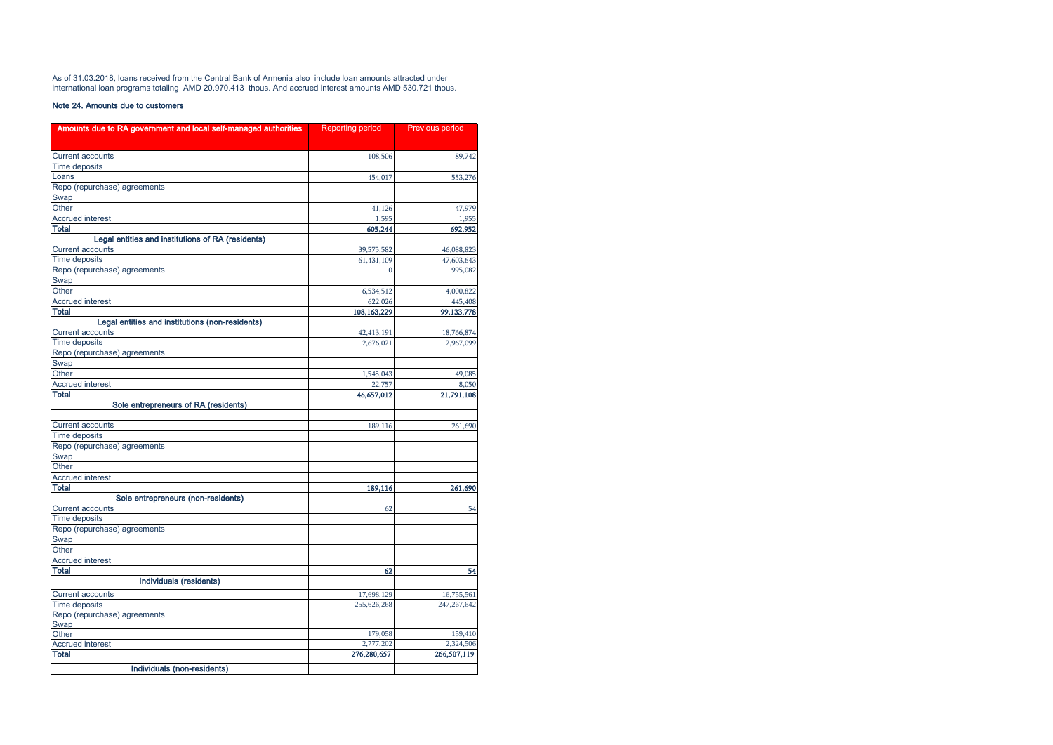As of 31.03.2018, loans received from the Central Bank of Armenia also include loan amounts attracted under international loan programs totaling AMD 20.970.413 thous. And accrued interest amounts AMD 530.721 thous.

### Note 24. Amounts due to customers

| Amounts due to RA government and local self-managed authorities | <b>Reporting period</b> | Previous period |
|-----------------------------------------------------------------|-------------------------|-----------------|
|                                                                 |                         |                 |
| <b>Current accounts</b>                                         | 108,506                 | 89,742          |
| Time deposits                                                   |                         |                 |
| Loans                                                           | 454,017                 | 553,276         |
| Repo (repurchase) agreements                                    |                         |                 |
| Swap                                                            |                         |                 |
| Other                                                           | 41,126                  | 47,979          |
| <b>Accrued interest</b>                                         | 1,595                   | 1,955           |
| <b>Total</b>                                                    | 605,244                 | 692,952         |
| Legal entities and institutions of RA (residents)               |                         |                 |
| <b>Current accounts</b>                                         | 39,575,582              | 46,088,823      |
| <b>Time deposits</b>                                            | 61,431,109              | 47,603,643      |
| Repo (repurchase) agreements                                    | $\Omega$                | 995,082         |
| Swap                                                            |                         |                 |
| Other                                                           | 6,534,512               | 4,000,822       |
| <b>Accrued interest</b>                                         | 622,026                 | 445,408         |
| Total                                                           | 108,163,229             | 99,133,778      |
| Legal entities and institutions (non-residents)                 |                         |                 |
| <b>Current accounts</b>                                         | 42,413,191              | 18,766,874      |
| <b>Time deposits</b>                                            | 2,676,021               | 2,967,099       |
| Repo (repurchase) agreements                                    |                         |                 |
| Swap                                                            |                         |                 |
| Other                                                           | 1,545,043               | 49,085          |
| <b>Accrued interest</b>                                         | 22,757                  | 8,050           |
| <b>Total</b>                                                    | 46,657,012              | 21,791,108      |
| Sole entrepreneurs of RA (residents)                            |                         |                 |
|                                                                 |                         |                 |
| <b>Current accounts</b>                                         | 189,116                 | 261,690         |
| Time deposits                                                   |                         |                 |
| Repo (repurchase) agreements                                    |                         |                 |
| Swap                                                            |                         |                 |
| Other                                                           |                         |                 |
| <b>Accrued interest</b>                                         |                         |                 |
| <b>Total</b>                                                    | 189,116                 | 261,690         |
| Sole entrepreneurs (non-residents)                              |                         |                 |
| <b>Current accounts</b>                                         | 62                      | 54              |
| <b>Time deposits</b>                                            |                         |                 |
| Repo (repurchase) agreements                                    |                         |                 |
| Swap                                                            |                         |                 |
| Other                                                           |                         |                 |
| <b>Accrued interest</b>                                         |                         |                 |
| Total                                                           | 62                      | 54              |
| Individuals (residents)                                         |                         |                 |
| <b>Current accounts</b>                                         | 17,698,129              | 16,755,561      |
| <b>Time deposits</b>                                            | 255,626,268             | 247, 267, 642   |
| Repo (repurchase) agreements                                    |                         |                 |
| Swap                                                            |                         |                 |
| Other                                                           | 179,058                 | 159,410         |
| <b>Accrued interest</b>                                         | 2,777,202               | 2,324,506       |
| <b>Total</b>                                                    | 276,280,657             | 266,507,119     |
| Individuals (non-residents)                                     |                         |                 |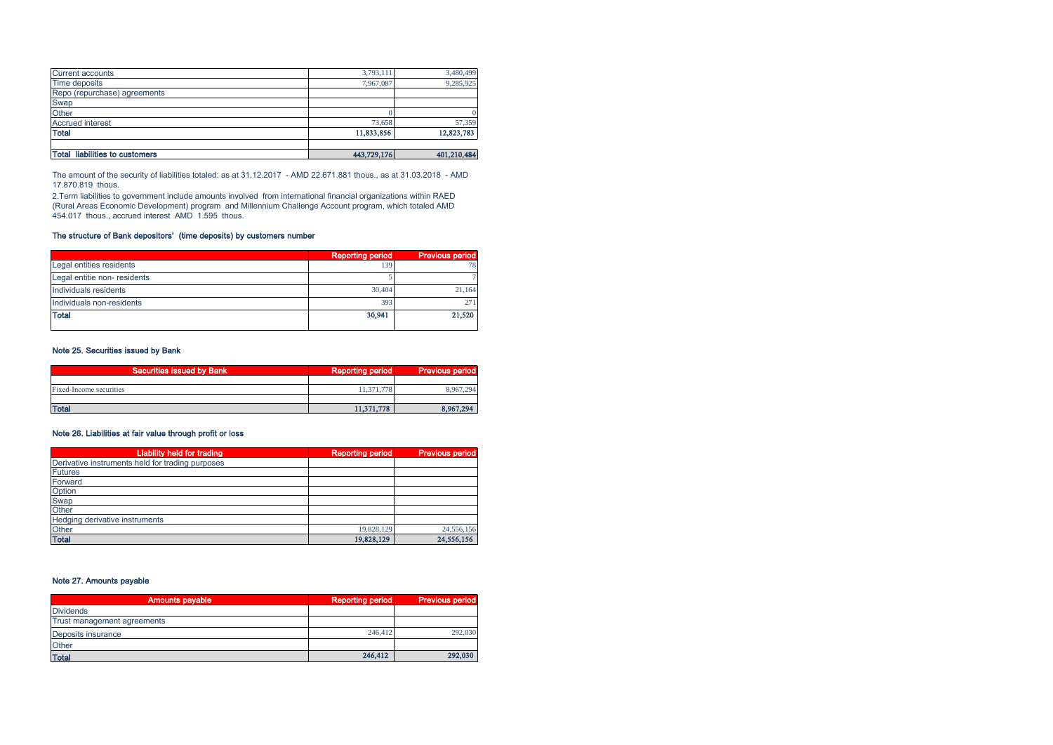| Total liabilities to customers | 443,729,176 | 401,210,484 |
|--------------------------------|-------------|-------------|
|                                |             |             |
| <b>Total</b>                   | 11,833,856  | 12,823,783  |
| <b>Accrued interest</b>        | 73,658      | 57,359      |
| Other                          |             |             |
| Swap                           |             |             |
| Repo (repurchase) agreements   |             |             |
| Time deposits                  | 7.967.087   | 9,285,925   |
| <b>Current accounts</b>        | 3,793,111   | 3,480,499   |

The amount of the security of liabilities totaled: as at 31.12.2017 - AMD 22.671.881 thous., as at 31.03.2018 - AMD 17.870.819 thous.

2.Term liabilities to government include amounts involved from international financial organizations within RAED (Rural Areas Economic Development) program and Millennium Challenge Account program, which totaled AMD 454.017 thous., accrued interest AMD 1.595 thous.

### The structure of Bank depositors' (time deposits) by customers number

|                             | <b>Reporting period</b> | <b>Previous period</b> |
|-----------------------------|-------------------------|------------------------|
| Legal entities residents    | 139                     |                        |
| Legal entitie non-residents |                         |                        |
| Individuals residents       | 30,404                  | 21.164                 |
| Individuals non-residents   | 393                     | 27                     |
| <b>Total</b>                | 30,941                  | 21,520                 |

### Note 25. Securities issued by Bank

| Securities issued by Bank | Reporting period | <b>Previous period</b> |
|---------------------------|------------------|------------------------|
|                           |                  |                        |
| Fixed-Income securities   | 11,371,778       | 8.967.294              |
|                           |                  |                        |
| <b>Total</b>              | 11,371,778       | 8,967,294              |

### Note 26. Liabilities at fair value through profit or loss

| <b>Liability held for trading</b>                | <b>Reporting period</b> | <b>Previous period</b> |
|--------------------------------------------------|-------------------------|------------------------|
| Derivative instruments held for trading purposes |                         |                        |
| <b>Futures</b>                                   |                         |                        |
| Forward                                          |                         |                        |
| Option                                           |                         |                        |
| Swap                                             |                         |                        |
| Other                                            |                         |                        |
| Hedging derivative instruments                   |                         |                        |
| Other                                            | 19,828,129              | 24,556,156             |
| <b>Total</b>                                     | 19,828,129              | 24,556,156             |

### Note 27. Amounts payable

| <b>Amounts payable</b>      | Reporting period | <b>Previous period</b> |
|-----------------------------|------------------|------------------------|
| <b>Dividends</b>            |                  |                        |
| Trust management agreements |                  |                        |
| Deposits insurance          | 246,412          | 292,030                |
| Other                       |                  |                        |
| <b>Total</b>                | 246,412          | 292,030                |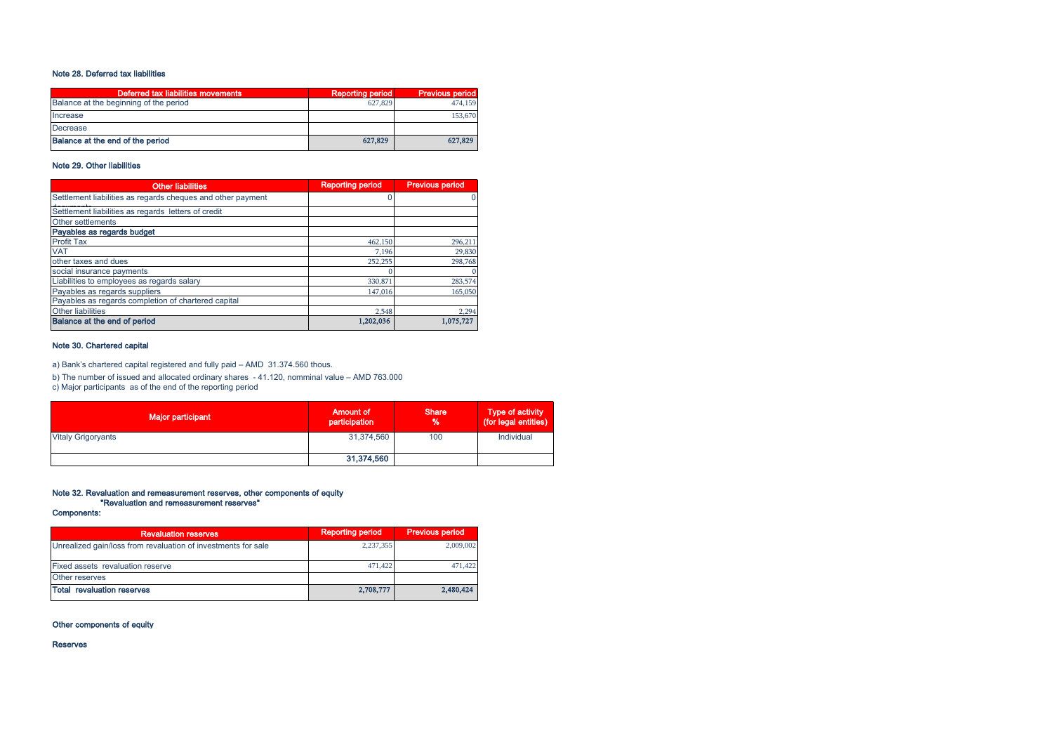### Note 28. Deferred tax liabilities

| Deferred tax liabilities movements     | <b>Reporting period</b> | <b>Previous period</b> |
|----------------------------------------|-------------------------|------------------------|
| Balance at the beginning of the period | 627,829                 | 474,159                |
| Increase                               |                         | 153,670                |
| Decrease                               |                         |                        |
| Balance at the end of the period       | 627.829                 | 627.829                |

### Note 29. Other liabilities

| <b>Other liabilities</b>                                    | <b>Reporting period</b> | <b>Previous period</b> |
|-------------------------------------------------------------|-------------------------|------------------------|
| Settlement liabilities as regards cheques and other payment |                         |                        |
| Settlement liabilities as regards letters of credit         |                         |                        |
| Other settlements                                           |                         |                        |
| Payables as regards budget                                  |                         |                        |
| <b>Profit Tax</b>                                           | 462,150                 | 296,211                |
| <b>VAT</b>                                                  | 7.196                   | 29,830                 |
| other taxes and dues                                        | 252,255                 | 298,768                |
| social insurance payments                                   |                         |                        |
| Liabilities to employees as regards salary                  | 330,871                 | 283,574                |
| Payables as regards suppliers                               | 147,016                 | 165,050                |
| Payables as regards completion of chartered capital         |                         |                        |
| <b>Other liabilities</b>                                    | 2.548                   | 2,294                  |
| Balance at the end of period                                | 1,202,036               | 1.075.727              |

### Note 30. Chartered capital

a) Bank's chartered capital registered and fully paid – AMD 31.374.560 thous.

b) The number of issued and allocated ordinary shares - 41.120, nomminal value – AMD 763.000

c) Major participants as of the end of the reporting period

| Major participant         | <b>Amount of</b><br>participation | <b>Share</b><br>$\frac{9}{6}$ | <b>Type of activity</b><br>(for legal entities) |
|---------------------------|-----------------------------------|-------------------------------|-------------------------------------------------|
| <b>Vitaly Grigoryants</b> | 31,374,560                        | 100                           | Individual                                      |
|                           | 31,374,560                        |                               |                                                 |

# Note 32. Revaluation and remeasurement reserves, other components of equity "Revaluation and remeasurement reserves"

Components:

| <b>Revaluation reserves</b>                                   | <b>Reporting period</b> | <b>Previous period</b> |
|---------------------------------------------------------------|-------------------------|------------------------|
| Unrealized gain/loss from revaluation of investments for sale | 2,237,355               | 2,009,002              |
| Fixed assets revaluation reserve                              | 471.422                 | 471.422                |
| Other reserves                                                |                         |                        |
| <b>Total revaluation reserves</b>                             | 2,708,777               | 2,480,424              |

### Other components of equity

Reserves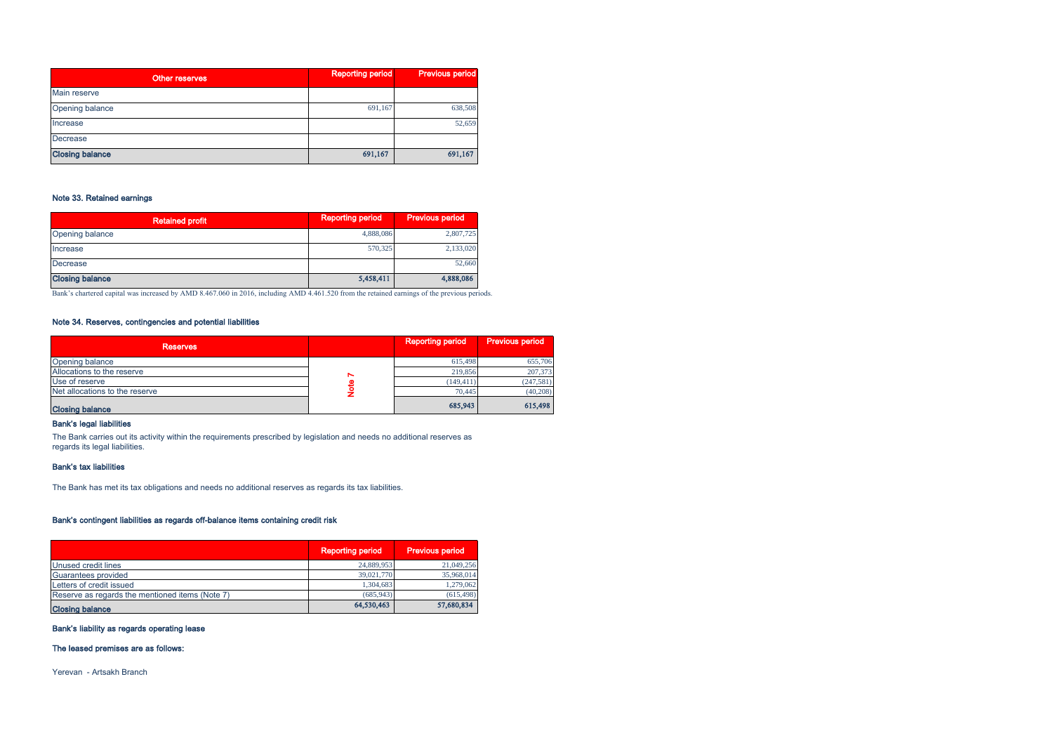| Other reserves         | <b>Reporting period</b> | <b>Previous period</b> |  |
|------------------------|-------------------------|------------------------|--|
| Main reserve           |                         |                        |  |
| Opening balance        | 691,167                 | 638,508                |  |
| Increase               |                         | 52,659                 |  |
| Decrease               |                         |                        |  |
| <b>Closing balance</b> | 691,167                 | 691,167                |  |

### Note 33. Retained earnings

| <b>Retained profit</b> | <b>Reporting period</b> | <b>Previous period</b> |
|------------------------|-------------------------|------------------------|
| Opening balance        | 4,888,086               | 2,807,725              |
| Increase               | 570,325                 | 2,133,020              |
| Decrease               |                         | 52,660                 |
| <b>Closing balance</b> | 5,458,411               | 4,888,086              |

Bank's chartered capital was increased by AMD 8.467.060 in 2016, including AMD 4.461.520 from the retained earnings of the previous periods.

### Note 34. Reserves, contingencies and potential liabilities

| <b>Reserves</b>                |   | <b>Reporting period</b> | Previous period |
|--------------------------------|---|-------------------------|-----------------|
| Opening balance                |   | 615.498                 | 655,706         |
| Allocations to the reserve     | N | 219,856                 | 207,373         |
| Use of reserve                 |   | (149, 411)              | (247, 581)      |
| Net allocations to the reserve |   | 70,445                  | (40, 208)       |
| <b>Closing balance</b>         |   | 685,943                 | 615,498         |

### Bank's legal liabilities

The Bank carries out its activity within the requirements prescribed by legislation and needs no additional reserves as regards its legal liabilities.

#### Bank's tax liabilities

The Bank has met its tax obligations and needs no additional reserves as regards its tax liabilities.

#### Bank's contingent liabilities as regards off-balance items containing credit risk

|                                                 | <b>Reporting period</b> | <b>Previous period</b> |
|-------------------------------------------------|-------------------------|------------------------|
| Unused credit lines                             | 24,889,953              | 21,049,256             |
| Guarantees provided                             | 39,021,770              | 35,968,014             |
| Letters of credit issued                        | 1,304,683               | 1,279,062              |
| Reserve as regards the mentioned items (Note 7) | (685.943)               | (615, 498)             |
| <b>Closing balance</b>                          | 64,530,463              | 57,680,834             |

### Bank's liability as regards operating lease

### The leased premises are as follows:

Yerevan - Artsakh Branch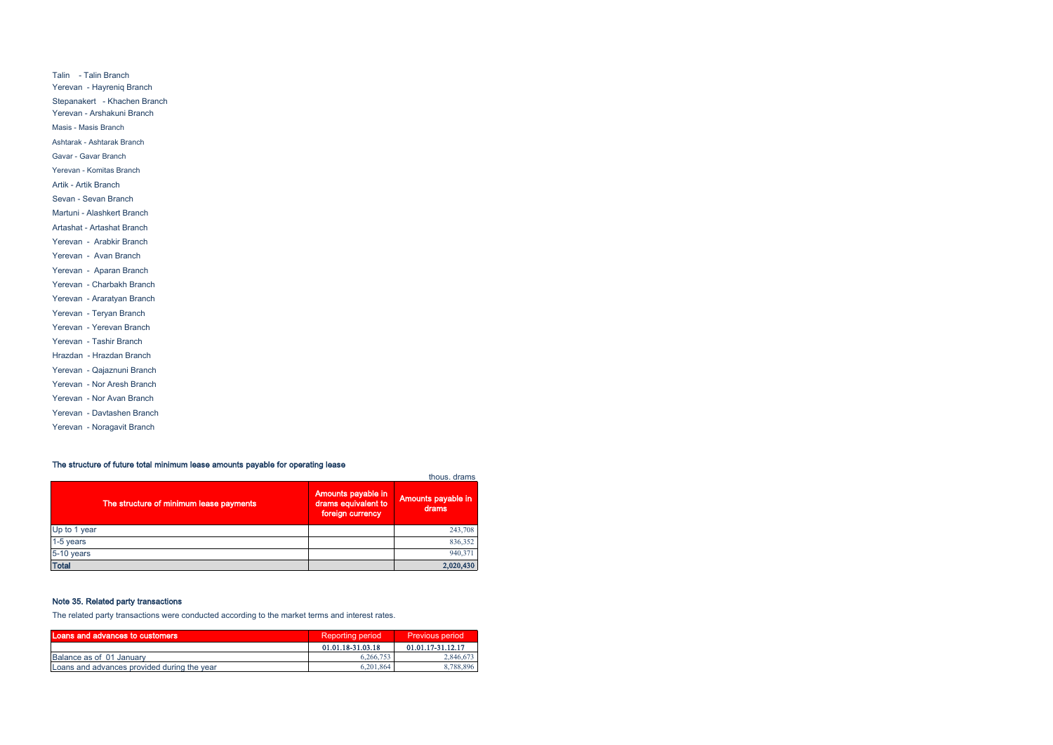Talin - Talin Branch Yerevan - Hayreniq Branch Stepanakert - Khachen Branch Yerevan - Arshakuni Branch Masis - Masis Branch Ashtarak - Ashtarak Branch Gavar - Gavar Branch Yerevan - Komitas Branch Artik - Artik Branch Sevan - Sevan Branch Martuni - Alashkert Branch Artashat - Artashat Branch Yerevan - Arabkir Branch Yerevan - Avan Branch Yerevan - Aparan Branch Yerevan - Charbakh Branch Yerevan - Araratyan Branch Yerevan - Teryan Branch Yerevan - Yerevan Branch Yerevan - Tashir Branch Hrazdan - Hrazdan Branch Yerevan - Qajaznuni Branch Yerevan - Nor Aresh Branch Yerevan - Nor Avan Branch Yerevan - Davtashen Branch Yerevan - Noragavit Branch

### The structure of future total minimum lease amounts payable for operating lease

| The structure of minimum lease payments | Amounts payable in<br>drams equivalent to<br>foreign currency | thous, drams<br>Amounts payable in<br>drams |
|-----------------------------------------|---------------------------------------------------------------|---------------------------------------------|
| Up to 1 year                            |                                                               | 243,708                                     |
| 1-5 years                               |                                                               | 836,352                                     |
| 5-10 years                              |                                                               | 940,371                                     |
| <b>Total</b>                            |                                                               | 2,020,430                                   |

### Note 35. Related party transactions

The related party transactions were conducted according to the market terms and interest rates.

| Loans and advances to customers             | <b>Reporting period</b> | <b>Previous period</b> |
|---------------------------------------------|-------------------------|------------------------|
|                                             | 01.01.18-31.03.18       | 01.01.17-31.12.17      |
| Balance as of 01 January                    | 6.266.753               | 2,846,673              |
| Loans and advances provided during the year | 6.201.864               | 8.788.896              |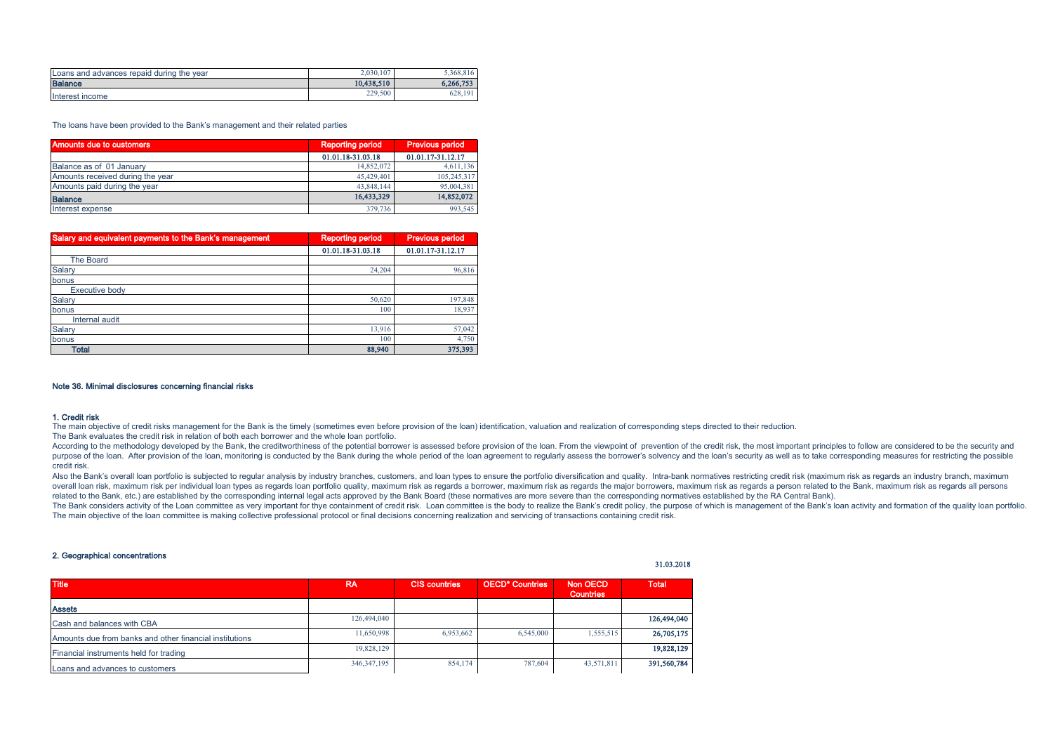| Loans and advances repaid during the year | 2.030.107  | 5.368.816 |
|-------------------------------------------|------------|-----------|
| <b>Balance</b>                            | 10.438.510 | 6,266,753 |
| Interest income                           | 229,500    | 628.191   |

The loans have been provided to the Bank's management and their related parties

| Amounts due to customers         | <b>Reporting period</b> | <b>Previous period</b> |  |  |
|----------------------------------|-------------------------|------------------------|--|--|
|                                  | 01.01.18-31.03.18       | 01.01.17-31.12.17      |  |  |
| Balance as of 01 January         | 14,852,072              | 4,611,136              |  |  |
| Amounts received during the year | 45,429,401              | 105,245,317            |  |  |
| Amounts paid during the year     | 43,848,144              | 95,004,381             |  |  |
| <b>Balance</b>                   | 16,433,329              | 14,852,072             |  |  |
| Interest expense                 | 379,736                 | 993,545                |  |  |

| Salary and equivalent payments to the Bank's management | <b>Reporting period</b> | <b>Previous period</b> |
|---------------------------------------------------------|-------------------------|------------------------|
|                                                         | 01.01.18-31.03.18       | 01.01.17-31.12.17      |
| <b>The Board</b>                                        |                         |                        |
| Salary                                                  | 24,204                  | 96,816                 |
| bonus                                                   |                         |                        |
| <b>Executive body</b>                                   |                         |                        |
| Salary                                                  | 50,620                  | 197,848                |
| bonus                                                   | 100                     | 18,937                 |
| Internal audit                                          |                         |                        |
| Salary                                                  | 13,916                  | 57,042                 |
| bonus                                                   | 100                     | 4,750                  |
| Total                                                   | 88,940                  | 375,393                |

#### Note 36. Minimal disclosures concerning financial risks

#### 1. Credit risk

The main objective of credit risks management for the Bank is the timely (sometimes even before provision of the loan) identification, valuation and realization of corresponding steps directed to their reduction.

The Bank evaluates the credit risk in relation of both each borrower and the whole loan portfolio.

According to the methodology developed by the Bank, the creditworthiness of the potential borrower is assessed before provision of the loan. From the viewpoint of prevention of the credit risk, the most important principle purpose of the loan. After provision of the loan, monitoring is conducted by the Bank during the whole period of the loan agreement to reqularly assess the borrower's solvency and the loan's security as well as to take cor credit risk.

Also the Bank's overall loan portfolio is subjected to regular analysis by industry branches, customers, and loan types to ensure the portfolio diversification and quality. Intra-bank normatives restricting credit risk (ma overall loan risk, maximum risk per individual loan types as regards loan portfolio quality, maximum risk as regards a borrower, maximum risk as regards the major borrowers, maximum risk as regards a person related to the related to the Bank, etc.) are established by the corresponding internal legal acts approved by the Bank Board (these normatives are more severe than the corresponding normatives established by the RA Central Bank).

The Bank considers activity of the Loan committee as very important for thye containment of credit risk. Loan committee is the body to realize the Bank's credit policy, the purpose of which is management of the Bank's loan The main objective of the loan committee is making collective professional protocol or final decisions concerning realization and servicing of transactions containing credit risk.

### 2. Geographical concentrations

| <b>Title</b>                                            | <b>RA</b>     | <b>CIS countries</b> | <b>OECD* Countries</b> | Non OECD<br><b>Countries</b> | <b>Total</b> |
|---------------------------------------------------------|---------------|----------------------|------------------------|------------------------------|--------------|
| <b>Assets</b>                                           |               |                      |                        |                              |              |
| Cash and balances with CBA                              | 126,494,040   |                      |                        |                              | 126,494,040  |
| Amounts due from banks and other financial institutions | 11,650,998    | 6,953,662            | 6,545,000              | 1.555.515                    | 26,705,175   |
| Financial instruments held for trading                  | 19,828,129    |                      |                        |                              | 19,828,129   |
| Loans and advances to customers                         | 346, 347, 195 | 854,174              | 787,604                | 43,571,811                   | 391,560,784  |

31.03.2018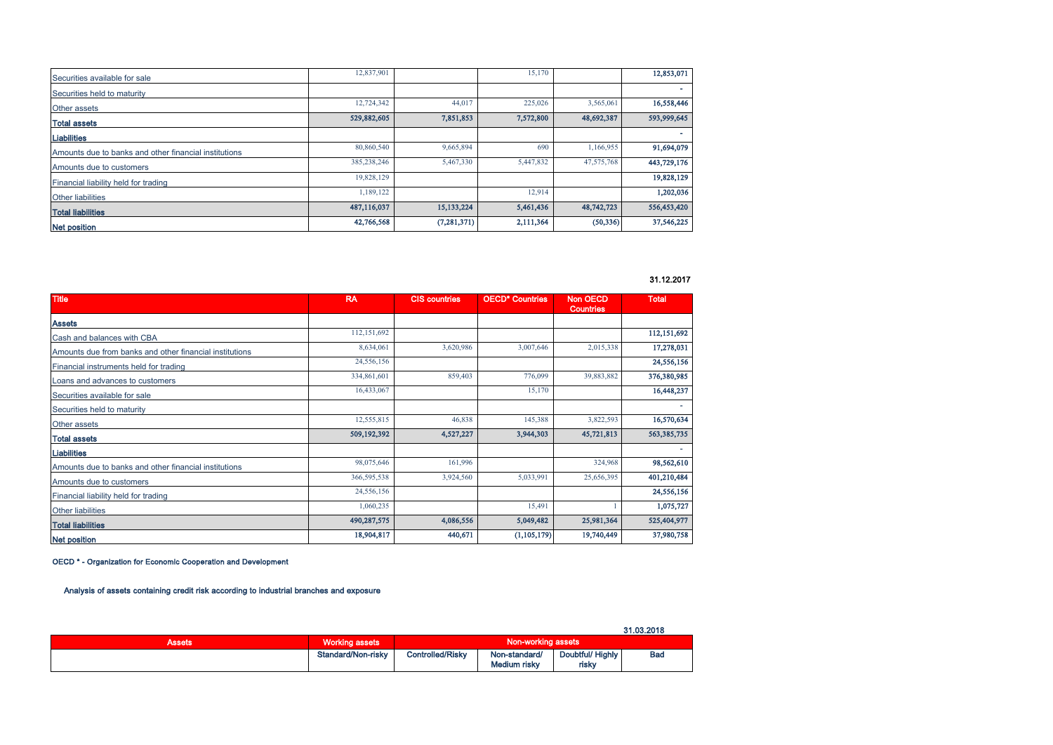| Securities available for sale                         | 12,837,901  |               | 15,170    |            | 12,853,071  |
|-------------------------------------------------------|-------------|---------------|-----------|------------|-------------|
| Securities held to maturity                           |             |               |           |            |             |
| Other assets                                          | 12,724,342  | 44,017        | 225,026   | 3,565,061  | 16,558,446  |
| <b>Total assets</b>                                   | 529,882,605 | 7,851,853     | 7,572,800 | 48,692,387 | 593,999,645 |
| <b>Liabilities</b>                                    |             |               |           |            |             |
| Amounts due to banks and other financial institutions | 80,860,540  | 9,665,894     | 690       | 1,166,955  | 91,694,079  |
| Amounts due to customers                              | 385,238,246 | 5,467,330     | 5,447,832 | 47,575,768 | 443,729,176 |
| Financial liability held for trading                  | 19,828,129  |               |           |            | 19,828,129  |
| <b>Other liabilities</b>                              | 1,189,122   |               | 12,914    |            | 1,202,036   |
| <b>Total liabilities</b>                              | 487,116,037 | 15,133,224    | 5,461,436 | 48,742,723 | 556,453,420 |
| Net position                                          | 42,766,568  | (7, 281, 371) | 2,111,364 | (50, 336)  | 37,546,225  |

31.12.2017

| <b>Title</b>                                            | <b>RA</b>   | <b>CIS countries</b> | <b>OECD* Countries</b> | <b>Non OECD</b><br><b>Countries</b> | <b>Total</b> |
|---------------------------------------------------------|-------------|----------------------|------------------------|-------------------------------------|--------------|
| <b>Assets</b>                                           |             |                      |                        |                                     |              |
| Cash and balances with CBA                              | 112,151,692 |                      |                        |                                     | 112,151,692  |
| Amounts due from banks and other financial institutions | 8,634,061   | 3,620,986            | 3,007,646              | 2,015,338                           | 17,278,031   |
| Financial instruments held for trading                  | 24,556,156  |                      |                        |                                     | 24,556,156   |
| Loans and advances to customers                         | 334,861,601 | 859,403              | 776,099                | 39,883,882                          | 376,380,985  |
| Securities available for sale                           | 16,433,067  |                      | 15,170                 |                                     | 16,448,237   |
| Securities held to maturity                             |             |                      |                        |                                     | ×.           |
| Other assets                                            | 12,555,815  | 46,838               | 145,388                | 3,822,593                           | 16,570,634   |
| <b>Total assets</b>                                     | 509,192,392 | 4,527,227            | 3,944,303              | 45,721,813                          | 563,385,735  |
| <b>Liabilities</b>                                      |             |                      |                        |                                     | ٠            |
| Amounts due to banks and other financial institutions   | 98,075,646  | 161,996              |                        | 324,968                             | 98,562,610   |
| Amounts due to customers                                | 366,595,538 | 3,924,560            | 5,033,991              | 25,656,395                          | 401,210,484  |
| Financial liability held for trading                    | 24,556,156  |                      |                        |                                     | 24,556,156   |
| <b>Other liabilities</b>                                | 1,060,235   |                      | 15,491                 |                                     | 1,075,727    |
| <b>Total liabilities</b>                                | 490,287,575 | 4,086,556            | 5,049,482              | 25,981,364                          | 525,404,977  |
| <b>Net position</b>                                     | 18,904,817  | 440,671              | (1, 105, 179)          | 19,740,449                          | 37,980,758   |

OECD \* - Organization for Economic Cooperation and Development

Analysis of assets containing credit risk according to industrial branches and exposure

|        |                       |                         |                               |                           | 31.03.2018 |
|--------|-----------------------|-------------------------|-------------------------------|---------------------------|------------|
| Assets | <b>Working assets</b> | Non-working assets      |                               |                           |            |
|        | Standard/Non-risky    | <b>Controlled/Risky</b> | Non-standard/<br>Medium risky | Doubtful/ Highly<br>risky | <b>Bad</b> |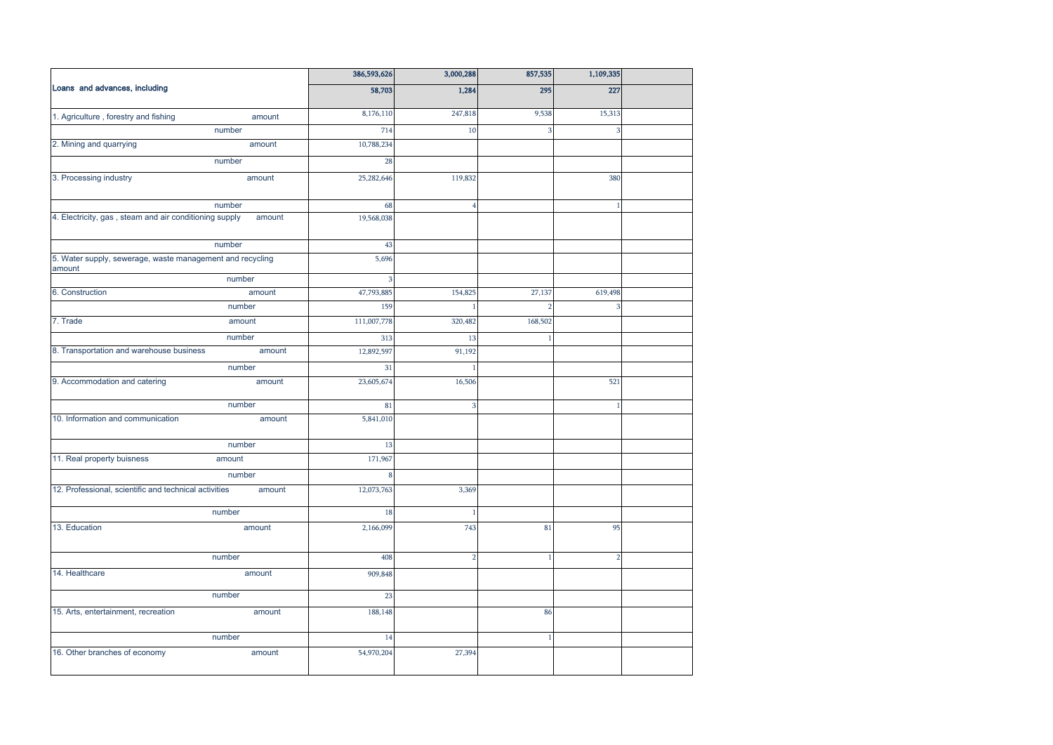|                                                                     | 386,593,626 | 3,000,288      | 857,535       | 1,109,335               |  |
|---------------------------------------------------------------------|-------------|----------------|---------------|-------------------------|--|
| Loans and advances, including                                       | 58,703      | 1,284          | 295           | 227                     |  |
| 1. Agriculture, forestry and fishing<br>amount                      | 8,176,110   | 247,818        | 9,538         | 15,313                  |  |
| number                                                              | 714         | 10             |               | 3                       |  |
| 2. Mining and quarrying<br>amount                                   | 10,788,234  |                |               |                         |  |
| number                                                              | 28          |                |               |                         |  |
| 3. Processing industry<br>amount                                    | 25,282,646  | 119,832        |               | 380                     |  |
| number                                                              | 68          | 4              |               |                         |  |
| 4. Electricity, gas, steam and air conditioning supply<br>amount    | 19,568,038  |                |               |                         |  |
| number                                                              | 43          |                |               |                         |  |
| 5. Water supply, sewerage, waste management and recycling<br>amount | 5,696       |                |               |                         |  |
| number                                                              | 3           |                |               |                         |  |
| 6. Construction<br>amount                                           | 47,793,885  | 154,825        | 27,137        | 619,498                 |  |
| number                                                              | 159         |                | $\mathcal{D}$ | $\overline{\mathbf{3}}$ |  |
| 7. Trade<br>amount                                                  | 111,007,778 | 320,482        | 168,502       |                         |  |
| number                                                              | 313         | 13             |               |                         |  |
| 8. Transportation and warehouse business<br>amount                  | 12,892,597  | 91,192         |               |                         |  |
| number                                                              | 31          |                |               |                         |  |
| 9. Accommodation and catering<br>amount                             | 23,605,674  | 16,506         |               | 521                     |  |
| number                                                              | 81          | 3              |               | 1                       |  |
| 10. Information and communication<br>amount                         | 5,841,010   |                |               |                         |  |
| number                                                              | 13          |                |               |                         |  |
| 11. Real property buisness<br>amount                                | 171,967     |                |               |                         |  |
| number                                                              | 8           |                |               |                         |  |
| 12. Professional, scientific and technical activities<br>amount     | 12,073,763  | 3,369          |               |                         |  |
| number                                                              | 18          |                |               |                         |  |
| 13. Education<br>amount                                             | 2,166,099   | 743            | 81            | 95                      |  |
| number                                                              | 408         | $\overline{2}$ | 1             | $\overline{2}$          |  |
| 14. Healthcare<br>amount                                            | 909,848     |                |               |                         |  |
| number                                                              | 23          |                |               |                         |  |
| 15. Arts, entertainment, recreation<br>amount                       | 188,148     |                | 86            |                         |  |
| number                                                              | 14          |                | $\mathbf{1}$  |                         |  |
| 16. Other branches of economy<br>amount                             | 54,970,204  | 27,394         |               |                         |  |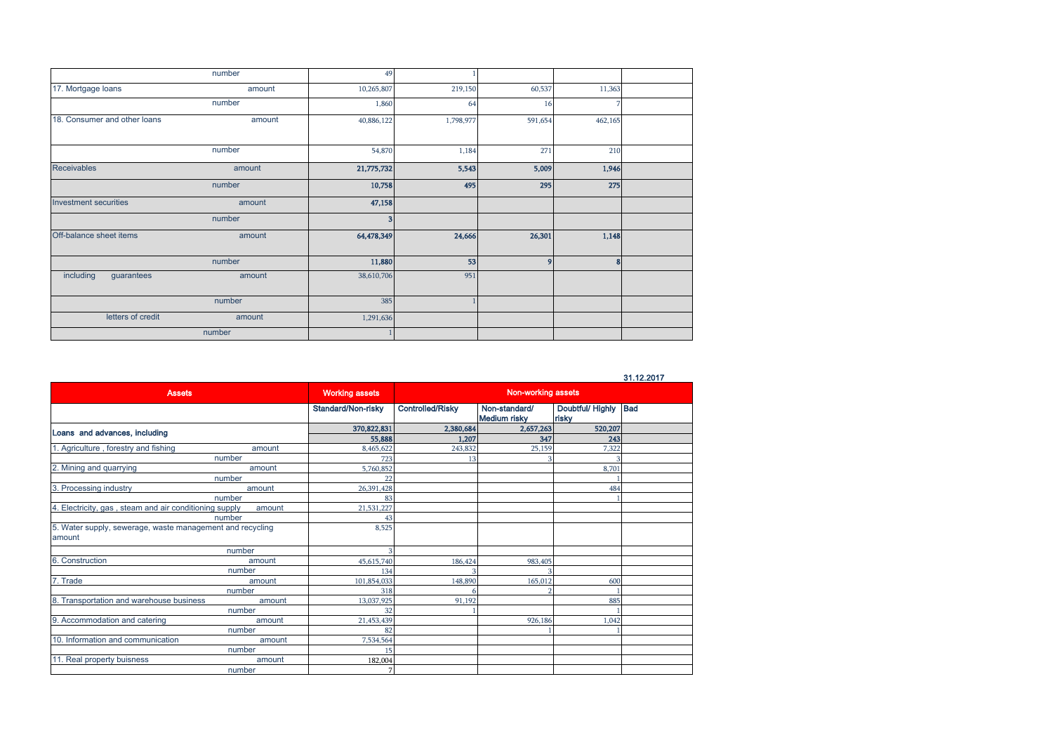|                              | number | 49                      |           |                |         |  |
|------------------------------|--------|-------------------------|-----------|----------------|---------|--|
| 17. Mortgage loans           | amount | 10,265,807              | 219,150   | 60,537         | 11,363  |  |
|                              | number | 1,860                   | 64        | 16             |         |  |
| 18. Consumer and other loans | amount | 40,886,122              | 1,798,977 | 591,654        | 462,165 |  |
|                              | number | 54,870                  | 1,184     | 271            | 210     |  |
| <b>Receivables</b>           | amount | 21,775,732              | 5,543     | 5,009          | 1,946   |  |
|                              | number | 10,758                  | 495       | 295            | 275     |  |
| Investment securities        | amount | 47,158                  |           |                |         |  |
|                              | number | $\overline{\mathbf{3}}$ |           |                |         |  |
| Off-balance sheet items      | amount | 64,478,349              | 24,666    | 26,301         | 1,148   |  |
|                              | number | 11,880                  | 53        | $\overline{9}$ | 8       |  |
| including<br>guarantees      | amount | 38,610,706              | 951       |                |         |  |
|                              | number | 385                     |           |                |         |  |
| letters of credit            | amount | 1,291,636               |           |                |         |  |
|                              | number |                         |           |                |         |  |

31.12.2017

| <b>Assets</b>                                                       |        | <b>Working assets</b> | Non-working assets      |                                      |                               |  |
|---------------------------------------------------------------------|--------|-----------------------|-------------------------|--------------------------------------|-------------------------------|--|
|                                                                     |        | Standard/Non-risky    | <b>Controlled/Risky</b> | Non-standard/<br><b>Medium risky</b> | Doubtful/ Highly Bad<br>risky |  |
| Loans and advances, including                                       |        | 370,822,831           | 2,380,684               | 2,657,263                            | 520,207                       |  |
|                                                                     |        | 55,888                | 1.207                   | 347                                  | 243                           |  |
| 1. Agriculture, forestry and fishing                                | amount | 8,465,622             | 243,832                 | 25,159                               | 7,322                         |  |
| number                                                              |        | 723                   | 13                      |                                      |                               |  |
| 2. Mining and quarrying                                             | amount | 5,760,852             |                         |                                      | 8.701                         |  |
| number                                                              |        | 22                    |                         |                                      |                               |  |
| 3. Processing industry                                              | amount | 26,391,428            |                         |                                      | 484                           |  |
| number                                                              |        | 83                    |                         |                                      |                               |  |
| 4. Electricity, gas, steam and air conditioning supply              | amount | 21,531,227            |                         |                                      |                               |  |
| number                                                              |        | 43                    |                         |                                      |                               |  |
| 5. Water supply, sewerage, waste management and recycling<br>amount |        | 8,525                 |                         |                                      |                               |  |
|                                                                     | number |                       |                         |                                      |                               |  |
| 6. Construction                                                     | amount | 45,615,740            | 186,424                 | 983,405                              |                               |  |
|                                                                     | number | 134                   |                         |                                      |                               |  |
| 7. Trade                                                            | amount | 101,854,033           | 148,890                 | 165,012                              | 600                           |  |
|                                                                     | number | 318                   |                         |                                      |                               |  |
| 8. Transportation and warehouse business                            | amount | 13,037,925            | 91.192                  |                                      | 885                           |  |
|                                                                     | number | 32                    |                         |                                      |                               |  |
| 9. Accommodation and catering                                       | amount | 21,453,439            |                         | 926,186                              | 1,042                         |  |
|                                                                     | number | 82                    |                         |                                      |                               |  |
| 10. Information and communication                                   | amount | 7,534,564             |                         |                                      |                               |  |
|                                                                     | number | 15                    |                         |                                      |                               |  |
| 11. Real property buisness                                          | amount | 182,004               |                         |                                      |                               |  |
|                                                                     | number |                       |                         |                                      |                               |  |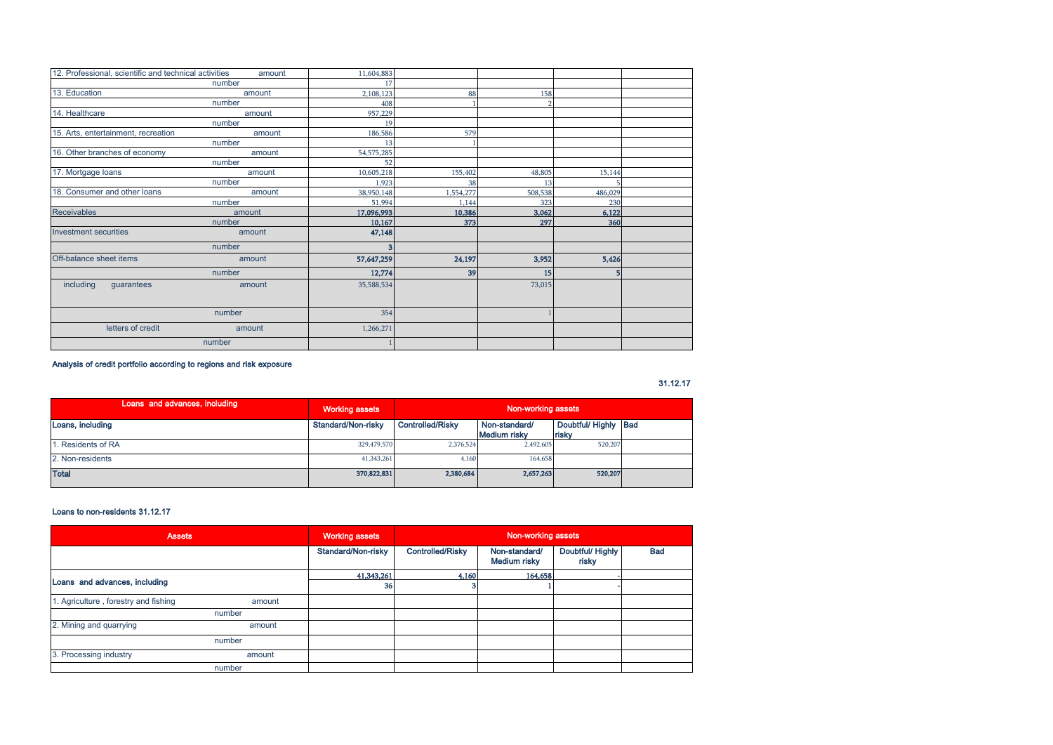| 12. Professional, scientific and technical activities | amount | 11,604,883 |           |         |         |  |
|-------------------------------------------------------|--------|------------|-----------|---------|---------|--|
|                                                       | number | 17         |           |         |         |  |
| 13. Education                                         | amount | 2,108,123  | 88        | 158     |         |  |
|                                                       | number | 408        |           |         |         |  |
| 14. Healthcare                                        | amount | 957,229    |           |         |         |  |
|                                                       | number | 19         |           |         |         |  |
| 15. Arts, entertainment, recreation                   | amount | 186,586    | 579       |         |         |  |
|                                                       | number | 13         |           |         |         |  |
| 16. Other branches of economy                         | amount | 54,575,285 |           |         |         |  |
|                                                       | number | 52         |           |         |         |  |
| 17. Mortgage loans                                    | amount | 10,605,218 | 155,402   | 48,805  | 15,144  |  |
|                                                       | number | 1,923      | 38        | 13      |         |  |
| 18. Consumer and other loans                          | amount | 38,950,148 | 1,554,277 | 508,538 | 486,029 |  |
|                                                       | number | 51,994     | 1.144     | 323     | 230     |  |
| <b>Receivables</b>                                    | amount | 17,096,993 | 10,386    | 3,062   | 6,122   |  |
|                                                       | number | 10,167     | 373       | 297     | 360     |  |
| Investment securities                                 | amount | 47,148     |           |         |         |  |
|                                                       | number |            |           |         |         |  |
| Off-balance sheet items                               | amount | 57,647,259 | 24,197    | 3,952   | 5,426   |  |
|                                                       | number | 12,774     | 39        | 15      | 5       |  |
| including<br>guarantees                               | amount | 35,588,534 |           | 73,015  |         |  |
|                                                       | number | 354        |           |         |         |  |
| letters of credit                                     | amount | 1,266,271  |           |         |         |  |
|                                                       | number |            |           |         |         |  |

### Analysis of credit portfolio according to regions and risk exposure

31.12.17

| Loans and advances, including | Working assets     | Non-working assets      |                               |                              |  |
|-------------------------------|--------------------|-------------------------|-------------------------------|------------------------------|--|
| Loans, including              | Standard/Non-risky | <b>Controlled/Risky</b> | Non-standard/<br>Medium risky | Doubtful/Highly Bad<br>risky |  |
| Residents of RA               | 329,479,570        | 2,376,524               | 2,492,605                     | 520,207                      |  |
| 2. Non-residents              | 41,343,261         | 4,160                   | 164,658                       |                              |  |
| <b>Total</b>                  | 370,822,831        | 2.380,684               | 2.657.263                     | 520,207                      |  |

### Loans to non-residents 31.12.17

| <b>Assets</b>                        |        | <b>Working assets</b> | Non-working assets      |                               |                          |            |
|--------------------------------------|--------|-----------------------|-------------------------|-------------------------------|--------------------------|------------|
|                                      |        | Standard/Non-risky    | <b>Controlled/Risky</b> | Non-standard/<br>Medium risky | Doubtful/Highly<br>risky | <b>Bad</b> |
|                                      |        | 41,343,261            | 4,160                   | 164,658                       |                          |            |
| Loans and advances, including        |        | 36                    |                         |                               |                          |            |
| 1. Agriculture, forestry and fishing | amount |                       |                         |                               |                          |            |
|                                      | number |                       |                         |                               |                          |            |
| 2. Mining and quarrying              | amount |                       |                         |                               |                          |            |
|                                      | number |                       |                         |                               |                          |            |
| 3. Processing industry               | amount |                       |                         |                               |                          |            |
|                                      | number |                       |                         |                               |                          |            |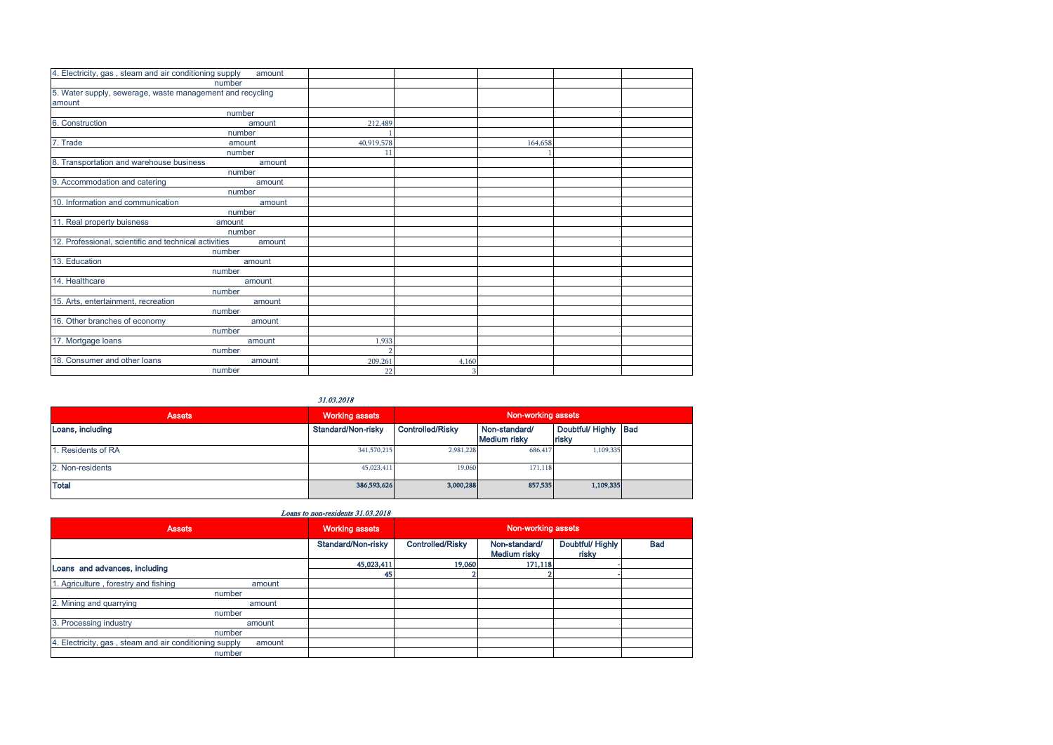| 4. Electricity, gas, steam and air conditioning supply    | amount |            |       |         |  |
|-----------------------------------------------------------|--------|------------|-------|---------|--|
|                                                           | number |            |       |         |  |
| 5. Water supply, sewerage, waste management and recycling |        |            |       |         |  |
| amount                                                    |        |            |       |         |  |
|                                                           | number |            |       |         |  |
| 6. Construction                                           | amount | 212,489    |       |         |  |
|                                                           | number |            |       |         |  |
| 7. Trade                                                  | amount | 40,919,578 |       | 164,658 |  |
|                                                           | number | 11         |       |         |  |
| 8. Transportation and warehouse business                  | amount |            |       |         |  |
|                                                           | number |            |       |         |  |
| 9. Accommodation and catering                             | amount |            |       |         |  |
|                                                           | number |            |       |         |  |
| 10. Information and communication                         | amount |            |       |         |  |
|                                                           | number |            |       |         |  |
| 11. Real property buisness                                | amount |            |       |         |  |
|                                                           | number |            |       |         |  |
| 12. Professional, scientific and technical activities     | amount |            |       |         |  |
|                                                           | number |            |       |         |  |
| 13. Education                                             | amount |            |       |         |  |
|                                                           | number |            |       |         |  |
| 14. Healthcare                                            | amount |            |       |         |  |
|                                                           | number |            |       |         |  |
| 15. Arts, entertainment, recreation                       | amount |            |       |         |  |
|                                                           | number |            |       |         |  |
| 16. Other branches of economy                             | amount |            |       |         |  |
|                                                           | number |            |       |         |  |
| 17. Mortgage loans                                        | amount | 1,933      |       |         |  |
|                                                           | number |            |       |         |  |
| 18. Consumer and other loans                              | amount | 209,261    | 4,160 |         |  |
|                                                           | number | 22         | 3     |         |  |

31.03.2018

| <b>Assets</b>    | <b>Working assets</b> | Non-working assets      |                               |                               |  |
|------------------|-----------------------|-------------------------|-------------------------------|-------------------------------|--|
| Loans, including | Standard/Non-risky    | <b>Controlled/Risky</b> | Non-standard/<br>Medium risky | Doubtful/ Highly Bad<br>risky |  |
| Residents of RA  | 341,570,215           | 2,981,228               | 686,417                       | 1,109,335                     |  |
| 2. Non-residents | 45,023,411            | 19,060                  | 171,118                       |                               |  |
| <b>Total</b>     | 386,593,626           | 3,000,288               | 857,535                       | 1,109,335                     |  |

| Loans to non-residents 31.03.2018 |  |
|-----------------------------------|--|
|-----------------------------------|--|

| <b>Assets</b>                                          |        | <b>Working assets</b> | Non-working assets      |                               |                           |            |
|--------------------------------------------------------|--------|-----------------------|-------------------------|-------------------------------|---------------------------|------------|
|                                                        |        | Standard/Non-risky    | <b>Controlled/Risky</b> | Non-standard/<br>Medium risky | Doubtful/ Highly<br>risky | <b>Bad</b> |
| Loans and advances, including                          |        | 45,023,411            | 19,060                  | 171,118                       |                           |            |
|                                                        |        | 45                    |                         |                               |                           |            |
| 1. Agriculture, forestry and fishing                   | amount |                       |                         |                               |                           |            |
| number                                                 |        |                       |                         |                               |                           |            |
| 2. Mining and quarrying                                | amount |                       |                         |                               |                           |            |
| number                                                 |        |                       |                         |                               |                           |            |
| 3. Processing industry                                 | amount |                       |                         |                               |                           |            |
| number                                                 |        |                       |                         |                               |                           |            |
| 4. Electricity, gas, steam and air conditioning supply | amount |                       |                         |                               |                           |            |
| number                                                 |        |                       |                         |                               |                           |            |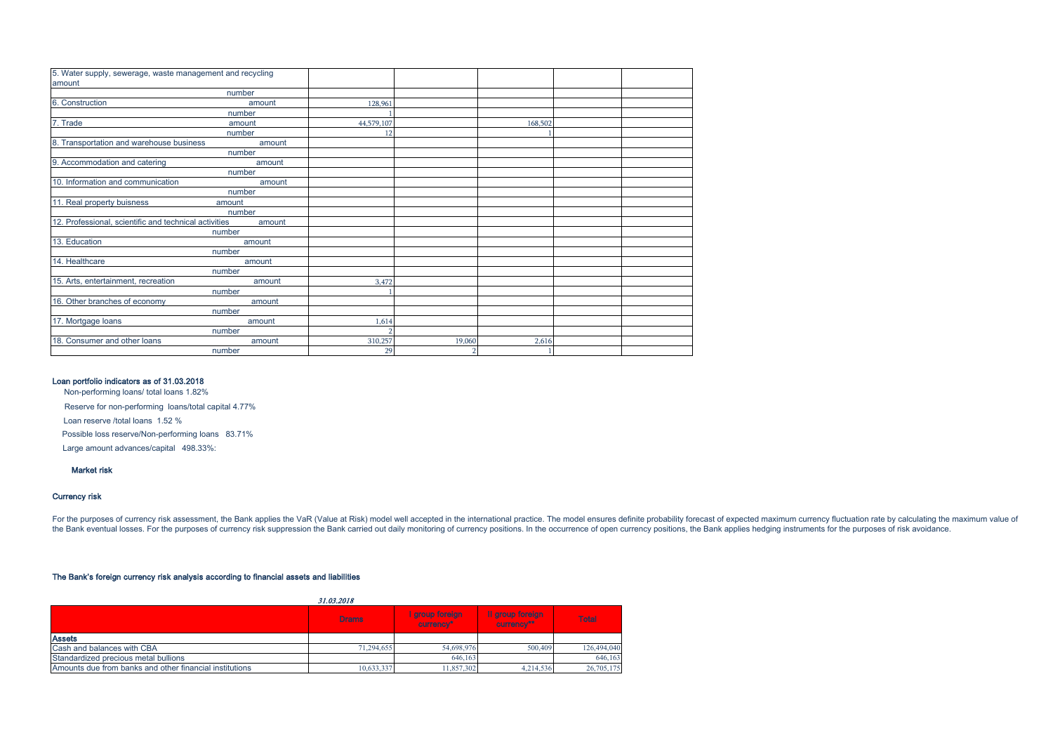| 5. Water supply, sewerage, waste management and recycling |        |            |        |         |  |
|-----------------------------------------------------------|--------|------------|--------|---------|--|
| amount                                                    |        |            |        |         |  |
|                                                           | number |            |        |         |  |
| 6. Construction                                           | amount | 128,961    |        |         |  |
|                                                           | number |            |        |         |  |
| 7. Trade                                                  | amount | 44,579,107 |        | 168,502 |  |
|                                                           | number | 12         |        |         |  |
| 8. Transportation and warehouse business                  | amount |            |        |         |  |
|                                                           | number |            |        |         |  |
| 9. Accommodation and catering                             | amount |            |        |         |  |
|                                                           | number |            |        |         |  |
| 10. Information and communication                         | amount |            |        |         |  |
|                                                           | number |            |        |         |  |
| 11. Real property buisness                                | amount |            |        |         |  |
|                                                           | number |            |        |         |  |
| 12. Professional, scientific and technical activities     | amount |            |        |         |  |
|                                                           | number |            |        |         |  |
| 13. Education                                             | amount |            |        |         |  |
|                                                           | number |            |        |         |  |
| 14. Healthcare                                            | amount |            |        |         |  |
|                                                           | number |            |        |         |  |
| 15. Arts, entertainment, recreation                       | amount | 3,472      |        |         |  |
|                                                           | number |            |        |         |  |
| 16. Other branches of economy                             | amount |            |        |         |  |
|                                                           | number |            |        |         |  |
| 17. Mortgage loans                                        | amount | 1,614      |        |         |  |
|                                                           | number |            |        |         |  |
| 18. Consumer and other loans                              | amount | 310,257    | 19,060 | 2,616   |  |
|                                                           | number | 29         |        |         |  |

### Loan portfolio indicators as of 31.03.2018

Non-performing loans/ total loans 1.82%

Reserve for non-performing loans/total capital 4.77%

Loan reserve /total loans 1.52 %

Possible loss reserve/Non-performing loans 83.71%

Large amount advances/capital 498.33%:

### Market risk

### Currency risk

For the purposes of currency risk assessment, the Bank applies the VaR (Value at Risk) model well accepted in the international practice. The model ensures definite probability forecast of expected maximum currency fluctua the Bank eventual losses. For the purposes of currency risk suppression the Bank carried out daily monitoring of currency positions. In the occurrence of open currency positions, the Bank applies hedging instruments for th

#### The Bank's foreign currency risk analysis according to financial assets and liabilities

| 31.03.2018                                              |              |                              |                                |              |  |  |  |
|---------------------------------------------------------|--------------|------------------------------|--------------------------------|--------------|--|--|--|
|                                                         | <b>Drams</b> | I group foreign<br>currency* | Il group foreign<br>currency** | <b>Total</b> |  |  |  |
| <b>Assets</b>                                           |              |                              |                                |              |  |  |  |
| Cash and balances with CBA                              | 71,294,655   | 54,698,976                   | 500,409                        | 126,494,040  |  |  |  |
| Standardized precious metal bullions                    |              | 646,163                      |                                | 646,163      |  |  |  |
| Amounts due from banks and other financial institutions | 10,633,337   | 11.857.302                   | 4.214.536                      | 26,705,175   |  |  |  |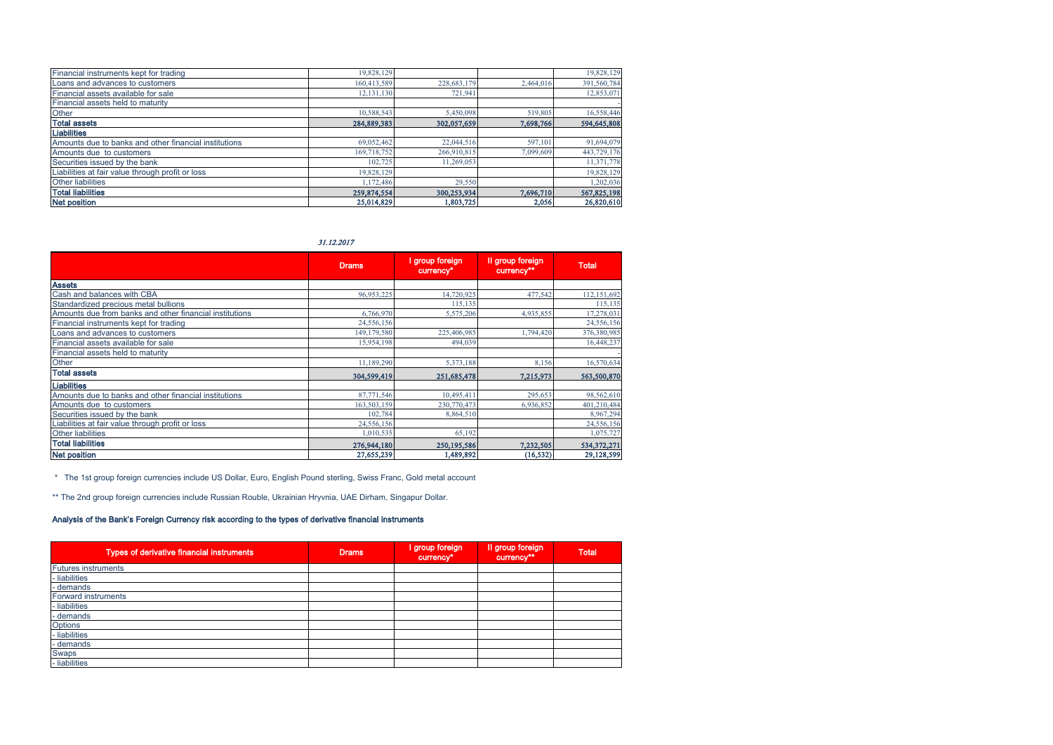| Financial instruments kept for trading                | 19,828,129  |             |           | 19,828,129  |
|-------------------------------------------------------|-------------|-------------|-----------|-------------|
| Loans and advances to customers                       | 160.413.589 | 228,683,179 | 2.464.016 | 391,560,784 |
| Financial assets available for sale                   | 12,131,130  | 721,941     |           | 12,853,071  |
| Financial assets held to maturity                     |             |             |           |             |
| Other                                                 | 10,588,543  | 5,450,098   | 519,805   | 16,558,446  |
| <b>Total assets</b>                                   | 284,889,383 | 302.057.659 | 7,698,766 | 594,645,808 |
| <b>Liabilities</b>                                    |             |             |           |             |
| Amounts due to banks and other financial institutions | 69,052,462  | 22,044,516  | 597.101   | 91,694,079  |
| Amounts due to customers                              | 169,718,752 | 266,910,815 | 7,099,609 | 443,729,176 |
| Securities issued by the bank                         | 102.725     | 11.269.053  |           | 11,371,778  |
| Liabilities at fair value through profit or loss      | 19,828,129  |             |           | 19,828,129  |
| <b>Other liabilities</b>                              | 1,172,486   | 29,550      |           | 1,202,036   |
| <b>Total liabilities</b>                              | 259,874,554 | 300,253,934 | 7,696,710 | 567,825,198 |
| <b>Net position</b>                                   | 25,014,829  | 1.803.725   | 2.056     | 26,820,610  |

31.12.2017

|                                                         | <b>Drams</b> | I group foreign<br>currency* | Il group foreign<br>currency** | <b>Total</b> |
|---------------------------------------------------------|--------------|------------------------------|--------------------------------|--------------|
| <b>Assets</b>                                           |              |                              |                                |              |
| Cash and balances with CBA                              | 96,953,225   | 14,720,925                   | 477,542                        | 112,151,692  |
| Standardized precious metal bullions                    |              | 115,135                      |                                | 115,135      |
| Amounts due from banks and other financial institutions | 6,766,970    | 5,575,206                    | 4,935,855                      | 17,278,031   |
| Financial instruments kept for trading                  | 24,556,156   |                              |                                | 24,556,156   |
| Loans and advances to customers                         | 149,179,580  | 225,406,985                  | 1,794,420                      | 376,380,985  |
| Financial assets available for sale                     | 15,954,198   | 494,039                      |                                | 16,448,237   |
| Financial assets held to maturity                       |              |                              |                                |              |
| Other                                                   | 11,189,290   | 5,373,188                    | 8,156                          | 16,570,634   |
| <b>Total assets</b>                                     | 304,599,419  | 251,685,478                  | 7,215,973                      | 563,500,870  |
| <b>Liabilities</b>                                      |              |                              |                                |              |
| Amounts due to banks and other financial institutions   | 87,771,546   | 10,495,411                   | 295,653                        | 98,562,610   |
| Amounts due to customers                                | 163,503,159  | 230,770,473                  | 6,936,852                      | 401,210,484  |
| Securities issued by the bank                           | 102,784      | 8,864,510                    |                                | 8,967,294    |
| Liabilities at fair value through profit or loss        | 24,556,156   |                              |                                | 24,556,156   |
| <b>Other liabilities</b>                                | 1,010,535    | 65,192                       |                                | 1,075,727    |
| <b>Total liabilities</b>                                | 276,944,180  | 250,195,586                  | 7,232,505                      | 534,372,271  |
| <b>Net position</b>                                     | 27,655,239   | 1,489,892                    | (16, 532)                      | 29,128,599   |

\* The 1st group foreign currencies include US Dollar, Euro, English Pound sterling, Swiss Franc, Gold metal account

\*\* The 2nd group foreign currencies include Russian Rouble, Ukrainian Hryvnia, UAE Dirham, Singapur Dollar.

### Analysis of the Bank's Foreign Currency risk according to the types of derivative financial instruments

| Types of derivative financial instruments | <b>Drams</b> | I group foreign<br>currency* | Il group foreign<br>currency** | <b>Total</b> |
|-------------------------------------------|--------------|------------------------------|--------------------------------|--------------|
| <b>Futures instruments</b>                |              |                              |                                |              |
| - liabilities                             |              |                              |                                |              |
| - demands                                 |              |                              |                                |              |
| <b>Forward instruments</b>                |              |                              |                                |              |
| - liabilities                             |              |                              |                                |              |
| - demands                                 |              |                              |                                |              |
| Options                                   |              |                              |                                |              |
| - liabilities                             |              |                              |                                |              |
| - demands                                 |              |                              |                                |              |
| <b>Swaps</b>                              |              |                              |                                |              |
| - liabilities                             |              |                              |                                |              |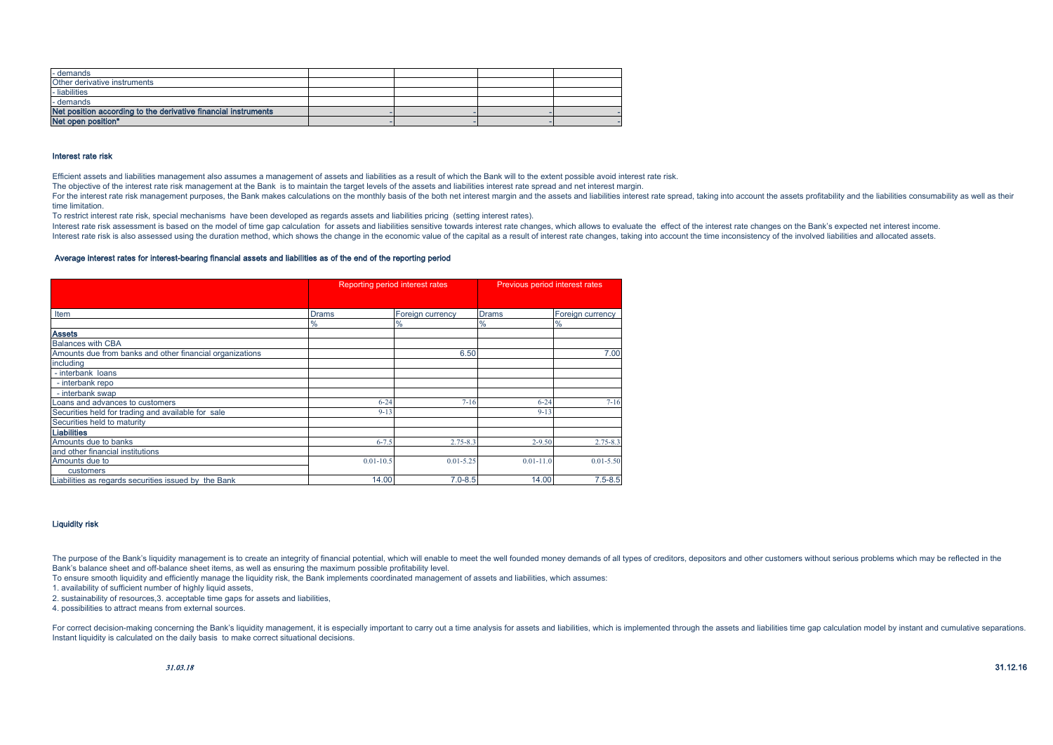| - demands                                                      |  |  |
|----------------------------------------------------------------|--|--|
| Other derivative instruments                                   |  |  |
| - liabilities                                                  |  |  |
| - demands                                                      |  |  |
| Net position according to the derivative financial instruments |  |  |
| Net open position*                                             |  |  |

### Interest rate risk

Efficient assets and liabilities management also assumes a management of assets and liabilities as a result of which the Bank will to the extent possible avoid interest rate risk.

The objective of the interest rate risk management at the Bank is to maintain the target levels of the assets and liabilities interest rate spread and net interest margin.

For the interest rate risk management purposes, the Bank makes calculations on the monthly basis of the both net interest margin and the assets and liabilities interest rate spread, taking into account the assets profitabi time limitation.

To restrict interest rate risk, special mechanisms have been developed as regards assets and liabilities pricing (setting interest rates).

Interest rate risk assessment is based on the model of time gap calculation for assets and liabilities sensitive fowards interest rate changes, which allows to evaluate the effect of the interest rate changes on the Bank's Interest rate risk is also assessed using the duration method, which shows the change in the economic value of the capital as a result of interest rate changes, taking into account the time inconsistency of the involved li

#### Average interest rates for interest-bearing financial assets and liabilities as of the end of the reporting period

|                                                          |               | Reporting period interest rates | Previous period interest rates |                  |  |  |
|----------------------------------------------------------|---------------|---------------------------------|--------------------------------|------------------|--|--|
|                                                          |               |                                 |                                |                  |  |  |
| Item                                                     | <b>Drams</b>  | Foreign currency                | <b>Drams</b>                   | Foreign currency |  |  |
|                                                          | $\frac{9}{6}$ | $\frac{9}{6}$                   | $\frac{0}{0}$                  | $\frac{0}{0}$    |  |  |
| <b>Assets</b>                                            |               |                                 |                                |                  |  |  |
| <b>Balances with CBA</b>                                 |               |                                 |                                |                  |  |  |
| Amounts due from banks and other financial organizations |               | 6.50                            |                                | 7.00             |  |  |
| including                                                |               |                                 |                                |                  |  |  |
| - interbank loans                                        |               |                                 |                                |                  |  |  |
| - interbank repo                                         |               |                                 |                                |                  |  |  |
| - interbank swap                                         |               |                                 |                                |                  |  |  |
| Loans and advances to customers                          | $6 - 24$      | $7 - 16$                        | $6 - 24$                       | $7 - 16$         |  |  |
| Securities held for trading and available for sale       | $9 - 13$      |                                 | $9 - 13$                       |                  |  |  |
| Securities held to maturity                              |               |                                 |                                |                  |  |  |
| <b>Liabilities</b>                                       |               |                                 |                                |                  |  |  |
| Amounts due to banks                                     | $6 - 7.5$     | $2.75 - 8.3$                    | $2 - 9.50$                     | $2.75 - 8.3$     |  |  |
| and other financial institutions                         |               |                                 |                                |                  |  |  |
| Amounts due to                                           | $0.01 - 10.5$ | $0.01 - 5.25$                   | $0.01 - 11.0$                  | $0.01 - 5.50$    |  |  |
| customers                                                |               |                                 |                                |                  |  |  |
| Liabilities as regards securities issued by the Bank     | 14.00         | $7.0 - 8.5$                     | 14.00                          | $7.5 - 8.5$      |  |  |

### Liquidity risk

The purpose of the Bank's liquidity management is to create an integrity of financial potential, which will enable to meet the well founded money demands of all types of creditors, depositors and other customers without se Bank's balance sheet and off-balance sheet items, as well as ensuring the maximum possible profitability level.

To ensure smooth liquidity and efficiently manage the liquidity risk, the Bank implements coordinated management of assets and liabilities, which assumes:

1. availability of sufficient number of highly liquid assets,

2. sustainability of resources, 3. acceptable time gaps for assets and liabilities,

4. possibilities to attract means from external sources.

For correct decision-making concerning the Bank's liquidity management, it is especially important to carry out a time analysis for assets and liabilities, which is implemented through the assets and liabilities time gap c Instant liquidity is calculated on the daily basis to make correct situational decisions.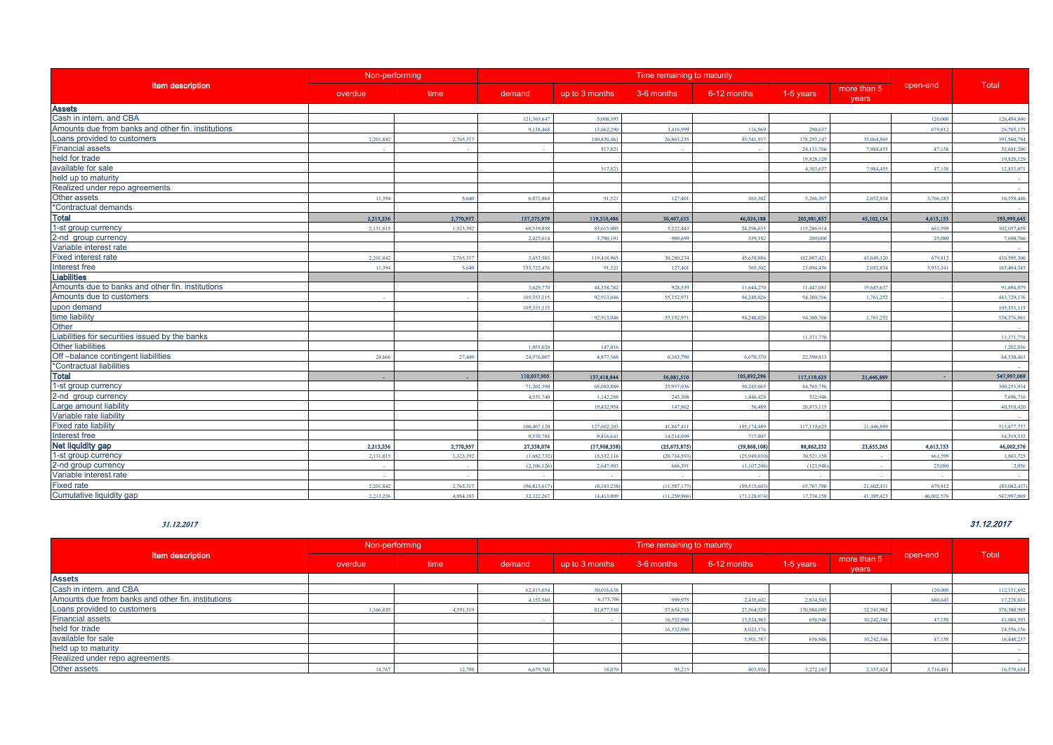|                                                    | Non-performing |           | Time remaining to maturity |                |                |                |              |                      |            |              |
|----------------------------------------------------|----------------|-----------|----------------------------|----------------|----------------|----------------|--------------|----------------------|------------|--------------|
| <b>Item description</b>                            | overdue        | time      | demand                     | up to 3 months | 3-6 months     | 6-12 months    | 1-5 years    | more than 5<br>years | open-end   | Total        |
| <b>Assets</b>                                      |                |           |                            |                |                |                |              |                      |            |              |
| Cash in intern. and CBA                            |                |           | 121,365,647                | 5.008.393      |                |                |              |                      | 120,000    | 126,494,040  |
| Amounts due from banks and other fin, institutions |                |           | 9.138.468                  | 13,062.29      | 3.416.999      | 116,969        | 290,637      |                      | 679.812    | 26,705,175   |
| Loans provided to customers                        | 2,201,842      | 2,765,317 |                            | 100,830,46     | 26,863,235     | 45,541,917     | 178,293,14   | 35,064,865           |            | 391,560,784  |
| <b>Financial assets</b>                            |                |           |                            | 517.82         |                |                | 24, 131, 766 | 7.984.455            | 47.158     | 32,681,200   |
| held for trade                                     |                |           |                            |                |                |                | 19,828,129   |                      |            | 19,828,129   |
| available for sale                                 |                |           |                            | 517.821        |                |                | 4.303.637    | 7.984.455            | 47.158     | 12,853,071   |
| held up to maturity                                |                |           |                            |                |                |                |              |                      |            |              |
| Realized under repo agreements                     |                |           |                            |                |                |                |              |                      |            |              |
| Other assets                                       | 11.394         | 5.640     | 6,871,864                  | 91,521         | 127,401        | 365,302        | 3.266.307    | 2.052.834            | 3,766,183  | 16,558,446   |
| *Contractual demands                               |                |           |                            |                |                |                |              |                      |            |              |
| <b>Total</b>                                       | 2.213.236      | 2,770,957 | 137,375,979                | 119,510,486    | 30,407,635     | 46,024,188     | 205,981,857  | 45,102,154           | 4,613,153  | 593,999,645  |
| 1-st group currency                                | 2,131,815      | 1,323,39  | 69,519,858                 | 83,615,005     | 5,222,443      | 24,296,633     | 115,286,914  |                      | 661.599    | 302,057,659  |
| 2-nd group currency                                |                |           | 2.425.614                  | 3.790.19       | 909,699        | 339.182        | 209,000      |                      | 25,080     | 7.698.766    |
| Variable interest rate                             |                |           |                            |                |                |                |              |                      |            |              |
| <b>Fixed interest rate</b>                         | 2.201.842      | 2.765.31  | 3.653.503                  | 119,418,965    | 30.280.234     | 45,658,886     | 182,887,421  | 43,049,320           | 679,812    | 430,595,300  |
| Interest free                                      | 11.394         | 5.640     | 133,722,476                | 91.521         | 127,401        | 365,302        | 23,094,436   | 2.052.834            | 3.933.341  | 163.404.345  |
| <b>Liabilities</b>                                 |                |           |                            |                |                |                |              |                      |            |              |
| Amounts due to banks and other fin. institutions   |                |           | 3.629.77                   | 44.358.782     | 928,539        | 11,644,270     | 11,447,081   | 19,685,63            |            | 91,694,079   |
| Amounts due to customers                           |                |           | 105,353,11                 | 92,913,04      | 55,152,971     | 94,248,02      | 94,300,76    | 1,761,252            |            | 443,729,176  |
| upon demand                                        |                |           | 105,353,11                 |                |                |                |              |                      |            | 105,353,115  |
| time liability                                     |                |           |                            | 92,913,04      | 55.152.971     | 94.248.02      | 94.300.76    | 1.761.252            |            | 338,376,061  |
| Other                                              |                |           |                            |                |                |                |              |                      |            |              |
| Liabilities for securities issued by the banks     |                |           |                            |                |                |                | 11.371.778   |                      |            | 11.371.778   |
| <b>Other liabilities</b>                           |                |           | 1.055.020                  | 147,016        |                |                |              |                      |            | 1,202,036    |
| Off-balance contingent liabilities                 | 24,666         | 27,449    | 24,576,00                  | 4,877,368      | 6.363.790      | 6.070.370      | 22,590,81    |                      |            | 64,530,463   |
| *Contractual liabilities                           |                |           |                            |                |                |                |              |                      |            |              |
| <b>Total</b>                                       |                |           | 110,037,905                | 137,418,844    | 56,081,510     | 105,892,296    | 117,119,625  | 21,446,889           |            | 547,997,069  |
| 1-st group currency                                |                |           | 71.202.59                  | 68,082,889     | 25,957,036     | 50,245,663     | 84,765,756   |                      |            | 300,253,934  |
| 2-nd group currency                                |                |           | 4,531,740                  | 1,142,288      | 243,308        | 1,446,428      | 332,946      |                      |            | 7,696,710    |
| Large amount liability                             |                |           |                            | 19.432.954     | 147,862        | 56,489         | 20,873.115   |                      |            | 40.510.420   |
| Variable rate liability                            |                |           |                            |                |                |                |              |                      |            |              |
| <b>Fixed rate liability</b>                        |                |           | 100.467.12                 | 127,602.202    | 41.867.411     | 105.174.489    | 117.119.625  | 21,446,889           |            | 513,677,737  |
| Interest free                                      |                |           | 9,570,785                  | 9,816,64       | 14,214,099     | 717,807        |              |                      |            | 34,319,332   |
| Net liquidity gap                                  | 2.213.236      | 2,770,957 | 27,338,074                 | (17,908,358)   | (25, 673, 875) | (59, 868, 108) | 88,862,232   | 23,655,265           | 4,613,153  | 46,002,576   |
| 1-st group currency                                | 2.131.815      | 1.323.392 | (1.682.73)                 | 15.532.11      | (20.734.593)   | (25.949.030)   | 30,521,158   |                      | 661,599    | 1,803,725    |
| 2-nd group currency                                |                |           | (2,106,12)                 | 2,647,903      | 666.391        | (1, 107, 246)  | (123.946)    |                      | 25,080     | 2,056        |
| Variable interest rate                             |                |           |                            |                |                |                |              |                      |            |              |
| <b>Fixed rate</b>                                  | 2,201,842      | 2.765.317 | (96, 813, 617)             | (8.183.23)     | (11.587.17)    | (59.515.603)   | 65,767,79    | 21,602,431           | 679,812    | (83,082,437) |
| Cumulative liquidity gap                           | 2.213.236      | 4.984.193 | 32,322,267                 | 14.413.909     | (11.259.966    | (71.128.074)   | 17.734.158   | 41 389 423           | 46,002,576 | 547.997.069  |

|                                                    | Non-performing |         | Time remaining to maturity |                |            |             |             |                      |           |             |
|----------------------------------------------------|----------------|---------|----------------------------|----------------|------------|-------------|-------------|----------------------|-----------|-------------|
| <b>Item description</b>                            | overdue        | time    | demand                     | up to 3 months | 3-6 months | 6-12 months | 1-5 years   | more than 5<br>years | open-end  | Total       |
| <b>Assets</b>                                      |                |         |                            |                |            |             |             |                      |           |             |
| Cash in intern. and CBA                            |                |         | 62,015,054                 | 50,016,638     |            |             |             |                      | 120,000   | 112,151,692 |
| Amounts due from banks and other fin. institutions |                |         | 4.153.560                  | 6,173,70       | 999.975    | 2,435,602   | 2.834.54    |                      | 680,643   | 17,278,031  |
| Loans provided to customers                        | 1.366.83       | 4.191.3 |                            | 81,877,53      | 57,654,715 | 27,564,529  | 170,984,095 | 32,741,962           |           | 376,380,985 |
| <b>Financial assets</b>                            |                |         |                            |                | 16,532,980 | 13,524,963  | 656.94      | 10.242.346           | 47.158    | 41,004,393  |
| held for trade                                     |                |         |                            |                | 16.532.980 | 8.023.176   |             |                      |           | 24,556,156  |
| available for sale                                 |                |         |                            |                |            | 5.501.787   | 656,946     | 10.242.346           | 47.158    | 16,448,237  |
| held up to maturity                                |                |         |                            |                |            |             |             |                      |           |             |
| Realized under repo agreements                     |                |         |                            |                |            |             |             |                      |           |             |
| Other assets                                       | 14.767         |         | 6.679.76                   | 18.0           | 95.21:     | 403,936     | 3.272.18    | 2,357,424            | 3.716.481 | 16,570,634  |

#### 31.12.2017 31.12.2017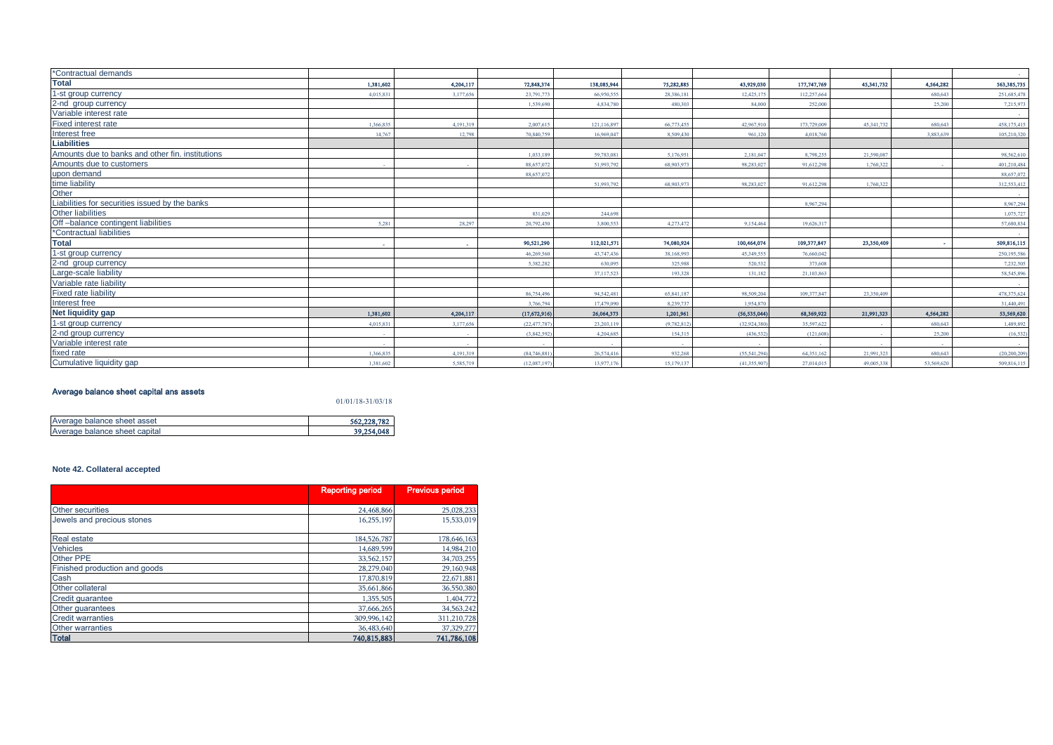| *Contractual demands                             |           |           |             |             |             |                |             |            |                          | <b>Contractor</b> |
|--------------------------------------------------|-----------|-----------|-------------|-------------|-------------|----------------|-------------|------------|--------------------------|-------------------|
| <b>Total</b>                                     | 1,381,602 | 4,204,117 | 72,848,374  | 138,085,944 | 75,282,885  | 43,929,030     | 177,747,769 | 45,341,732 | 4,564,282                | 563,385,735       |
| 1-st group currency                              | 4.015.83  | 3.177.65  | 23,791.77   | 66,950,55   | 28,386,181  | 12.425.175     | 112,257,664 |            | 680,643                  | 251,685,478       |
| 2-nd group currency                              |           |           | 1.539,690   | 4.834.780   | 480,303     | 84,000         | 252,000     |            | 25,200                   | 7,215,973         |
| Variable interest rate                           |           |           |             |             |             |                |             |            |                          | <b>Contract</b>   |
| <b>Fixed interest rate</b>                       | 1.366.83  | 4.191.31  | 2.007.61    | 121.116.89  | 66,773,455  | 42,967,910     | 173,729,009 | 45,341.73  | 680.643                  | 458,175,415       |
| Interest free                                    | 14.767    | 12.798    | 70 840 75   | 16.969.041  | 8.509.430   | 961.120        | 4.018.760   |            | 3.883.639                | 105,210,320       |
| <b>Liabilities</b>                               |           |           |             |             |             |                |             |            |                          |                   |
| Amounts due to banks and other fin. institutions |           |           | 1.033.189   | 59.783.08   | 5 176 951   | 2.181.047      | 8,798,255   | 21.590.08  |                          | 98.562.610        |
| Amounts due to customers                         |           |           | 88,657,07   | 51,993,792  | 68,903,973  | 98.283.027     | 91,612,298  | 1,760,322  |                          | 401,210,484       |
| upon demand                                      |           |           | 88,657,072  |             |             |                |             |            |                          | 88,657,072        |
| time liability                                   |           |           |             | 51,993,793  | 68,903,973  | 98.283.027     | 91,612,298  | 1.760.322  |                          | 312,553,412       |
| Other                                            |           |           |             |             |             |                |             |            |                          | $\sim$            |
| Liabilities for securities issued by the banks   |           |           |             |             |             |                | 8.967.294   |            |                          | 8.967.294         |
| <b>Other liabilities</b>                         |           |           | 831.029     | 244,698     |             |                |             |            |                          | 1.075.727         |
| Off-balance contingent liabilities               | 5.281     | 28.291    | 20,792.450  | 3.800.55    | 4.273.472   | 9.154.464      | 19.626.31   |            |                          | 57,680,834        |
| *Contractual liabilities                         |           |           |             |             |             |                |             |            |                          | <b>Contract</b>   |
| <b>Total</b>                                     | . .       |           | 90,521,290  | 112,021,571 | 74,080,924  | 100,464,074    | 109,377,847 | 23,350,409 | $\overline{\phantom{a}}$ | 509,816,115       |
| 1-st group currency                              |           |           | 46,269,560  | 43,747.43   | 38,168,993  | 45.349.555     | 76,660,042  |            |                          | 250,195,586       |
| 2-nd group currency                              |           |           | 5.382.282   | 630.09      | 325,988     | 520,532        | 373,608     |            |                          | 7,232,505         |
| Large-scale liability                            |           |           |             | 37.117.52   | 193,328     | 131.182        | 21.103.862  |            |                          | 58,545,896        |
| Variable rate liability                          |           |           |             |             |             |                |             |            |                          | <b>Contract</b>   |
| <b>Fixed rate liability</b>                      |           |           | 86,754,496  | 94.542.48   | 65,841,187  | 98,509,204     | 109,377,847 | 23,350,409 |                          | 478,375,624       |
| Interest free                                    |           |           | 3.766.794   | 17,479,090  | 8.239.737   | 1.954.870      |             |            |                          | 31,440,491        |
| Net liquidity gap                                | 1,381,602 | 4,204,117 | (17,672,916 | 26,064,373  | 1,201,961   | (56, 535, 044) | 68,369,922  | 21,991,323 | 4,564,282                | 53,569,620        |
| 1-st group currency                              | 4.015.831 | 3.177.656 | (22.477.78) | 23,203,11   | (9,782,812) | (32,924,380)   | 35,597,622  |            | 680.643                  | 1,489,892         |
| 2-nd group currency                              |           |           | (3,842,59)  | 4.204.68    | 154,315     | (436.532)      | (121,608)   |            | 25,200                   | (16, 532)         |
| Variable interest rate                           |           |           |             |             |             |                |             |            |                          | <b>Service</b>    |
| fixed rate                                       | 1.366,835 | 4.191.31  | (84,746,88) | 26,574,41   | 932,268     | (55, 541, 294) | 64.351.162  | 21,991,32  | 680.643                  | (20, 200, 209)    |
| Cumulative liquidity gap                         | 1.381.602 | 5.585.719 | (12,087,19) | 13,977,17   | 15,179,137  | (41.355.907)   | 27.014.015  | 49,005,338 | 53,569,620               | 509,816,115       |

### Average balance sheet capital ans assets

01/01/18-31/03/18

| Average balance sheet asset   | 562,228,782 |
|-------------------------------|-------------|
| Average balance sheet capital | 39.254.048  |

### **Note 42. Collateral accepted**

|                               | <b>Reporting period</b> | <b>Previous period</b> |
|-------------------------------|-------------------------|------------------------|
|                               |                         |                        |
| Other securities              | 24.468.866              | 25,028,233             |
| Jewels and precious stones    | 16,255,197              | 15,533,019             |
| <b>Real estate</b>            | 184.526.787             | 178,646,163            |
| <b>Vehicles</b>               | 14.689.599              | 14,984,210             |
| Other PPE                     | 33,562,157              | 34,703,255             |
| Finished production and goods | 28,279,040              | 29,160,948             |
| Cash                          | 17,870,819              | 22,671,881             |
| Other collateral              | 35,661,866              | 36,550,380             |
| Credit quarantee              | 1.355.505               | 1,404,772              |
| Other quarantees              | 37,666,265              | 34,563,242             |
| <b>Credit warranties</b>      | 309,996,142             | 311,210,728            |
| <b>Other warranties</b>       | 36,483,640              | 37,329,277             |
| <b>Total</b>                  | 740,815,883             | 741,786,108            |